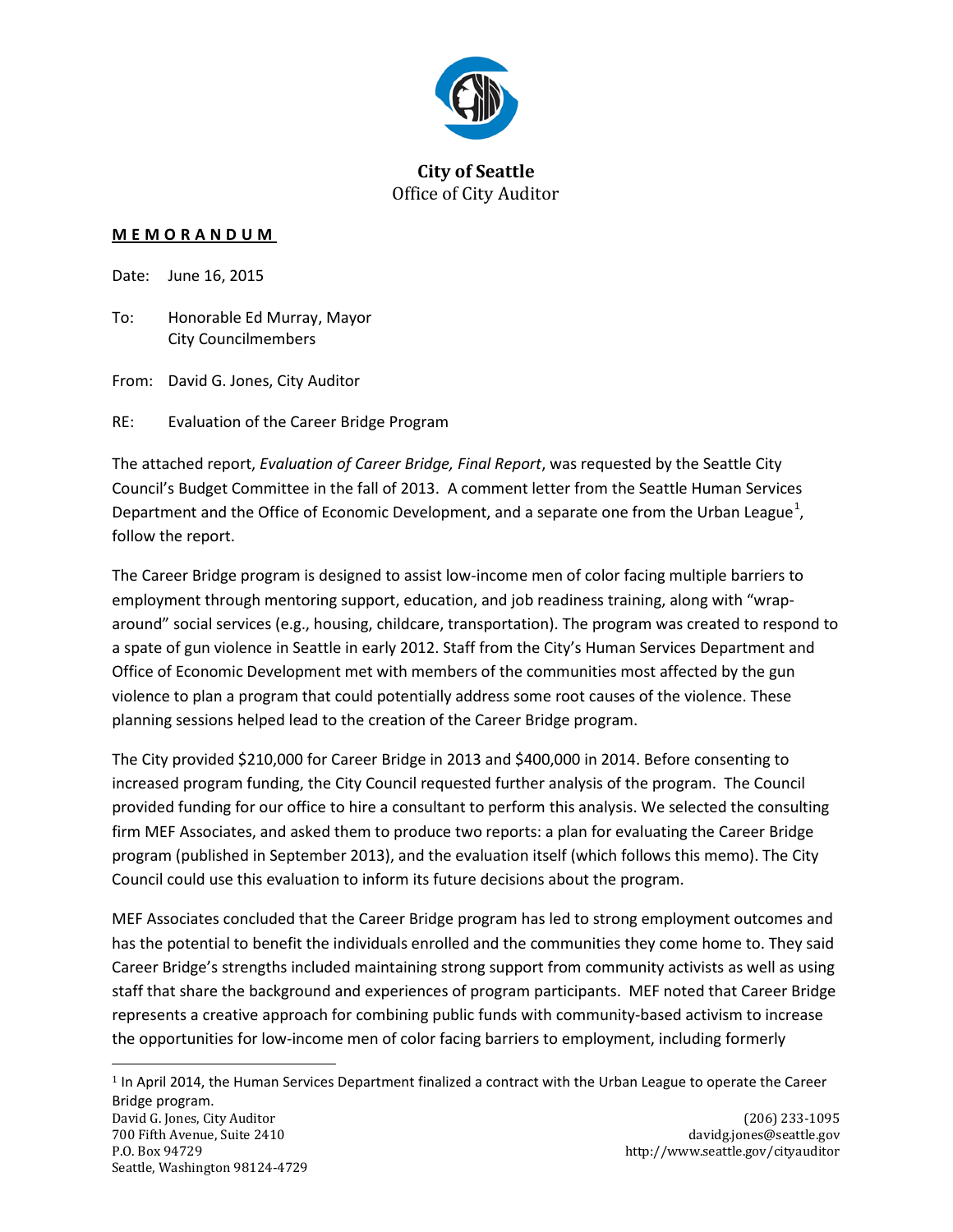

#### **City of Seattle** Office of City Auditor

#### **MEMORANDUM**

Date: June 16, 2015

To: Honorable Ed Murray, Mayor City Councilmembers

From: David G. Jones, City Auditor

RE: Evaluation of the Career Bridge Program

The attached report, *Evaluation of Career Bridge, Final Report*, was requested by the Seattle City Council's Budget Committee in the fall of 2013. A comment letter from the Seattle Human Services Department and the Office of Economic Development, and a separate one from the Urban League<sup>[1](#page-0-0)</sup>, follow the report.

The Career Bridge program is designed to assist low-income men of color facing multiple barriers to employment through mentoring support, education, and job readiness training, along with "wraparound" social services (e.g., housing, childcare, transportation). The program was created to respond to a spate of gun violence in Seattle in early 2012. Staff from the City's Human Services Department and Office of Economic Development met with members of the communities most affected by the gun violence to plan a program that could potentially address some root causes of the violence. These planning sessions helped lead to the creation of the Career Bridge program.

The City provided \$210,000 for Career Bridge in 2013 and \$400,000 in 2014. Before consenting to increased program funding, the City Council requested further analysis of the program. The Council provided funding for our office to hire a consultant to perform this analysis. We selected the consulting firm MEF Associates, and asked them to produce two reports: a plan for evaluating the Career Bridge program (published in September 2013), and the evaluation itself (which follows this memo). The City Council could use this evaluation to inform its future decisions about the program.

MEF Associates concluded that the Career Bridge program has led to strong employment outcomes and has the potential to benefit the individuals enrolled and the communities they come home to. They said Career Bridge's strengths included maintaining strong support from community activists as well as using staff that share the background and experiences of program participants. MEF noted that Career Bridge represents a creative approach for combining public funds with community-based activism to increase the opportunities for low-income men of color facing barriers to employment, including formerly

<span id="page-0-0"></span>David G. Jones, City Auditor (206) 233-1095<br>
700 Fifth Avenue, Suite 2410 (200) 233-1095 (200) davidg.jones@seattle.gov  $1$  In April 2014, the Human Services Department finalized a contract with the Urban League to operate the Career Bridge program.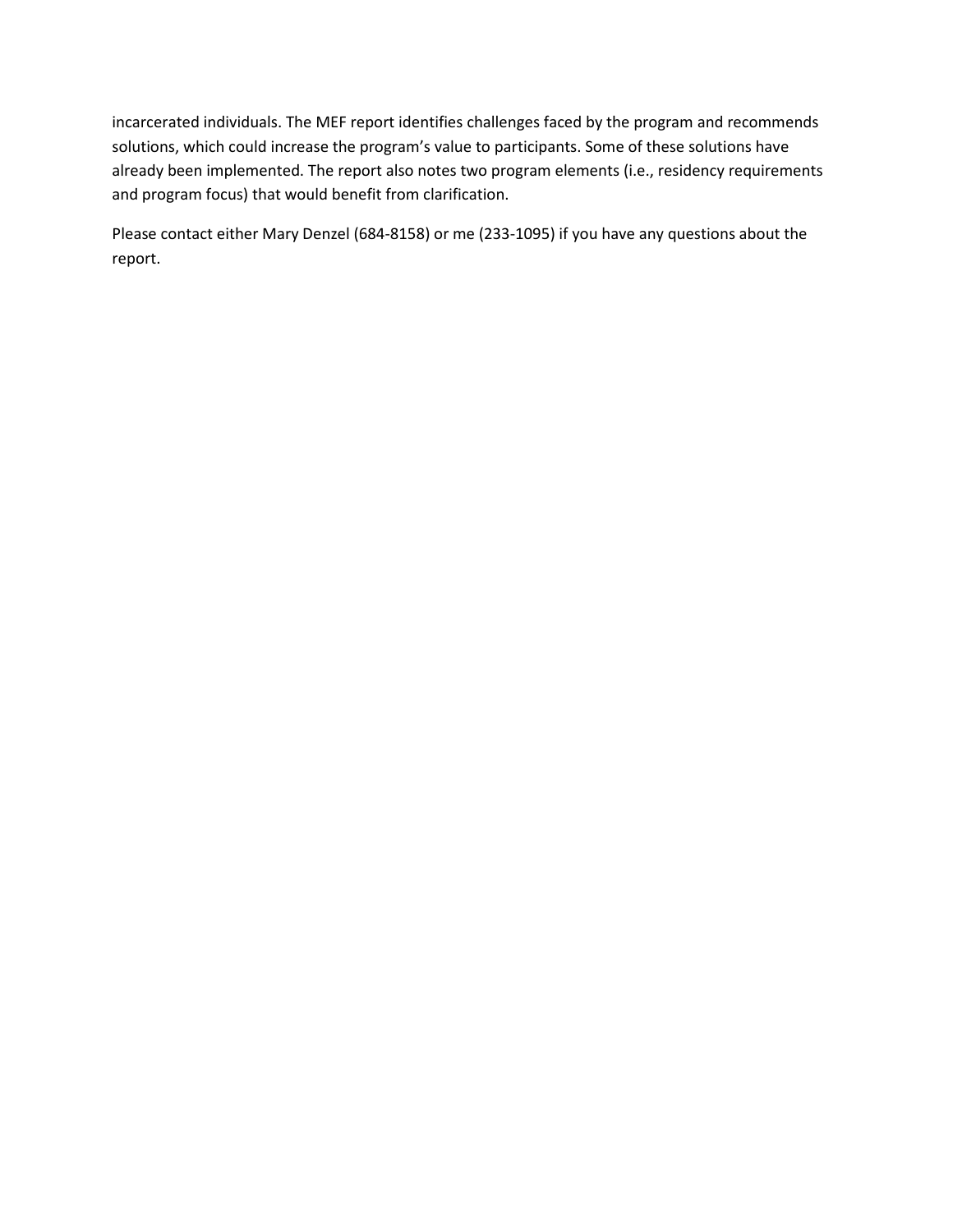incarcerated individuals. The MEF report identifies challenges faced by the program and recommends solutions, which could increase the program's value to participants. Some of these solutions have already been implemented. The report also notes two program elements (i.e., residency requirements and program focus) that would benefit from clarification.

Please contact either Mary Denzel (684-8158) or me (233-1095) if you have any questions about the report.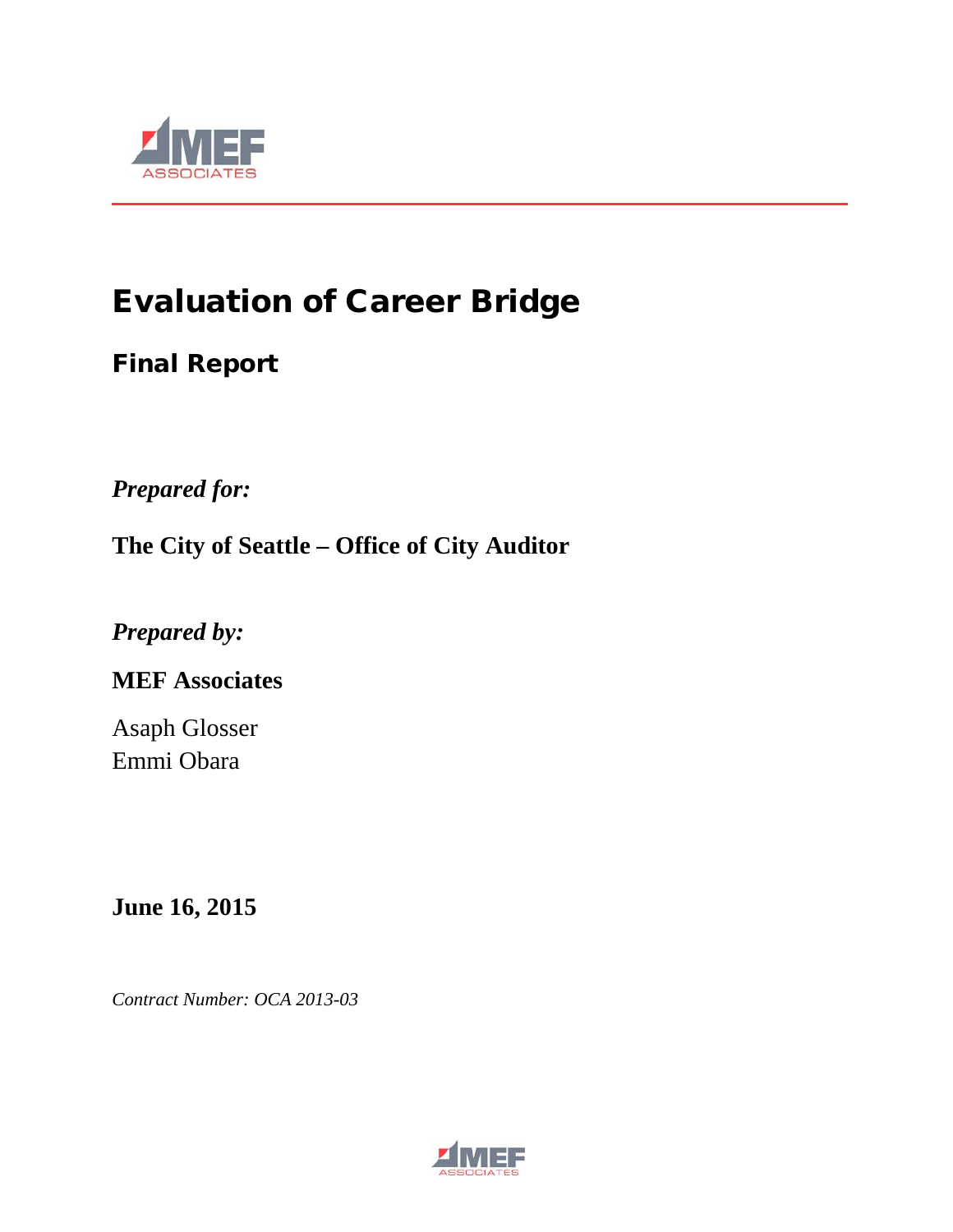

# Evaluation of Career Bridge

## Final Report

*Prepared for:*

**The City of Seattle – Office of City Auditor**

*Prepared by:*

## **MEF Associates**

Asaph Glosser Emmi Obara

**June 16, 2015**

*Contract Number: OCA 2013-03*

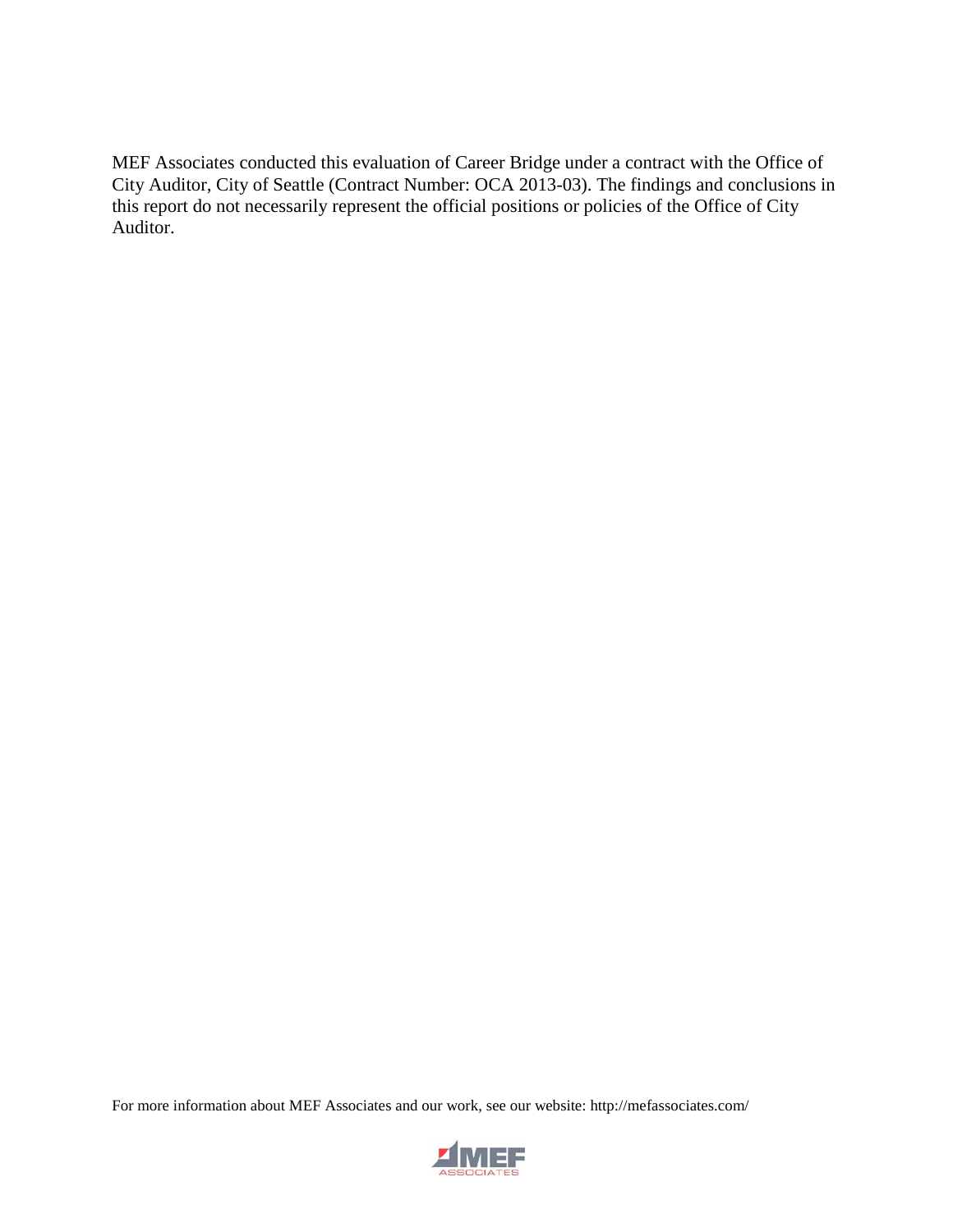MEF Associates conducted this evaluation of Career Bridge under a contract with the Office of City Auditor, City of Seattle (Contract Number: OCA 2013-03). The findings and conclusions in this report do not necessarily represent the official positions or policies of the Office of City Auditor.

For more information about MEF Associates and our work, see our website: http://mefassociates.com/

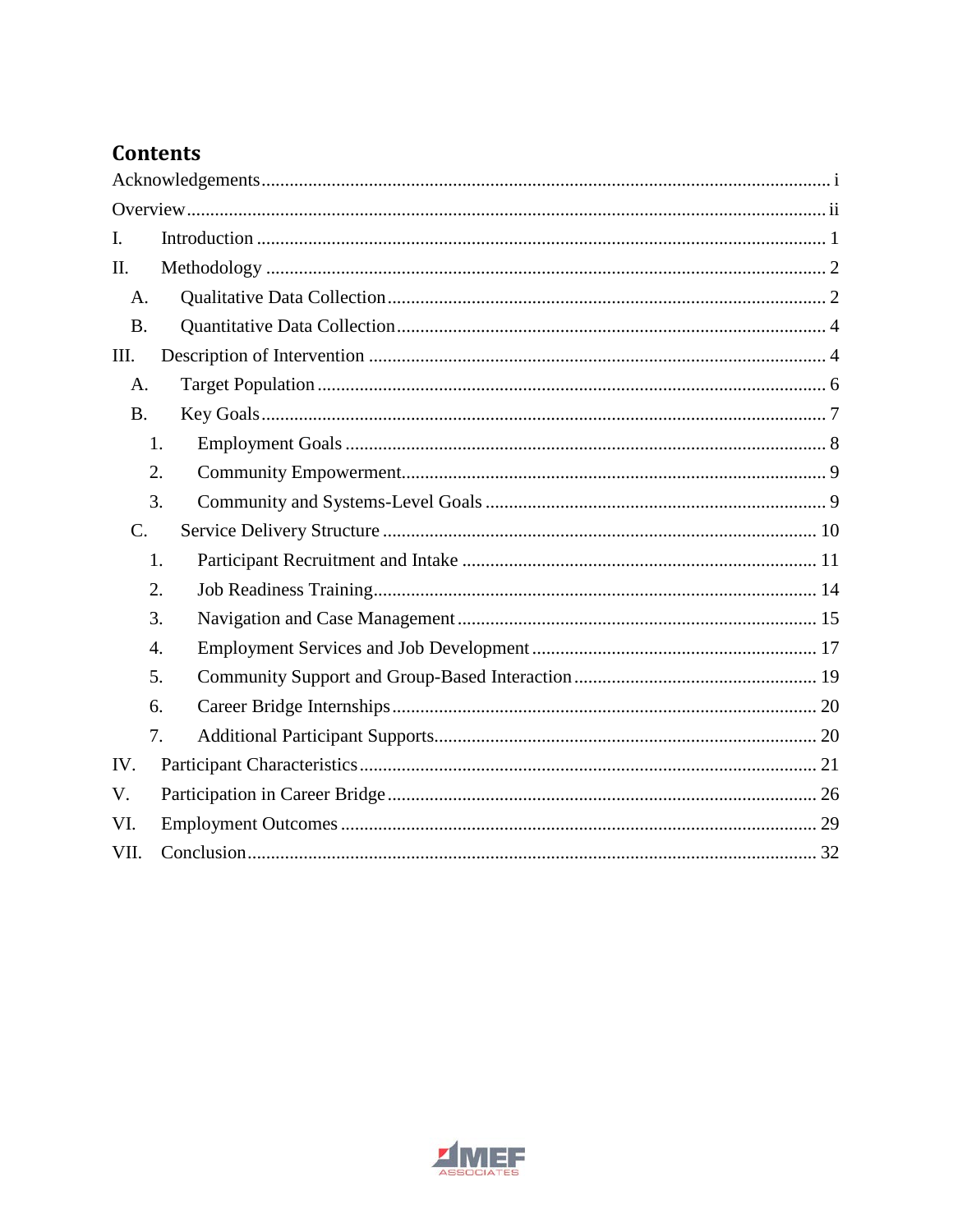## **Contents**

| I.        |  |
|-----------|--|
| Π.        |  |
| A.        |  |
| <b>B.</b> |  |
| III.      |  |
| A.        |  |
| <b>B.</b> |  |
| 1.        |  |
| 2.        |  |
| 3.        |  |
| C.        |  |
| 1.        |  |
| 2.        |  |
| 3.        |  |
| 4.        |  |
| 5.        |  |
| 6.        |  |
| 7.        |  |
| IV.       |  |
| V.        |  |
| VI.       |  |
| VII.      |  |

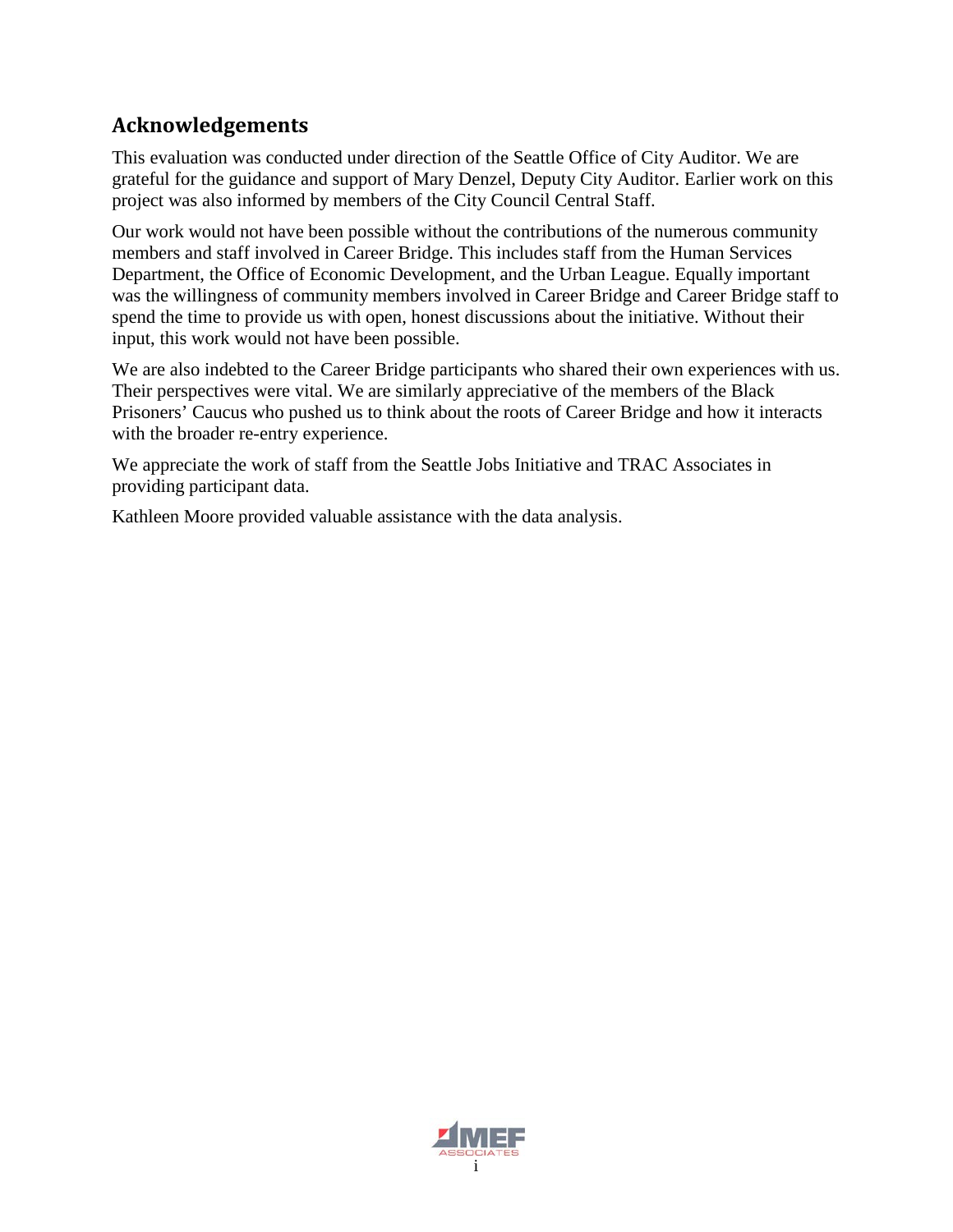## <span id="page-8-0"></span>**Acknowledgements**

This evaluation was conducted under direction of the Seattle Office of City Auditor. We are grateful for the guidance and support of Mary Denzel, Deputy City Auditor. Earlier work on this project was also informed by members of the City Council Central Staff.

Our work would not have been possible without the contributions of the numerous community members and staff involved in Career Bridge. This includes staff from the Human Services Department, the Office of Economic Development, and the Urban League. Equally important was the willingness of community members involved in Career Bridge and Career Bridge staff to spend the time to provide us with open, honest discussions about the initiative. Without their input, this work would not have been possible.

We are also indebted to the Career Bridge participants who shared their own experiences with us. Their perspectives were vital. We are similarly appreciative of the members of the Black Prisoners' Caucus who pushed us to think about the roots of Career Bridge and how it interacts with the broader re-entry experience.

We appreciate the work of staff from the Seattle Jobs Initiative and TRAC Associates in providing participant data.

Kathleen Moore provided valuable assistance with the data analysis.

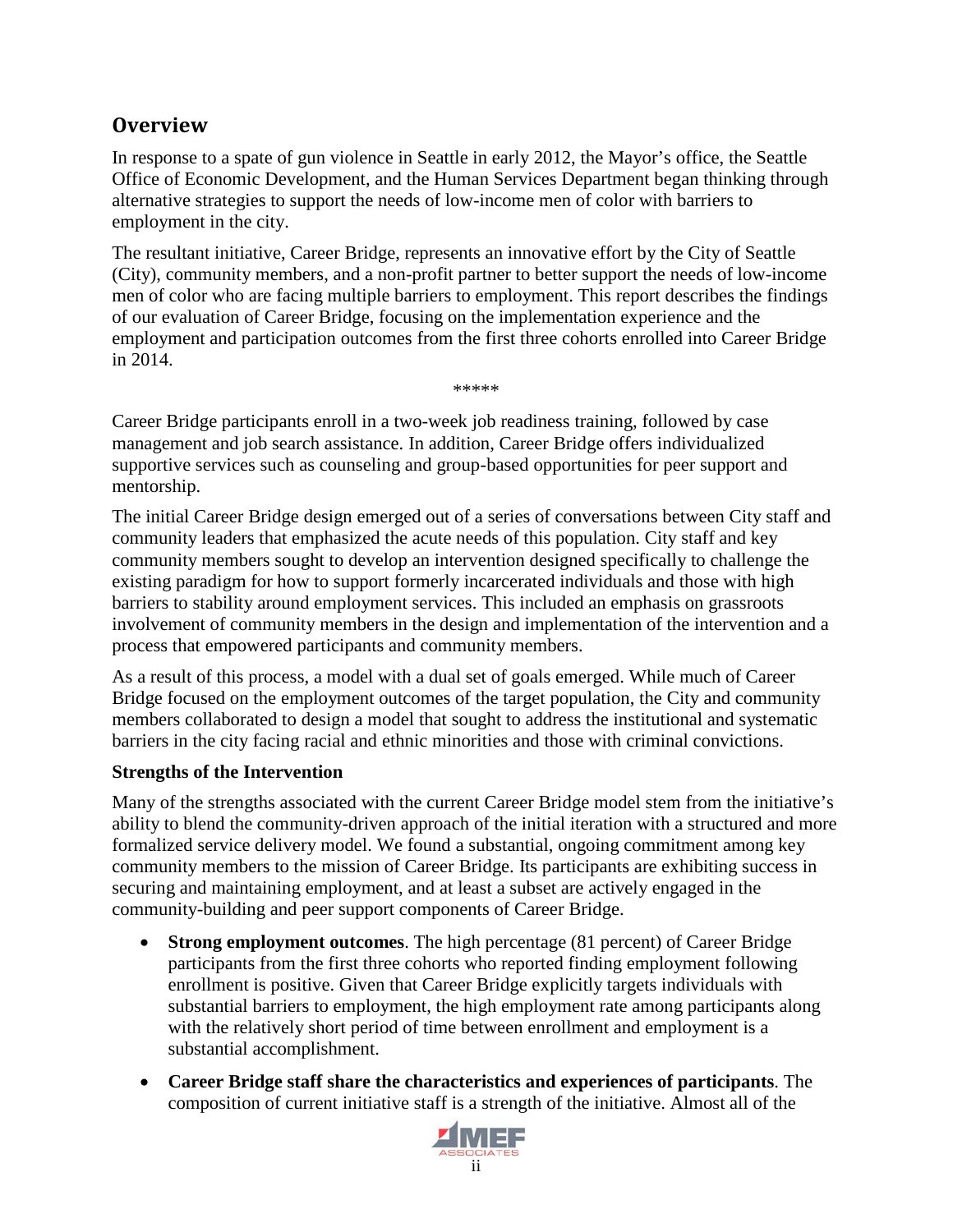## <span id="page-9-0"></span>**Overview**

In response to a spate of gun violence in Seattle in early 2012, the Mayor's office, the Seattle Office of Economic Development, and the Human Services Department began thinking through alternative strategies to support the needs of low-income men of color with barriers to employment in the city.

The resultant initiative, Career Bridge, represents an innovative effort by the City of Seattle (City), community members, and a non-profit partner to better support the needs of low-income men of color who are facing multiple barriers to employment. This report describes the findings of our evaluation of Career Bridge, focusing on the implementation experience and the employment and participation outcomes from the first three cohorts enrolled into Career Bridge in 2014.

\*\*\*\*\*

Career Bridge participants enroll in a two-week job readiness training, followed by case management and job search assistance. In addition, Career Bridge offers individualized supportive services such as counseling and group-based opportunities for peer support and mentorship.

The initial Career Bridge design emerged out of a series of conversations between City staff and community leaders that emphasized the acute needs of this population. City staff and key community members sought to develop an intervention designed specifically to challenge the existing paradigm for how to support formerly incarcerated individuals and those with high barriers to stability around employment services. This included an emphasis on grassroots involvement of community members in the design and implementation of the intervention and a process that empowered participants and community members.

As a result of this process, a model with a dual set of goals emerged. While much of Career Bridge focused on the employment outcomes of the target population, the City and community members collaborated to design a model that sought to address the institutional and systematic barriers in the city facing racial and ethnic minorities and those with criminal convictions.

#### **Strengths of the Intervention**

Many of the strengths associated with the current Career Bridge model stem from the initiative's ability to blend the community-driven approach of the initial iteration with a structured and more formalized service delivery model. We found a substantial, ongoing commitment among key community members to the mission of Career Bridge. Its participants are exhibiting success in securing and maintaining employment, and at least a subset are actively engaged in the community-building and peer support components of Career Bridge.

- **Strong employment outcomes**. The high percentage (81 percent) of Career Bridge participants from the first three cohorts who reported finding employment following enrollment is positive. Given that Career Bridge explicitly targets individuals with substantial barriers to employment, the high employment rate among participants along with the relatively short period of time between enrollment and employment is a substantial accomplishment.
- **Career Bridge staff share the characteristics and experiences of participants**. The composition of current initiative staff is a strength of the initiative. Almost all of the

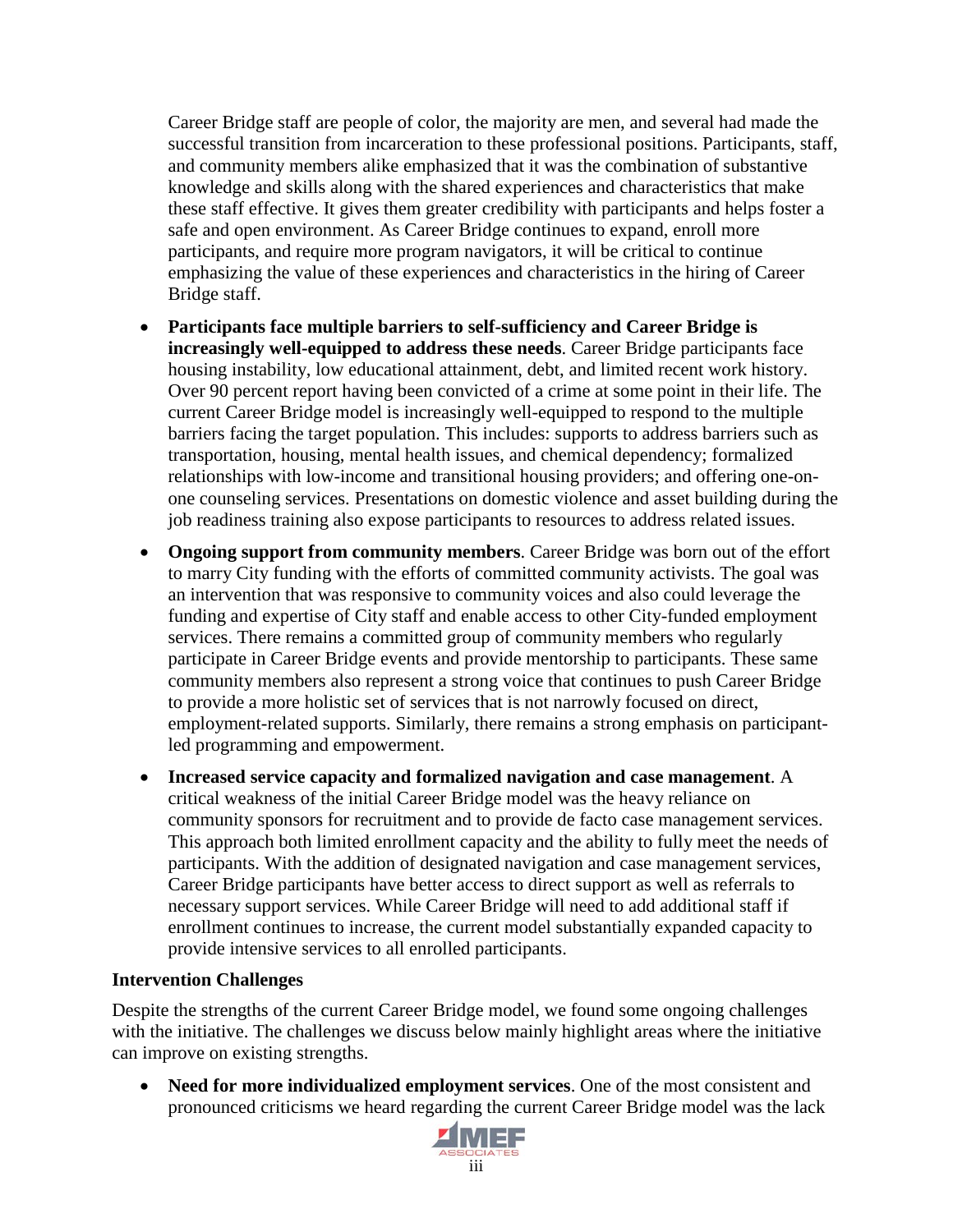Career Bridge staff are people of color, the majority are men, and several had made the successful transition from incarceration to these professional positions. Participants, staff, and community members alike emphasized that it was the combination of substantive knowledge and skills along with the shared experiences and characteristics that make these staff effective. It gives them greater credibility with participants and helps foster a safe and open environment. As Career Bridge continues to expand, enroll more participants, and require more program navigators, it will be critical to continue emphasizing the value of these experiences and characteristics in the hiring of Career Bridge staff.

- **Participants face multiple barriers to self-sufficiency and Career Bridge is increasingly well-equipped to address these needs**. Career Bridge participants face housing instability, low educational attainment, debt, and limited recent work history. Over 90 percent report having been convicted of a crime at some point in their life. The current Career Bridge model is increasingly well-equipped to respond to the multiple barriers facing the target population. This includes: supports to address barriers such as transportation, housing, mental health issues, and chemical dependency; formalized relationships with low-income and transitional housing providers; and offering one-onone counseling services. Presentations on domestic violence and asset building during the job readiness training also expose participants to resources to address related issues.
- **Ongoing support from community members**. Career Bridge was born out of the effort to marry City funding with the efforts of committed community activists. The goal was an intervention that was responsive to community voices and also could leverage the funding and expertise of City staff and enable access to other City-funded employment services. There remains a committed group of community members who regularly participate in Career Bridge events and provide mentorship to participants. These same community members also represent a strong voice that continues to push Career Bridge to provide a more holistic set of services that is not narrowly focused on direct, employment-related supports. Similarly, there remains a strong emphasis on participantled programming and empowerment.
- **Increased service capacity and formalized navigation and case management**. A critical weakness of the initial Career Bridge model was the heavy reliance on community sponsors for recruitment and to provide de facto case management services. This approach both limited enrollment capacity and the ability to fully meet the needs of participants. With the addition of designated navigation and case management services, Career Bridge participants have better access to direct support as well as referrals to necessary support services. While Career Bridge will need to add additional staff if enrollment continues to increase, the current model substantially expanded capacity to provide intensive services to all enrolled participants.

#### **Intervention Challenges**

Despite the strengths of the current Career Bridge model, we found some ongoing challenges with the initiative. The challenges we discuss below mainly highlight areas where the initiative can improve on existing strengths.

• **Need for more individualized employment services**. One of the most consistent and pronounced criticisms we heard regarding the current Career Bridge model was the lack

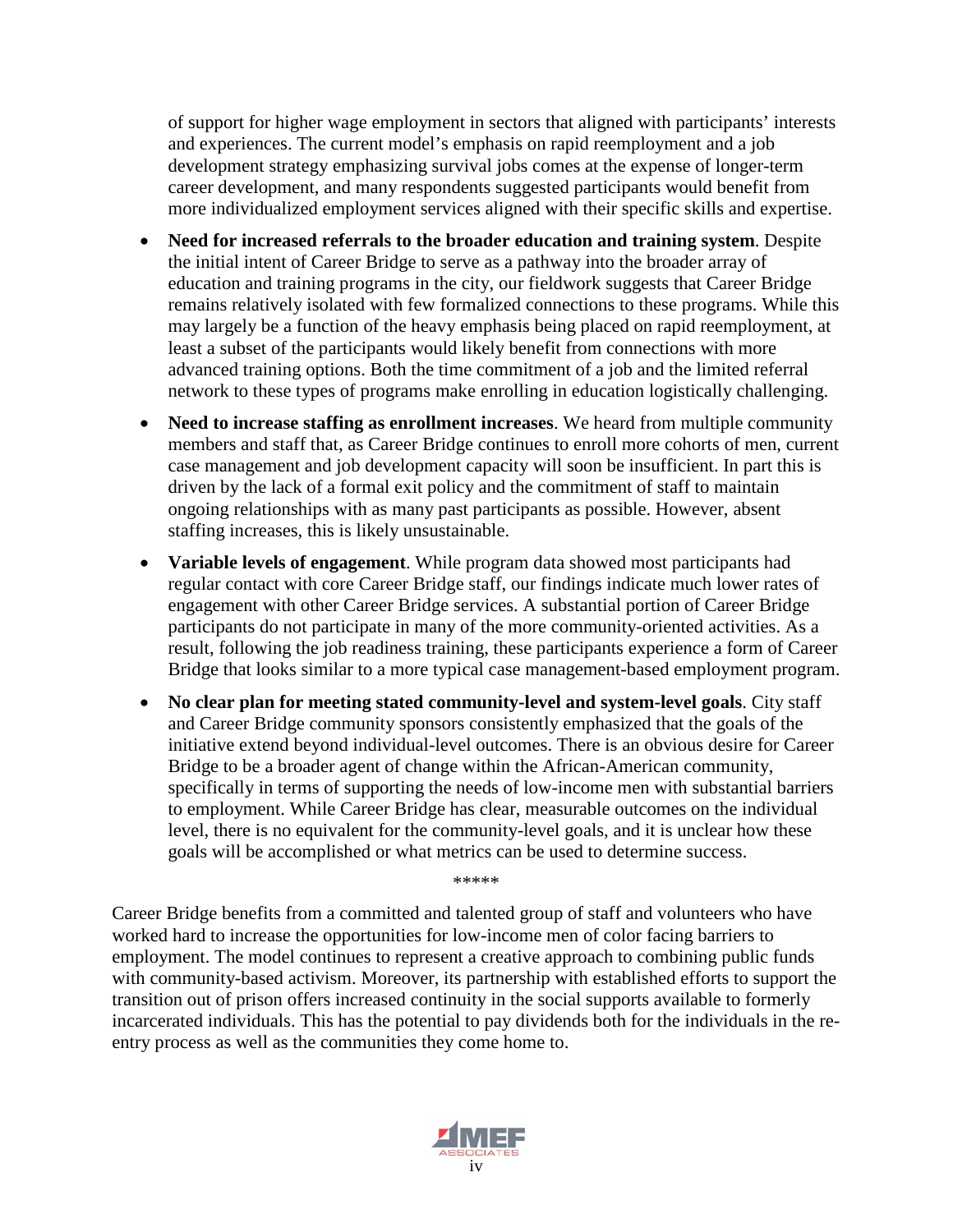of support for higher wage employment in sectors that aligned with participants' interests and experiences. The current model's emphasis on rapid reemployment and a job development strategy emphasizing survival jobs comes at the expense of longer-term career development, and many respondents suggested participants would benefit from more individualized employment services aligned with their specific skills and expertise.

- **Need for increased referrals to the broader education and training system**. Despite the initial intent of Career Bridge to serve as a pathway into the broader array of education and training programs in the city, our fieldwork suggests that Career Bridge remains relatively isolated with few formalized connections to these programs. While this may largely be a function of the heavy emphasis being placed on rapid reemployment, at least a subset of the participants would likely benefit from connections with more advanced training options. Both the time commitment of a job and the limited referral network to these types of programs make enrolling in education logistically challenging.
- **Need to increase staffing as enrollment increases**. We heard from multiple community members and staff that, as Career Bridge continues to enroll more cohorts of men, current case management and job development capacity will soon be insufficient. In part this is driven by the lack of a formal exit policy and the commitment of staff to maintain ongoing relationships with as many past participants as possible. However, absent staffing increases, this is likely unsustainable.
- **Variable levels of engagement**. While program data showed most participants had regular contact with core Career Bridge staff, our findings indicate much lower rates of engagement with other Career Bridge services. A substantial portion of Career Bridge participants do not participate in many of the more community-oriented activities. As a result, following the job readiness training, these participants experience a form of Career Bridge that looks similar to a more typical case management-based employment program.
- **No clear plan for meeting stated community-level and system-level goals**. City staff and Career Bridge community sponsors consistently emphasized that the goals of the initiative extend beyond individual-level outcomes. There is an obvious desire for Career Bridge to be a broader agent of change within the African-American community, specifically in terms of supporting the needs of low-income men with substantial barriers to employment. While Career Bridge has clear, measurable outcomes on the individual level, there is no equivalent for the community-level goals, and it is unclear how these goals will be accomplished or what metrics can be used to determine success.

Career Bridge benefits from a committed and talented group of staff and volunteers who have worked hard to increase the opportunities for low-income men of color facing barriers to employment. The model continues to represent a creative approach to combining public funds with community-based activism. Moreover, its partnership with established efforts to support the transition out of prison offers increased continuity in the social supports available to formerly incarcerated individuals. This has the potential to pay dividends both for the individuals in the reentry process as well as the communities they come home to.

\*\*\*\*\*

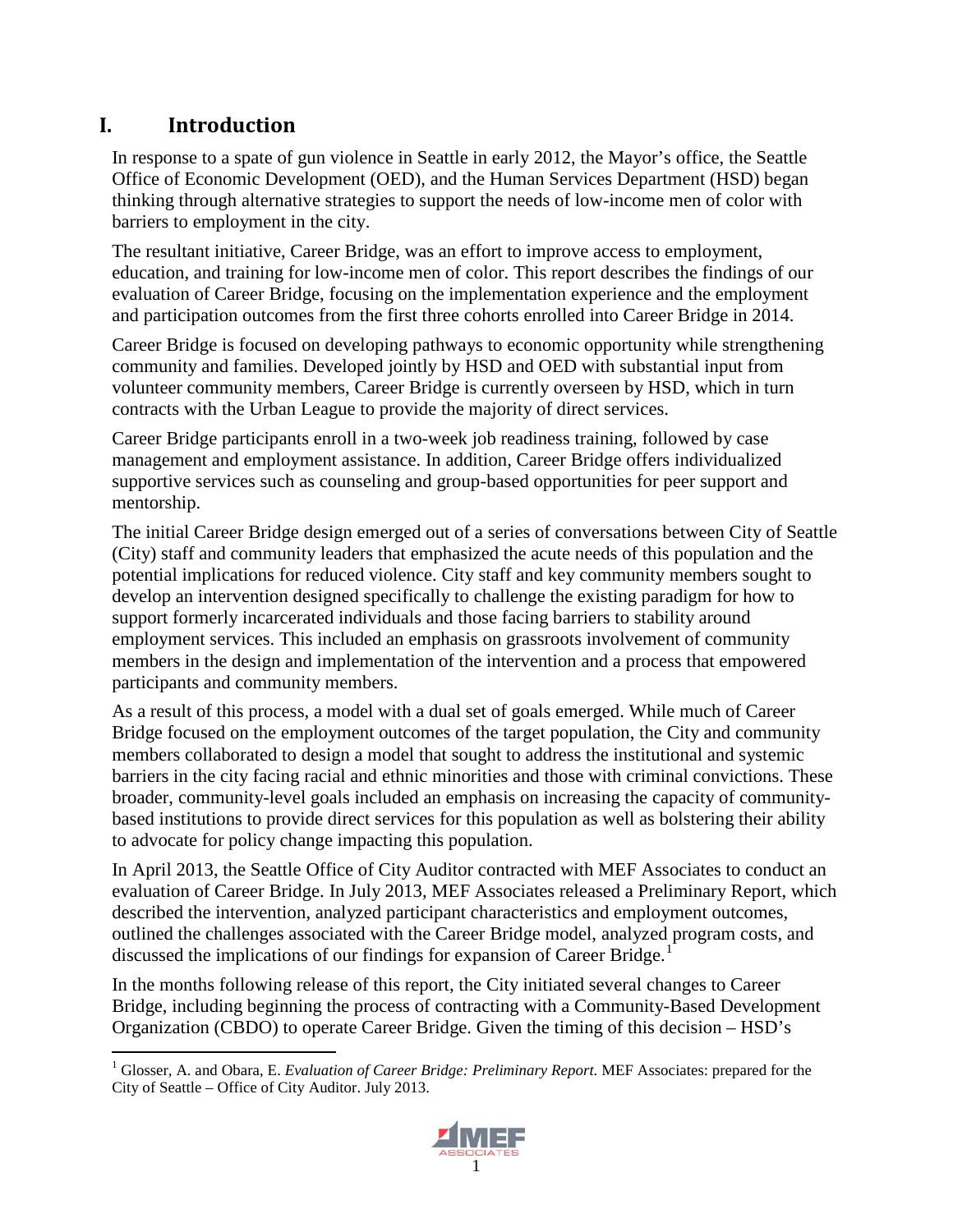## <span id="page-12-0"></span>**I. Introduction**

In response to a spate of gun violence in Seattle in early 2012, the Mayor's office, the Seattle Office of Economic Development (OED), and the Human Services Department (HSD) began thinking through alternative strategies to support the needs of low-income men of color with barriers to employment in the city.

The resultant initiative, Career Bridge, was an effort to improve access to employment, education, and training for low-income men of color. This report describes the findings of our evaluation of Career Bridge, focusing on the implementation experience and the employment and participation outcomes from the first three cohorts enrolled into Career Bridge in 2014.

Career Bridge is focused on developing pathways to economic opportunity while strengthening community and families. Developed jointly by HSD and OED with substantial input from volunteer community members, Career Bridge is currently overseen by HSD, which in turn contracts with the Urban League to provide the majority of direct services.

Career Bridge participants enroll in a two-week job readiness training, followed by case management and employment assistance. In addition, Career Bridge offers individualized supportive services such as counseling and group-based opportunities for peer support and mentorship.

The initial Career Bridge design emerged out of a series of conversations between City of Seattle (City) staff and community leaders that emphasized the acute needs of this population and the potential implications for reduced violence. City staff and key community members sought to develop an intervention designed specifically to challenge the existing paradigm for how to support formerly incarcerated individuals and those facing barriers to stability around employment services. This included an emphasis on grassroots involvement of community members in the design and implementation of the intervention and a process that empowered participants and community members.

As a result of this process, a model with a dual set of goals emerged. While much of Career Bridge focused on the employment outcomes of the target population, the City and community members collaborated to design a model that sought to address the institutional and systemic barriers in the city facing racial and ethnic minorities and those with criminal convictions. These broader, community-level goals included an emphasis on increasing the capacity of communitybased institutions to provide direct services for this population as well as bolstering their ability to advocate for policy change impacting this population.

In April 2013, the Seattle Office of City Auditor contracted with MEF Associates to conduct an evaluation of Career Bridge. In July 2013, MEF Associates released a Preliminary Report, which described the intervention, analyzed participant characteristics and employment outcomes, outlined the challenges associated with the Career Bridge model, analyzed program costs, and discussed the implications of our findings for expansion of Career Bridge.<sup>[1](#page-12-1)</sup>

In the months following release of this report, the City initiated several changes to Career Bridge, including beginning the process of contracting with a Community-Based Development Organization (CBDO) to operate Career Bridge. Given the timing of this decision – HSD's

<span id="page-12-1"></span> <sup>1</sup> Glosser, A. and Obara, E. *Evaluation of Career Bridge: Preliminary Report*. MEF Associates: prepared for the City of Seattle – Office of City Auditor. July 2013.

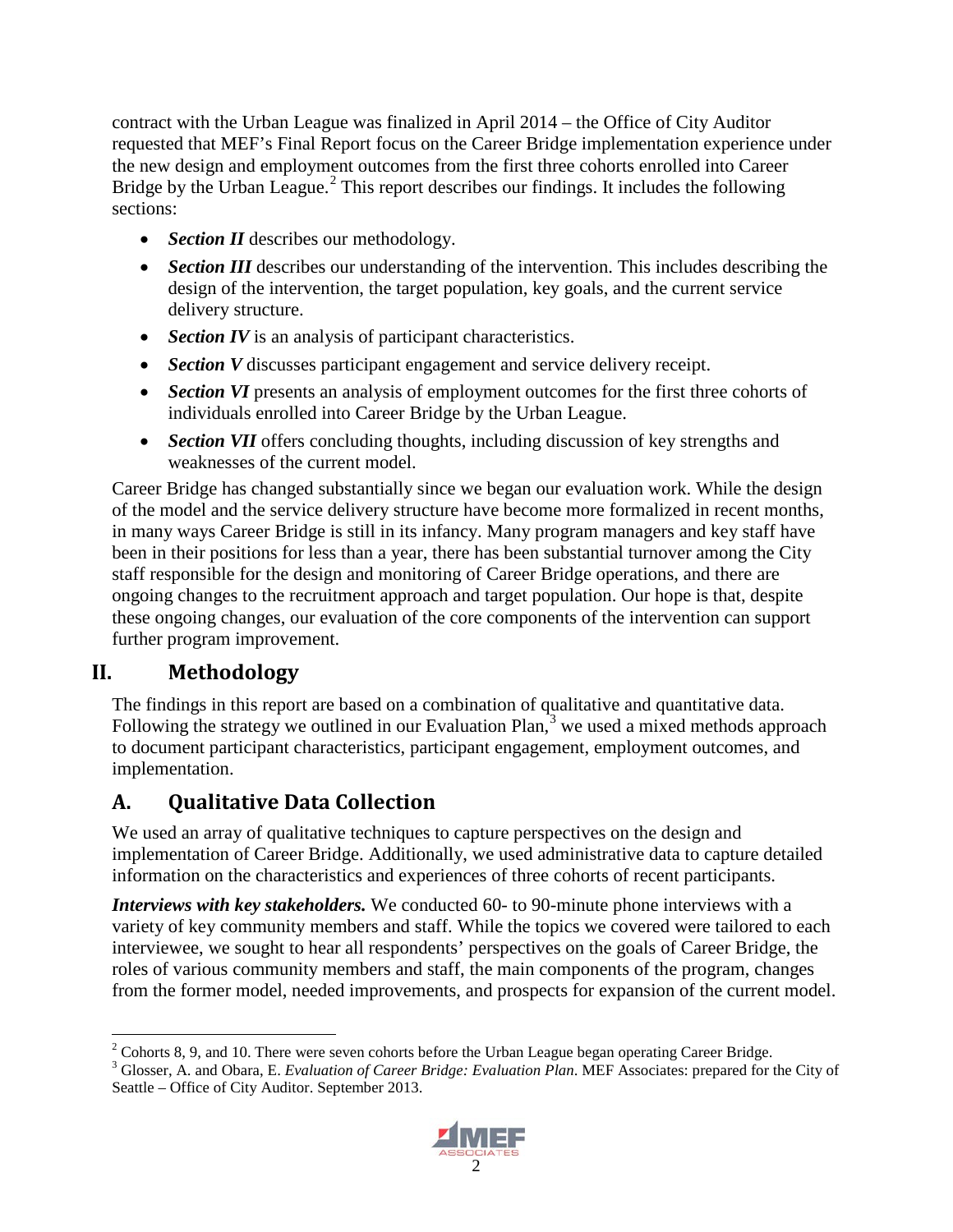contract with the Urban League was finalized in April 2014 – the Office of City Auditor requested that MEF's Final Report focus on the Career Bridge implementation experience under the new design and employment outcomes from the first three cohorts enrolled into Career Bridge by the Urban League.<sup>[2](#page-13-2)</sup> This report describes our findings. It includes the following sections:

- *Section II* describes our methodology.
- *Section III* describes our understanding of the intervention. This includes describing the design of the intervention, the target population, key goals, and the current service delivery structure.
- *Section IV* is an analysis of participant characteristics.
- *Section V* discusses participant engagement and service delivery receipt.
- *Section VI* presents an analysis of employment outcomes for the first three cohorts of individuals enrolled into Career Bridge by the Urban League.
- *Section VII* offers concluding thoughts, including discussion of key strengths and weaknesses of the current model.

Career Bridge has changed substantially since we began our evaluation work. While the design of the model and the service delivery structure have become more formalized in recent months, in many ways Career Bridge is still in its infancy. Many program managers and key staff have been in their positions for less than a year, there has been substantial turnover among the City staff responsible for the design and monitoring of Career Bridge operations, and there are ongoing changes to the recruitment approach and target population. Our hope is that, despite these ongoing changes, our evaluation of the core components of the intervention can support further program improvement.

### <span id="page-13-0"></span>**II. Methodology**

The findings in this report are based on a combination of qualitative and quantitative data. Following the strategy we outlined in our Evaluation Plan,<sup>[3](#page-13-3)</sup> we used a mixed methods approach to document participant characteristics, participant engagement, employment outcomes, and implementation.

## <span id="page-13-1"></span>**A. Qualitative Data Collection**

We used an array of qualitative techniques to capture perspectives on the design and implementation of Career Bridge. Additionally, we used administrative data to capture detailed information on the characteristics and experiences of three cohorts of recent participants.

*Interviews with key stakeholders.* We conducted 60- to 90-minute phone interviews with a variety of key community members and staff. While the topics we covered were tailored to each interviewee, we sought to hear all respondents' perspectives on the goals of Career Bridge, the roles of various community members and staff, the main components of the program, changes from the former model, needed improvements, and prospects for expansion of the current model.

<span id="page-13-3"></span><sup>3</sup> Glosser, A. and Obara, E. *Evaluation of Career Bridge: Evaluation Plan*. MEF Associates: prepared for the City of Seattle – Office of City Auditor. September 2013.



<span id="page-13-2"></span> $2^2$  Cohorts 8, 9, and 10. There were seven cohorts before the Urban League began operating Career Bridge.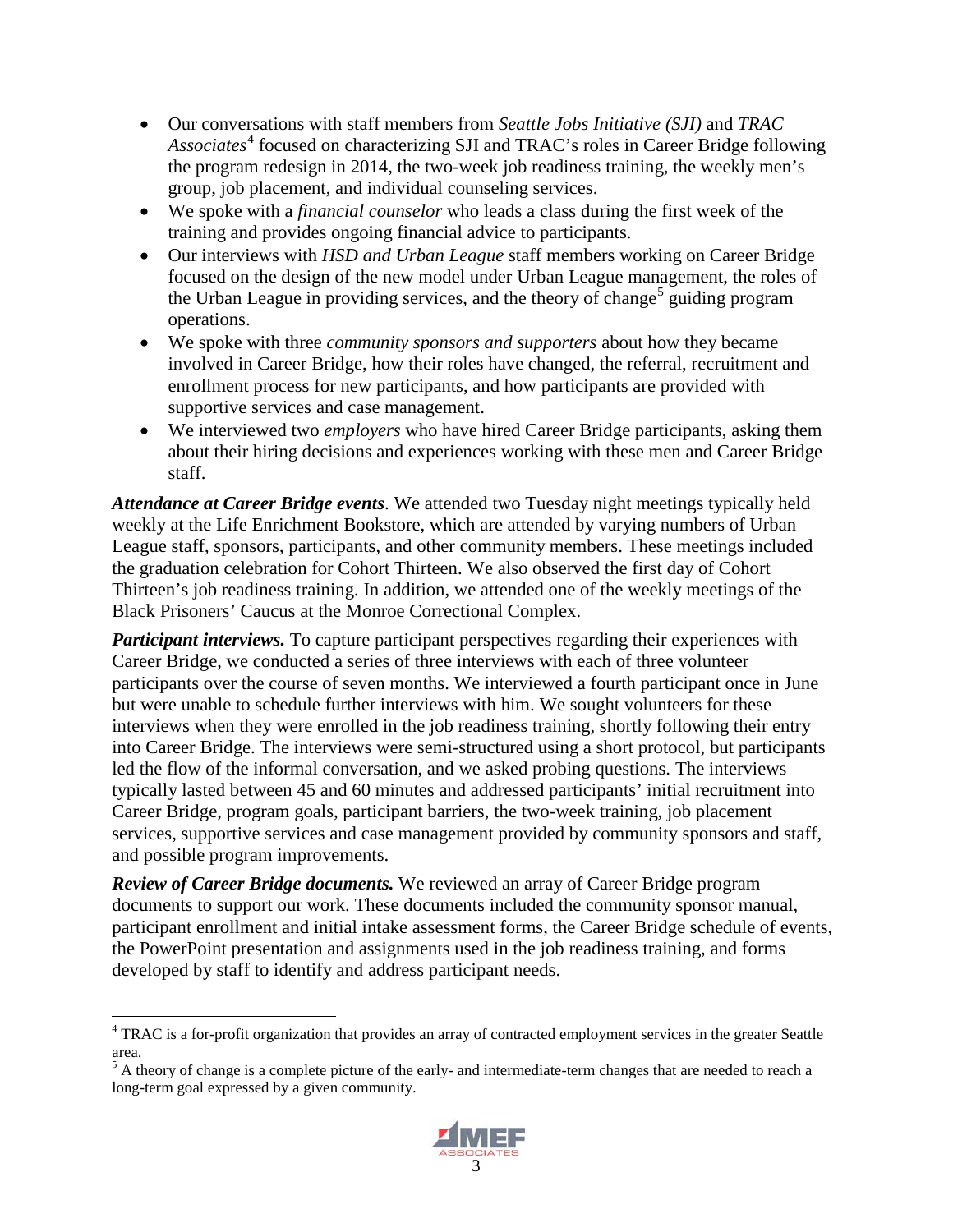- Our conversations with staff members from *Seattle Jobs Initiative (SJI)* and *TRAC*  Associates<sup>[4](#page-14-0)</sup> focused on characterizing SJI and TRAC's roles in Career Bridge following the program redesign in 2014, the two-week job readiness training, the weekly men's group, job placement, and individual counseling services.
- We spoke with a *financial counselor* who leads a class during the first week of the training and provides ongoing financial advice to participants.
- Our interviews with *HSD and Urban League* staff members working on Career Bridge focused on the design of the new model under Urban League management, the roles of the Urban League in providing services, and the theory of change<sup>[5](#page-14-1)</sup> guiding program operations.
- We spoke with three *community sponsors and supporters* about how they became involved in Career Bridge, how their roles have changed, the referral, recruitment and enrollment process for new participants, and how participants are provided with supportive services and case management.
- We interviewed two *employers* who have hired Career Bridge participants, asking them about their hiring decisions and experiences working with these men and Career Bridge staff.

*Attendance at Career Bridge events*. We attended two Tuesday night meetings typically held weekly at the Life Enrichment Bookstore, which are attended by varying numbers of Urban League staff, sponsors, participants, and other community members. These meetings included the graduation celebration for Cohort Thirteen. We also observed the first day of Cohort Thirteen's job readiness training. In addition, we attended one of the weekly meetings of the Black Prisoners' Caucus at the Monroe Correctional Complex.

*Participant interviews.* To capture participant perspectives regarding their experiences with Career Bridge, we conducted a series of three interviews with each of three volunteer participants over the course of seven months. We interviewed a fourth participant once in June but were unable to schedule further interviews with him. We sought volunteers for these interviews when they were enrolled in the job readiness training, shortly following their entry into Career Bridge. The interviews were semi-structured using a short protocol, but participants led the flow of the informal conversation, and we asked probing questions. The interviews typically lasted between 45 and 60 minutes and addressed participants' initial recruitment into Career Bridge, program goals, participant barriers, the two-week training, job placement services, supportive services and case management provided by community sponsors and staff, and possible program improvements.

*Review of Career Bridge documents.* We reviewed an array of Career Bridge program documents to support our work. These documents included the community sponsor manual, participant enrollment and initial intake assessment forms, the Career Bridge schedule of events, the PowerPoint presentation and assignments used in the job readiness training, and forms developed by staff to identify and address participant needs.

<span id="page-14-1"></span>long-term goal expressed by a given community.



<span id="page-14-0"></span><sup>&</sup>lt;sup>4</sup> TRAC is a for-profit organization that provides an array of contracted employment services in the greater Seattle area.<br><sup>5</sup> A theory of change is a complete picture of the early- and intermediate-term changes that are needed to reach a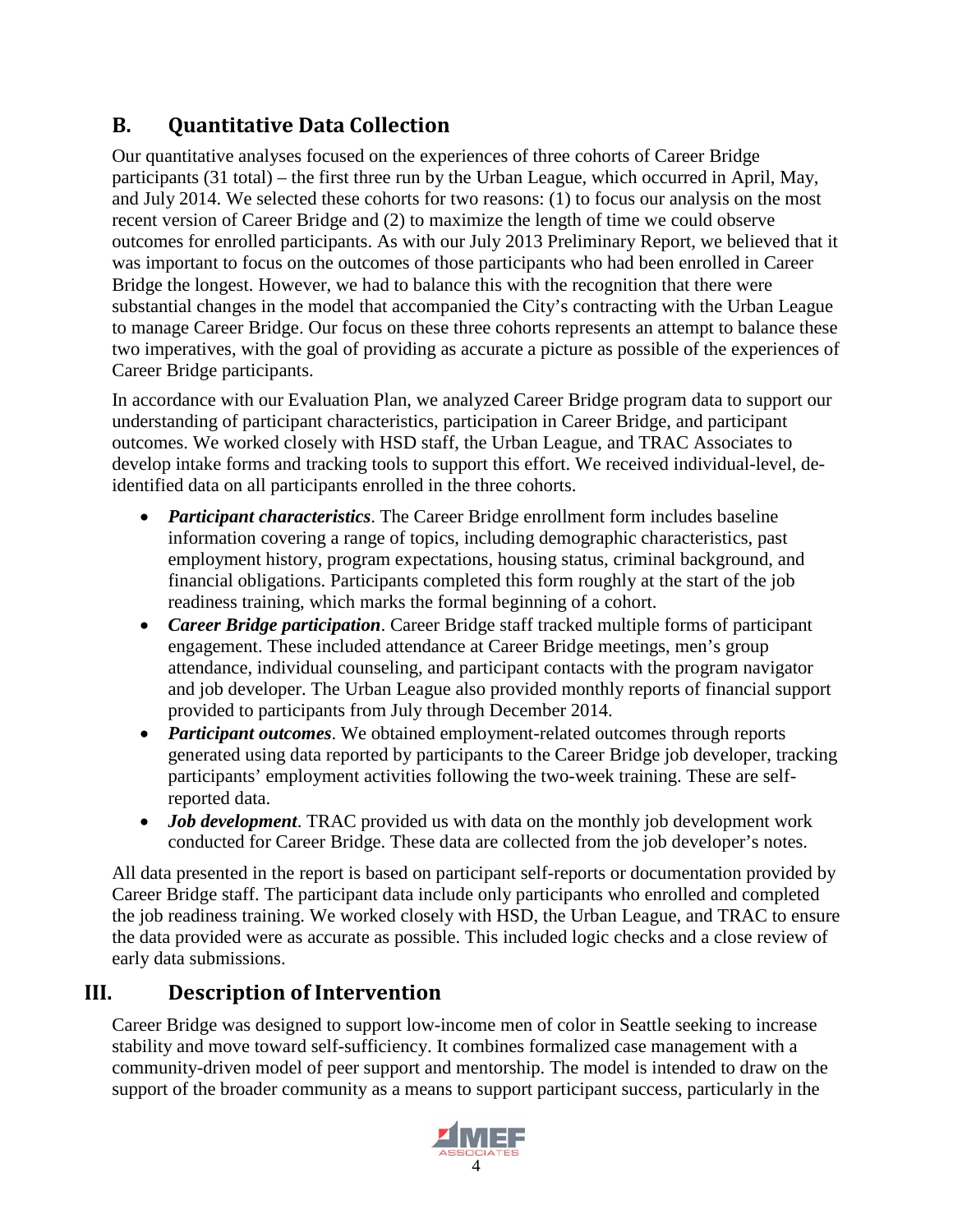## <span id="page-15-0"></span>**B. Quantitative Data Collection**

Our quantitative analyses focused on the experiences of three cohorts of Career Bridge participants (31 total) – the first three run by the Urban League, which occurred in April, May, and July 2014. We selected these cohorts for two reasons: (1) to focus our analysis on the most recent version of Career Bridge and (2) to maximize the length of time we could observe outcomes for enrolled participants. As with our July 2013 Preliminary Report, we believed that it was important to focus on the outcomes of those participants who had been enrolled in Career Bridge the longest. However, we had to balance this with the recognition that there were substantial changes in the model that accompanied the City's contracting with the Urban League to manage Career Bridge. Our focus on these three cohorts represents an attempt to balance these two imperatives, with the goal of providing as accurate a picture as possible of the experiences of Career Bridge participants.

In accordance with our Evaluation Plan, we analyzed Career Bridge program data to support our understanding of participant characteristics, participation in Career Bridge, and participant outcomes. We worked closely with HSD staff, the Urban League, and TRAC Associates to develop intake forms and tracking tools to support this effort. We received individual-level, deidentified data on all participants enrolled in the three cohorts.

- *Participant characteristics*. The Career Bridge enrollment form includes baseline information covering a range of topics, including demographic characteristics, past employment history, program expectations, housing status, criminal background, and financial obligations. Participants completed this form roughly at the start of the job readiness training, which marks the formal beginning of a cohort.
- *Career Bridge participation*. Career Bridge staff tracked multiple forms of participant engagement. These included attendance at Career Bridge meetings, men's group attendance, individual counseling, and participant contacts with the program navigator and job developer. The Urban League also provided monthly reports of financial support provided to participants from July through December 2014.
- *Participant outcomes*. We obtained employment-related outcomes through reports generated using data reported by participants to the Career Bridge job developer, tracking participants' employment activities following the two-week training. These are selfreported data.
- *Job development*. TRAC provided us with data on the monthly job development work conducted for Career Bridge. These data are collected from the job developer's notes.

All data presented in the report is based on participant self-reports or documentation provided by Career Bridge staff. The participant data include only participants who enrolled and completed the job readiness training. We worked closely with HSD, the Urban League, and TRAC to ensure the data provided were as accurate as possible. This included logic checks and a close review of early data submissions.

## <span id="page-15-1"></span>**III. Description of Intervention**

Career Bridge was designed to support low-income men of color in Seattle seeking to increase stability and move toward self-sufficiency. It combines formalized case management with a community-driven model of peer support and mentorship. The model is intended to draw on the support of the broader community as a means to support participant success, particularly in the

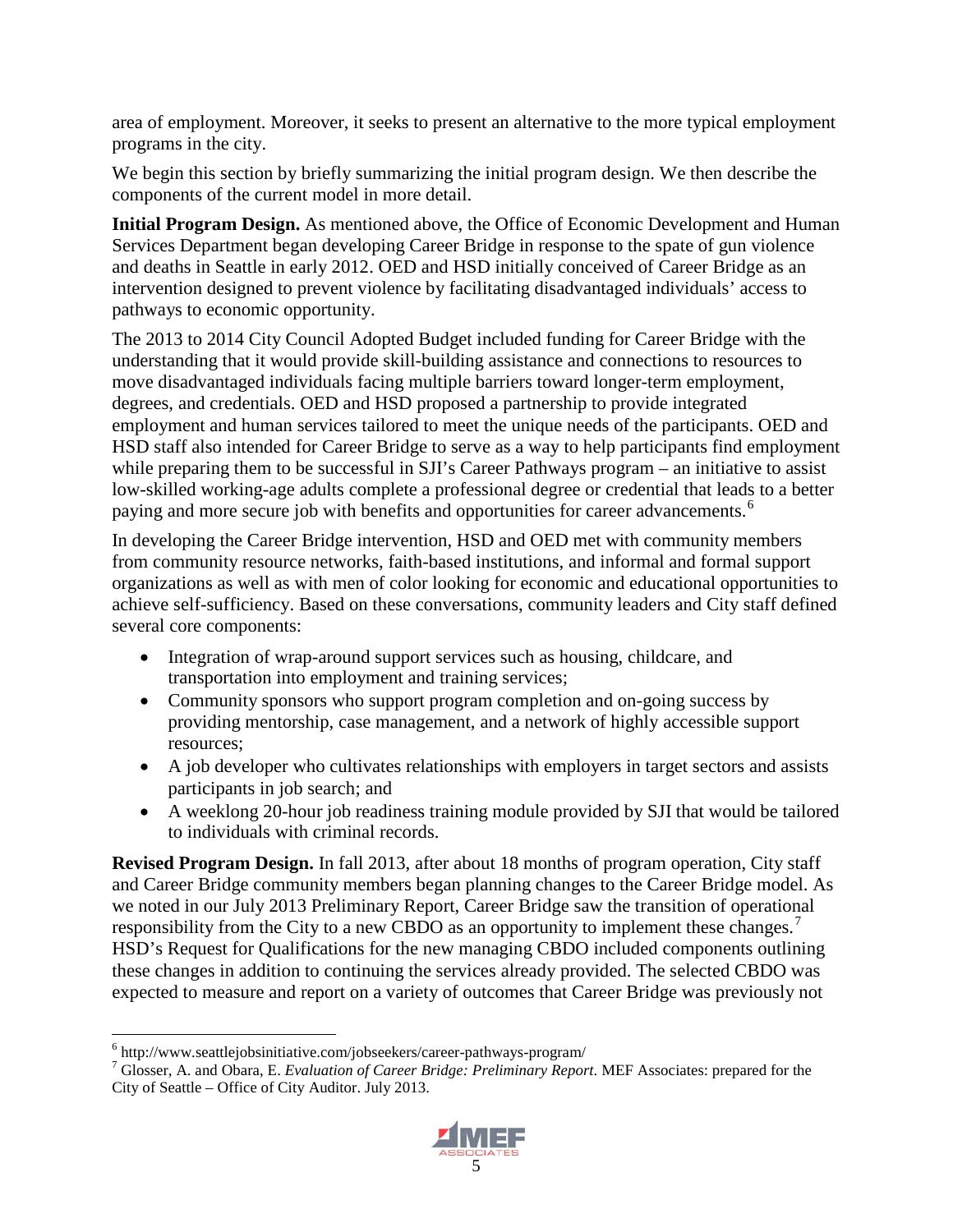area of employment. Moreover, it seeks to present an alternative to the more typical employment programs in the city.

We begin this section by briefly summarizing the initial program design. We then describe the components of the current model in more detail.

**Initial Program Design.** As mentioned above, the Office of Economic Development and Human Services Department began developing Career Bridge in response to the spate of gun violence and deaths in Seattle in early 2012. OED and HSD initially conceived of Career Bridge as an intervention designed to prevent violence by facilitating disadvantaged individuals' access to pathways to economic opportunity.

The 2013 to 2014 City Council Adopted Budget included funding for Career Bridge with the understanding that it would provide skill-building assistance and connections to resources to move disadvantaged individuals facing multiple barriers toward longer-term employment, degrees, and credentials. OED and HSD proposed a partnership to provide integrated employment and human services tailored to meet the unique needs of the participants. OED and HSD staff also intended for Career Bridge to serve as a way to help participants find employment while preparing them to be successful in SJI's Career Pathways program – an initiative to assist low-skilled working-age adults complete a professional degree or credential that leads to a better paying and more secure job with benefits and opportunities for career advancements.<sup>[6](#page-16-0)</sup>

In developing the Career Bridge intervention, HSD and OED met with community members from community resource networks, faith-based institutions, and informal and formal support organizations as well as with men of color looking for economic and educational opportunities to achieve self-sufficiency. Based on these conversations, community leaders and City staff defined several core components:

- Integration of wrap-around support services such as housing, childcare, and transportation into employment and training services;
- Community sponsors who support program completion and on-going success by providing mentorship, case management, and a network of highly accessible support resources;
- A job developer who cultivates relationships with employers in target sectors and assists participants in job search; and
- A weeklong 20-hour job readiness training module provided by SJI that would be tailored to individuals with criminal records.

**Revised Program Design.** In fall 2013, after about 18 months of program operation, City staff and Career Bridge community members began planning changes to the Career Bridge model. As we noted in our July 2013 Preliminary Report, Career Bridge saw the transition of operational responsibility from the City to a new CBDO as an opportunity to implement these changes.<sup>[7](#page-16-1)</sup> HSD's Request for Qualifications for the new managing CBDO included components outlining these changes in addition to continuing the services already provided. The selected CBDO was expected to measure and report on a variety of outcomes that Career Bridge was previously not

<span id="page-16-1"></span><span id="page-16-0"></span><sup>6</sup> http://www.seattlejobsinitiative.com/jobseekers/career-pathways-program/ <sup>7</sup> Glosser, A. and Obara, E. *Evaluation of Career Bridge: Preliminary Report*. MEF Associates: prepared for the City of Seattle – Office of City Auditor. July 2013.

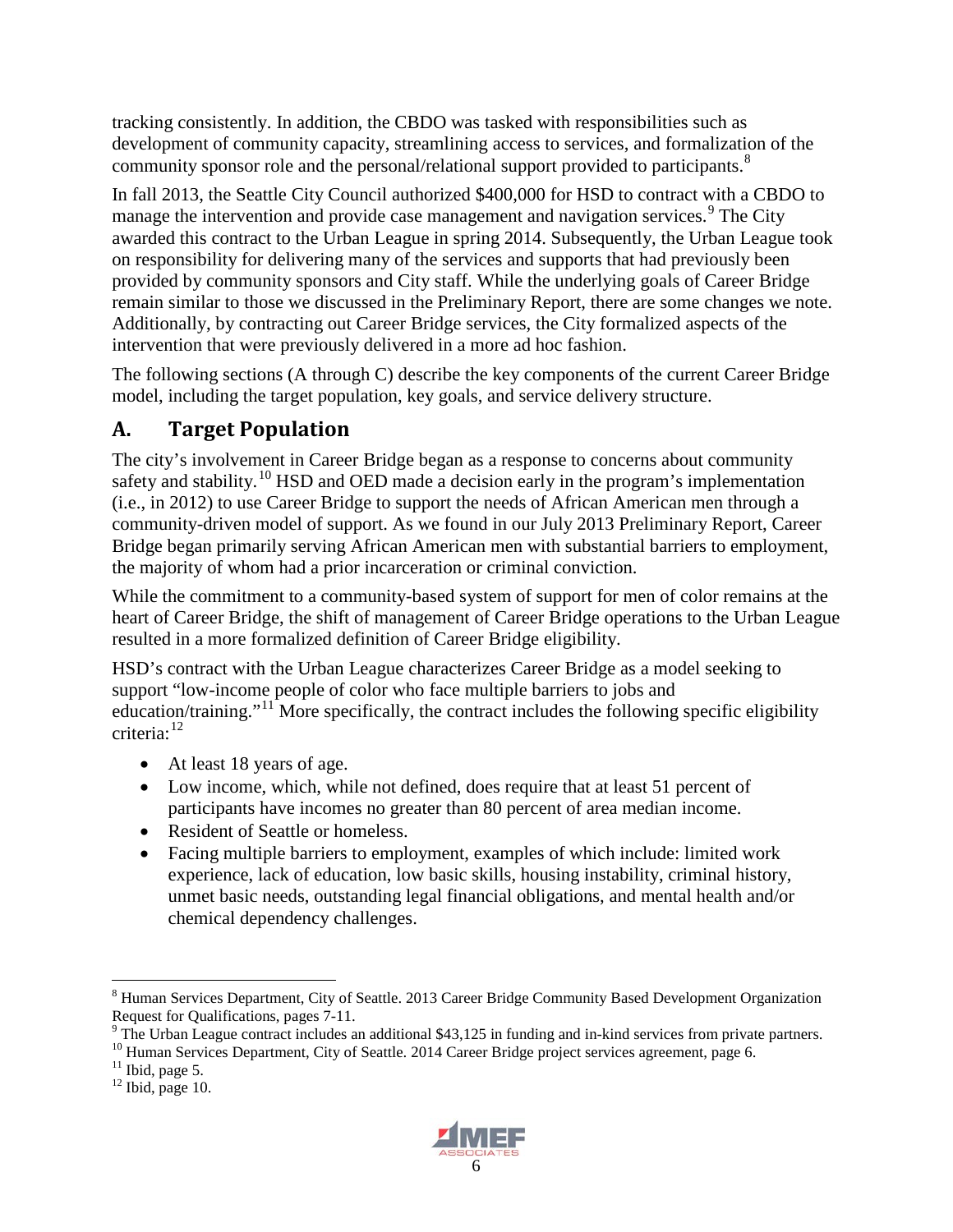tracking consistently. In addition, the CBDO was tasked with responsibilities such as development of community capacity, streamlining access to services, and formalization of the community sponsor role and the personal/relational support provided to participants.<sup>[8](#page-17-1)</sup>

In fall 2013, the Seattle City Council authorized \$400,000 for HSD to contract with a CBDO to manage the intervention and provide case management and navigation services.<sup>[9](#page-17-2)</sup> The City awarded this contract to the Urban League in spring 2014. Subsequently, the Urban League took on responsibility for delivering many of the services and supports that had previously been provided by community sponsors and City staff. While the underlying goals of Career Bridge remain similar to those we discussed in the Preliminary Report, there are some changes we note. Additionally, by contracting out Career Bridge services, the City formalized aspects of the intervention that were previously delivered in a more ad hoc fashion.

The following sections (A through C) describe the key components of the current Career Bridge model, including the target population, key goals, and service delivery structure.

## <span id="page-17-0"></span>**A. Target Population**

The city's involvement in Career Bridge began as a response to concerns about community safety and stability.<sup>[10](#page-17-3)</sup> HSD and OED made a decision early in the program's implementation (i.e., in 2012) to use Career Bridge to support the needs of African American men through a community-driven model of support. As we found in our July 2013 Preliminary Report, Career Bridge began primarily serving African American men with substantial barriers to employment, the majority of whom had a prior incarceration or criminal conviction.

While the commitment to a community-based system of support for men of color remains at the heart of Career Bridge, the shift of management of Career Bridge operations to the Urban League resulted in a more formalized definition of Career Bridge eligibility.

HSD's contract with the Urban League characterizes Career Bridge as a model seeking to support "low-income people of color who face multiple barriers to jobs and education/training."[11](#page-17-4) More specifically, the contract includes the following specific eligibility criteria: [12](#page-17-5)

- At least 18 years of age.
- Low income, which, while not defined, does require that at least 51 percent of participants have incomes no greater than 80 percent of area median income.
- Resident of Seattle or homeless.
- Facing multiple barriers to employment, examples of which include: limited work experience, lack of education, low basic skills, housing instability, criminal history, unmet basic needs, outstanding legal financial obligations, and mental health and/or chemical dependency challenges.



<span id="page-17-1"></span> <sup>8</sup> Human Services Department, City of Seattle. 2013 Career Bridge Community Based Development Organization

<span id="page-17-2"></span>Request for Qualifications, pages 7-11.<br>
<sup>9</sup> The Urban League contract includes an additional \$43,125 in funding and in-kind services from private partners.<br>
<sup>10</sup> Human Services Department, City of Seattle. 2014 Career Br

<span id="page-17-4"></span><span id="page-17-3"></span>

<span id="page-17-5"></span>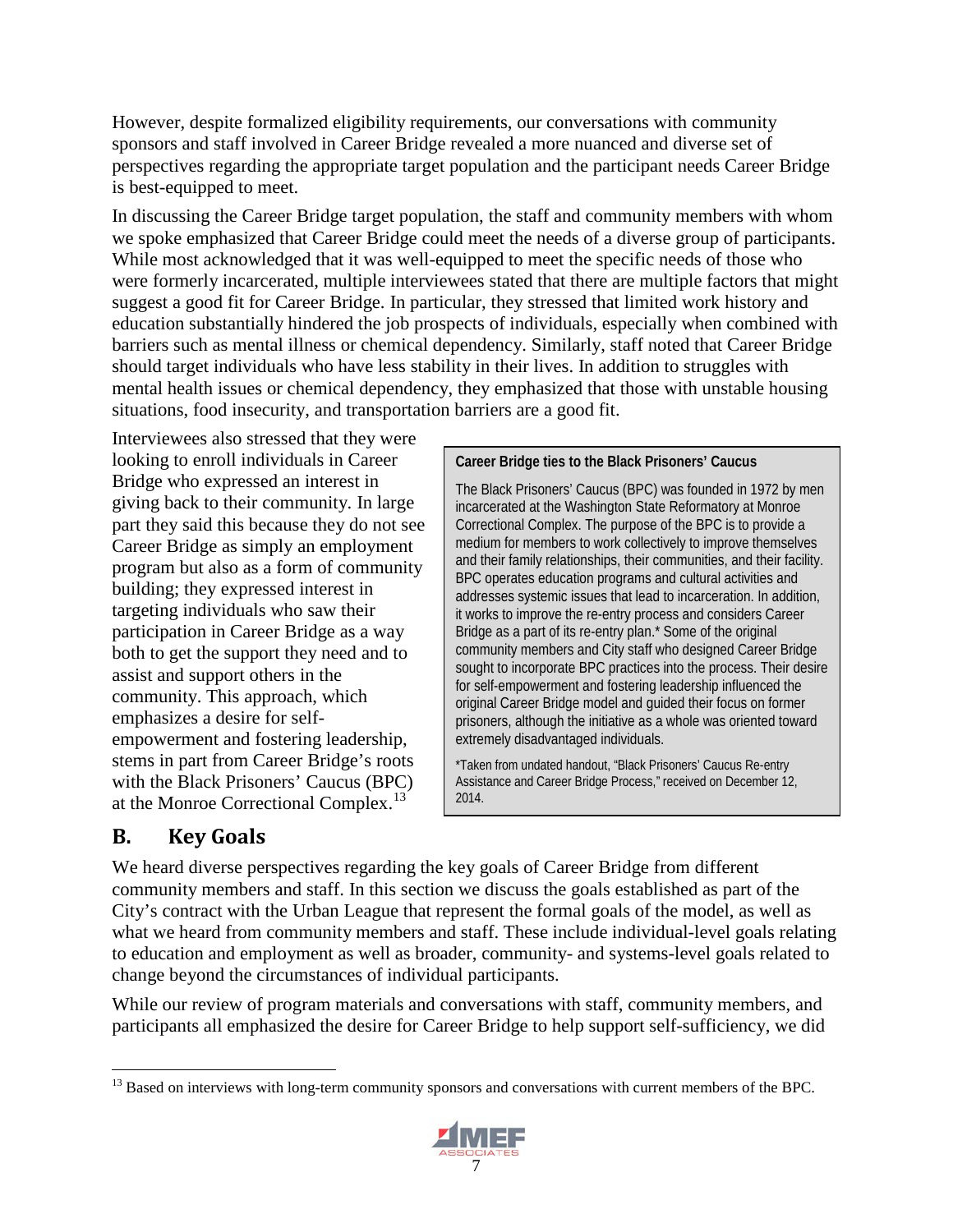However, despite formalized eligibility requirements, our conversations with community sponsors and staff involved in Career Bridge revealed a more nuanced and diverse set of perspectives regarding the appropriate target population and the participant needs Career Bridge is best-equipped to meet.

In discussing the Career Bridge target population, the staff and community members with whom we spoke emphasized that Career Bridge could meet the needs of a diverse group of participants. While most acknowledged that it was well-equipped to meet the specific needs of those who were formerly incarcerated, multiple interviewees stated that there are multiple factors that might suggest a good fit for Career Bridge. In particular, they stressed that limited work history and education substantially hindered the job prospects of individuals, especially when combined with barriers such as mental illness or chemical dependency. Similarly, staff noted that Career Bridge should target individuals who have less stability in their lives. In addition to struggles with mental health issues or chemical dependency, they emphasized that those with unstable housing situations, food insecurity, and transportation barriers are a good fit.

Interviewees also stressed that they were looking to enroll individuals in Career Bridge who expressed an interest in giving back to their community. In large part they said this because they do not see Career Bridge as simply an employment program but also as a form of community building; they expressed interest in targeting individuals who saw their participation in Career Bridge as a way both to get the support they need and to assist and support others in the community. This approach, which emphasizes a desire for selfempowerment and fostering leadership, stems in part from Career Bridge's roots with the Black Prisoners' Caucus (BPC) at the Monroe Correctional Complex.<sup>[13](#page-18-1)</sup>

#### **Career Bridge ties to the Black Prisoners' Caucus**

The Black Prisoners' Caucus (BPC) was founded in 1972 by men incarcerated at the Washington State Reformatory at Monroe Correctional Complex. The purpose of the BPC is to provide a medium for members to work collectively to improve themselves and their family relationships, their communities, and their facility. BPC operates education programs and cultural activities and addresses systemic issues that lead to incarceration. In addition, it works to improve the re-entry process and considers Career Bridge as a part of its re-entry plan.\* Some of the original community members and City staff who designed Career Bridge sought to incorporate BPC practices into the process. Their desire for self-empowerment and fostering leadership influenced the original Career Bridge model and guided their focus on former prisoners, although the initiative as a whole was oriented toward extremely disadvantaged individuals.

\*Taken from undated handout, "Black Prisoners' Caucus Re-entry Assistance and Career Bridge Process," received on December 12, 2014.

## <span id="page-18-0"></span>**B. Key Goals**

We heard diverse perspectives regarding the key goals of Career Bridge from different community members and staff. In this section we discuss the goals established as part of the City's contract with the Urban League that represent the formal goals of the model, as well as what we heard from community members and staff. These include individual-level goals relating to education and employment as well as broader, community- and systems-level goals related to change beyond the circumstances of individual participants.

While our review of program materials and conversations with staff, community members, and participants all emphasized the desire for Career Bridge to help support self-sufficiency, we did

<span id="page-18-1"></span><sup>&</sup>lt;sup>13</sup> Based on interviews with long-term community sponsors and conversations with current members of the BPC.

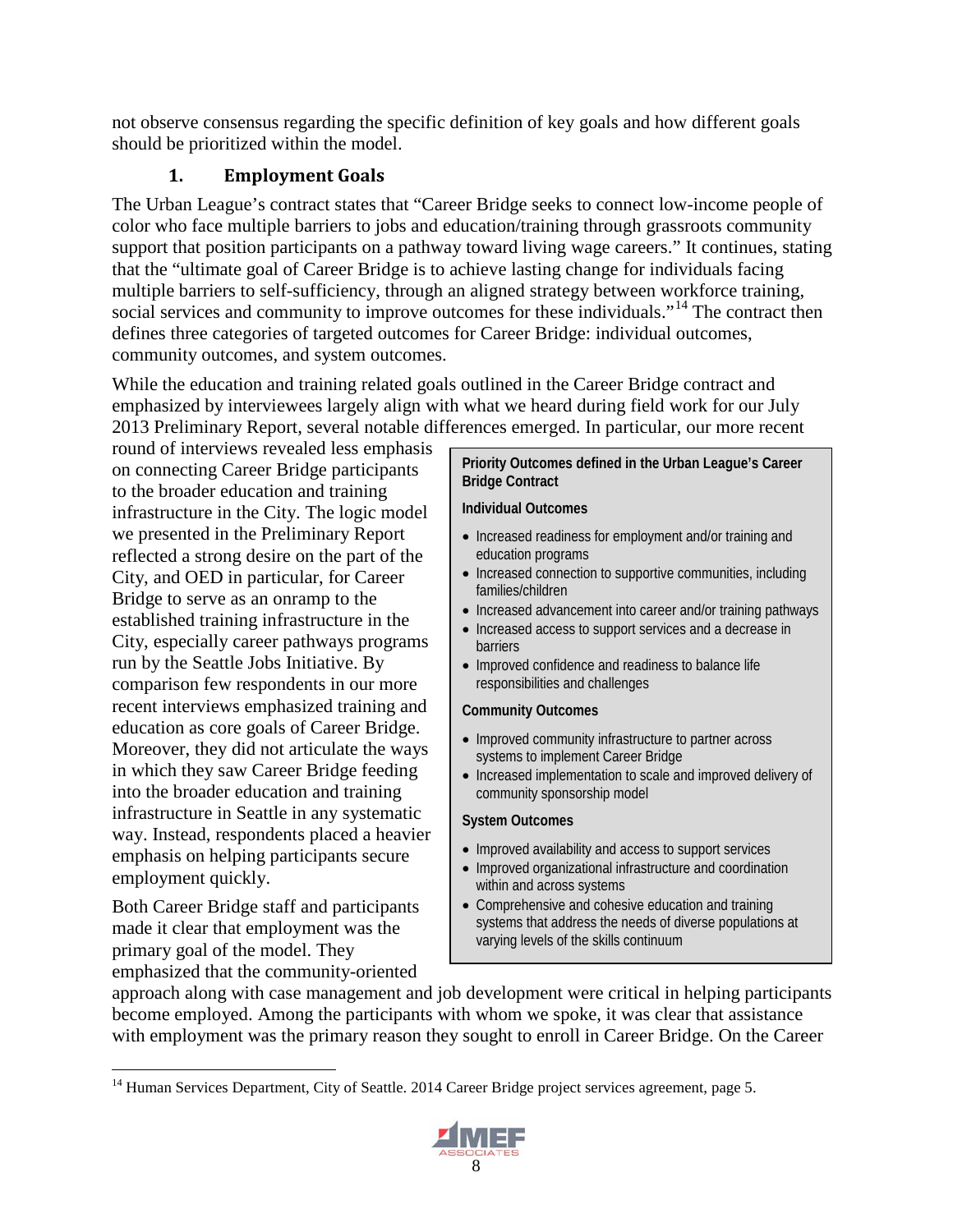not observe consensus regarding the specific definition of key goals and how different goals should be prioritized within the model.

### **1. Employment Goals**

<span id="page-19-0"></span>The Urban League's contract states that "Career Bridge seeks to connect low-income people of color who face multiple barriers to jobs and education/training through grassroots community support that position participants on a pathway toward living wage careers." It continues, stating that the "ultimate goal of Career Bridge is to achieve lasting change for individuals facing multiple barriers to self-sufficiency, through an aligned strategy between workforce training, social services and community to improve outcomes for these individuals."<sup>[14](#page-19-1)</sup> The contract then defines three categories of targeted outcomes for Career Bridge: individual outcomes, community outcomes, and system outcomes.

While the education and training related goals outlined in the Career Bridge contract and emphasized by interviewees largely align with what we heard during field work for our July 2013 Preliminary Report, several notable differences emerged. In particular, our more recent

round of interviews revealed less emphasis on connecting Career Bridge participants to the broader education and training infrastructure in the City. The logic model we presented in the Preliminary Report reflected a strong desire on the part of the City, and OED in particular, for Career Bridge to serve as an onramp to the established training infrastructure in the City, especially career pathways programs run by the Seattle Jobs Initiative. By comparison few respondents in our more recent interviews emphasized training and education as core goals of Career Bridge. Moreover, they did not articulate the ways in which they saw Career Bridge feeding into the broader education and training infrastructure in Seattle in any systematic way. Instead, respondents placed a heavier emphasis on helping participants secure employment quickly.

Both Career Bridge staff and participants made it clear that employment was the primary goal of the model. They emphasized that the community-oriented

#### **Priority Outcomes defined in the Urban League's Career Bridge Contract**

#### **Individual Outcomes**

- Increased readiness for employment and/or training and education programs
- Increased connection to supportive communities, including families/children
- Increased advancement into career and/or training pathways
- Increased access to support services and a decrease in barriers
- Improved confidence and readiness to balance life responsibilities and challenges

#### **Community Outcomes**

- Improved community infrastructure to partner across systems to implement Career Bridge
- Increased implementation to scale and improved delivery of community sponsorship model

#### **System Outcomes**

- Improved availability and access to support services
- Improved organizational infrastructure and coordination within and across systems
- Comprehensive and cohesive education and training systems that address the needs of diverse populations at varying levels of the skills continuum

approach along with case management and job development were critical in helping participants become employed. Among the participants with whom we spoke, it was clear that assistance with employment was the primary reason they sought to enroll in Career Bridge. On the Career

<span id="page-19-1"></span><sup>&</sup>lt;sup>14</sup> Human Services Department, City of Seattle. 2014 Career Bridge project services agreement, page 5.

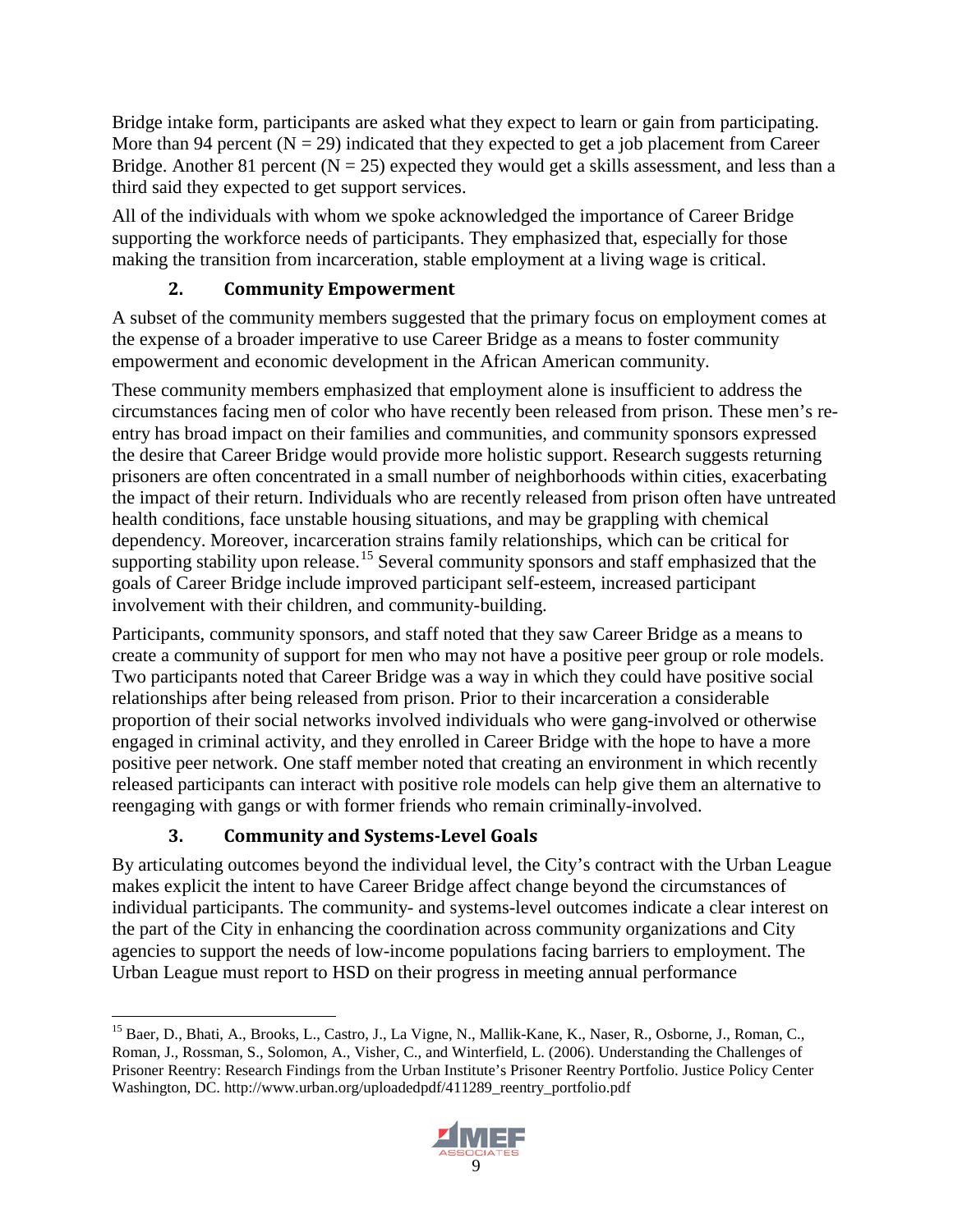Bridge intake form, participants are asked what they expect to learn or gain from participating. More than 94 percent  $(N = 29)$  indicated that they expected to get a job placement from Career Bridge. Another 81 percent ( $N = 25$ ) expected they would get a skills assessment, and less than a third said they expected to get support services.

All of the individuals with whom we spoke acknowledged the importance of Career Bridge supporting the workforce needs of participants. They emphasized that, especially for those making the transition from incarceration, stable employment at a living wage is critical.

### **2. Community Empowerment**

<span id="page-20-0"></span>A subset of the community members suggested that the primary focus on employment comes at the expense of a broader imperative to use Career Bridge as a means to foster community empowerment and economic development in the African American community.

These community members emphasized that employment alone is insufficient to address the circumstances facing men of color who have recently been released from prison. These men's reentry has broad impact on their families and communities, and community sponsors expressed the desire that Career Bridge would provide more holistic support. Research suggests returning prisoners are often concentrated in a small number of neighborhoods within cities, exacerbating the impact of their return. Individuals who are recently released from prison often have untreated health conditions, face unstable housing situations, and may be grappling with chemical dependency. Moreover, incarceration strains family relationships, which can be critical for supporting stability upon release.<sup>[15](#page-20-2)</sup> Several community sponsors and staff emphasized that the goals of Career Bridge include improved participant self-esteem, increased participant involvement with their children, and community-building.

Participants, community sponsors, and staff noted that they saw Career Bridge as a means to create a community of support for men who may not have a positive peer group or role models. Two participants noted that Career Bridge was a way in which they could have positive social relationships after being released from prison. Prior to their incarceration a considerable proportion of their social networks involved individuals who were gang-involved or otherwise engaged in criminal activity, and they enrolled in Career Bridge with the hope to have a more positive peer network. One staff member noted that creating an environment in which recently released participants can interact with positive role models can help give them an alternative to reengaging with gangs or with former friends who remain criminally-involved.

### **3. Community and Systems-Level Goals**

<span id="page-20-1"></span>By articulating outcomes beyond the individual level, the City's contract with the Urban League makes explicit the intent to have Career Bridge affect change beyond the circumstances of individual participants. The community- and systems-level outcomes indicate a clear interest on the part of the City in enhancing the coordination across community organizations and City agencies to support the needs of low-income populations facing barriers to employment. The Urban League must report to HSD on their progress in meeting annual performance

<span id="page-20-2"></span> <sup>15</sup> Baer, D., Bhati, A., Brooks, L., Castro, J., La Vigne, N., Mallik-Kane, K., Naser, R., Osborne, J., Roman, C., Roman, J., Rossman, S., Solomon, A., Visher, C., and Winterfield, L. (2006). Understanding the Challenges of Prisoner Reentry: Research Findings from the Urban Institute's Prisoner Reentry Portfolio. Justice Policy Center Washington, DC. http://www.urban.org/uploadedpdf/411289\_reentry\_portfolio.pdf

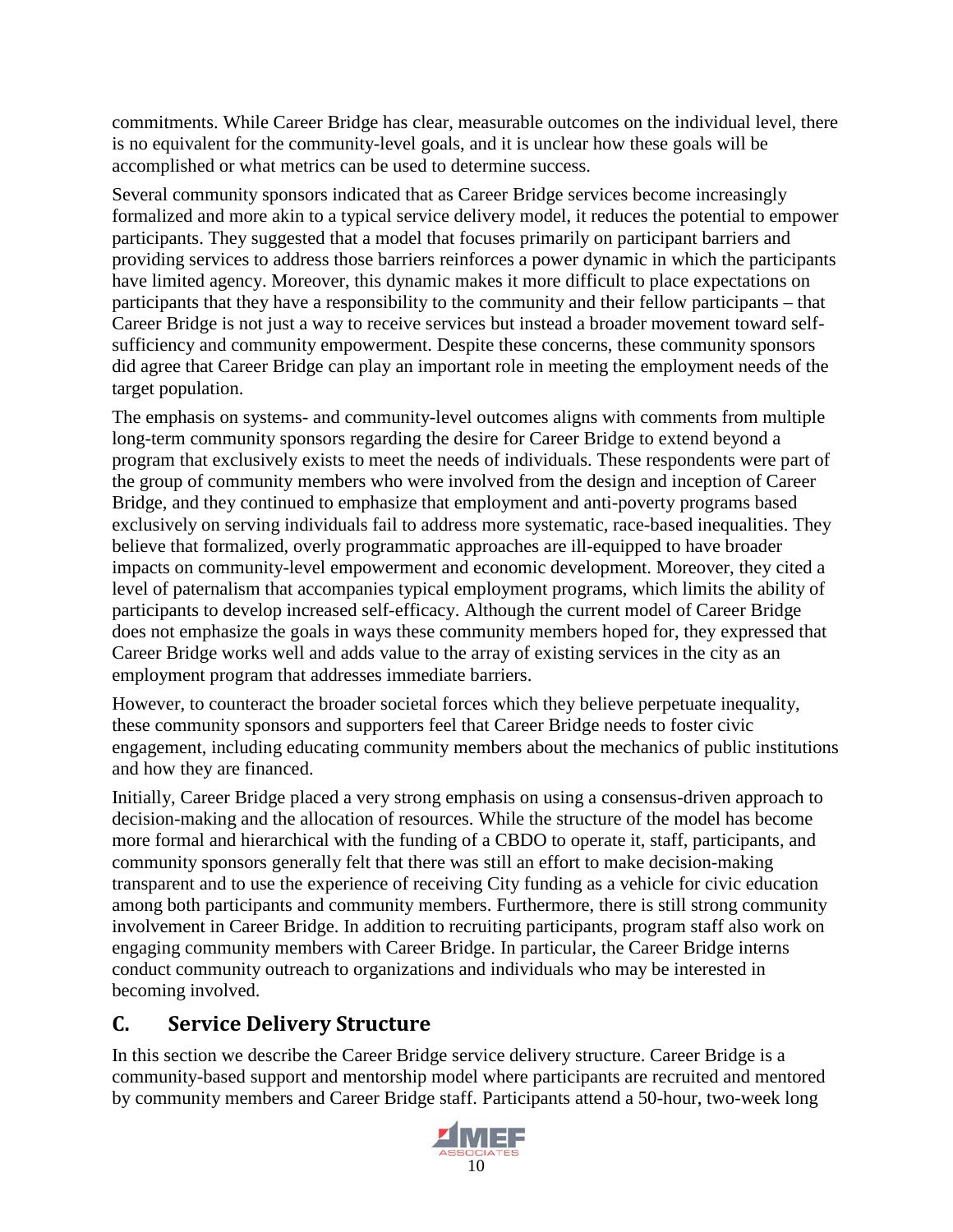commitments. While Career Bridge has clear, measurable outcomes on the individual level, there is no equivalent for the community-level goals, and it is unclear how these goals will be accomplished or what metrics can be used to determine success.

Several community sponsors indicated that as Career Bridge services become increasingly formalized and more akin to a typical service delivery model, it reduces the potential to empower participants. They suggested that a model that focuses primarily on participant barriers and providing services to address those barriers reinforces a power dynamic in which the participants have limited agency. Moreover, this dynamic makes it more difficult to place expectations on participants that they have a responsibility to the community and their fellow participants – that Career Bridge is not just a way to receive services but instead a broader movement toward selfsufficiency and community empowerment. Despite these concerns, these community sponsors did agree that Career Bridge can play an important role in meeting the employment needs of the target population.

The emphasis on systems- and community-level outcomes aligns with comments from multiple long-term community sponsors regarding the desire for Career Bridge to extend beyond a program that exclusively exists to meet the needs of individuals. These respondents were part of the group of community members who were involved from the design and inception of Career Bridge, and they continued to emphasize that employment and anti-poverty programs based exclusively on serving individuals fail to address more systematic, race-based inequalities. They believe that formalized, overly programmatic approaches are ill-equipped to have broader impacts on community-level empowerment and economic development. Moreover, they cited a level of paternalism that accompanies typical employment programs, which limits the ability of participants to develop increased self-efficacy. Although the current model of Career Bridge does not emphasize the goals in ways these community members hoped for, they expressed that Career Bridge works well and adds value to the array of existing services in the city as an employment program that addresses immediate barriers.

However, to counteract the broader societal forces which they believe perpetuate inequality, these community sponsors and supporters feel that Career Bridge needs to foster civic engagement, including educating community members about the mechanics of public institutions and how they are financed.

Initially, Career Bridge placed a very strong emphasis on using a consensus-driven approach to decision-making and the allocation of resources. While the structure of the model has become more formal and hierarchical with the funding of a CBDO to operate it, staff, participants, and community sponsors generally felt that there was still an effort to make decision-making transparent and to use the experience of receiving City funding as a vehicle for civic education among both participants and community members. Furthermore, there is still strong community involvement in Career Bridge. In addition to recruiting participants, program staff also work on engaging community members with Career Bridge. In particular, the Career Bridge interns conduct community outreach to organizations and individuals who may be interested in becoming involved.

## <span id="page-21-0"></span>**C. Service Delivery Structure**

In this section we describe the Career Bridge service delivery structure. Career Bridge is a community-based support and mentorship model where participants are recruited and mentored by community members and Career Bridge staff. Participants attend a 50-hour, two-week long

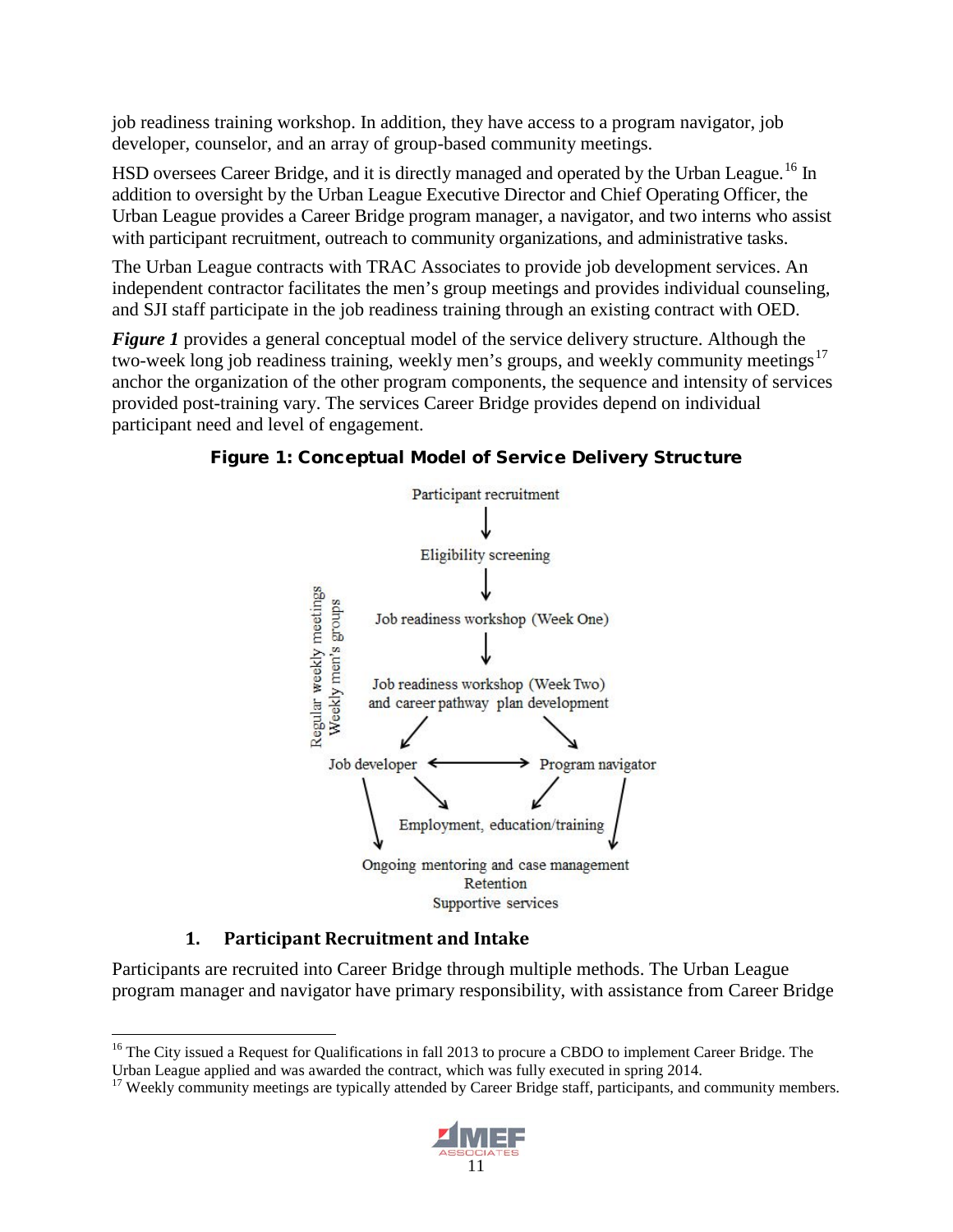job readiness training workshop. In addition, they have access to a program navigator, job developer, counselor, and an array of group-based community meetings.

HSD oversees Career Bridge, and it is directly managed and operated by the Urban League.<sup>[16](#page-22-1)</sup> In addition to oversight by the Urban League Executive Director and Chief Operating Officer, the Urban League provides a Career Bridge program manager, a navigator, and two interns who assist with participant recruitment, outreach to community organizations, and administrative tasks.

The Urban League contracts with TRAC Associates to provide job development services. An independent contractor facilitates the men's group meetings and provides individual counseling, and SJI staff participate in the job readiness training through an existing contract with OED.

*Figure 1* provides a general conceptual model of the service delivery structure. Although the two-week long job readiness training, weekly men's groups, and weekly community meetings<sup>[17](#page-22-2)</sup> anchor the organization of the other program components, the sequence and intensity of services provided post-training vary. The services Career Bridge provides depend on individual participant need and level of engagement.

Figure 1: Conceptual Model of Service Delivery Structure



### **1. Participant Recruitment and Intake**

<span id="page-22-0"></span>Participants are recruited into Career Bridge through multiple methods. The Urban League program manager and navigator have primary responsibility, with assistance from Career Bridge

<span id="page-22-2"></span><sup>&</sup>lt;sup>17</sup> Weekly community meetings are typically attended by Career Bridge staff, participants, and community members.



<span id="page-22-1"></span><sup>&</sup>lt;sup>16</sup> The City issued a Request for Qualifications in fall 2013 to procure a CBDO to implement Career Bridge. The Urban League applied and was awarded the contract, which was fully executed in spring 2014.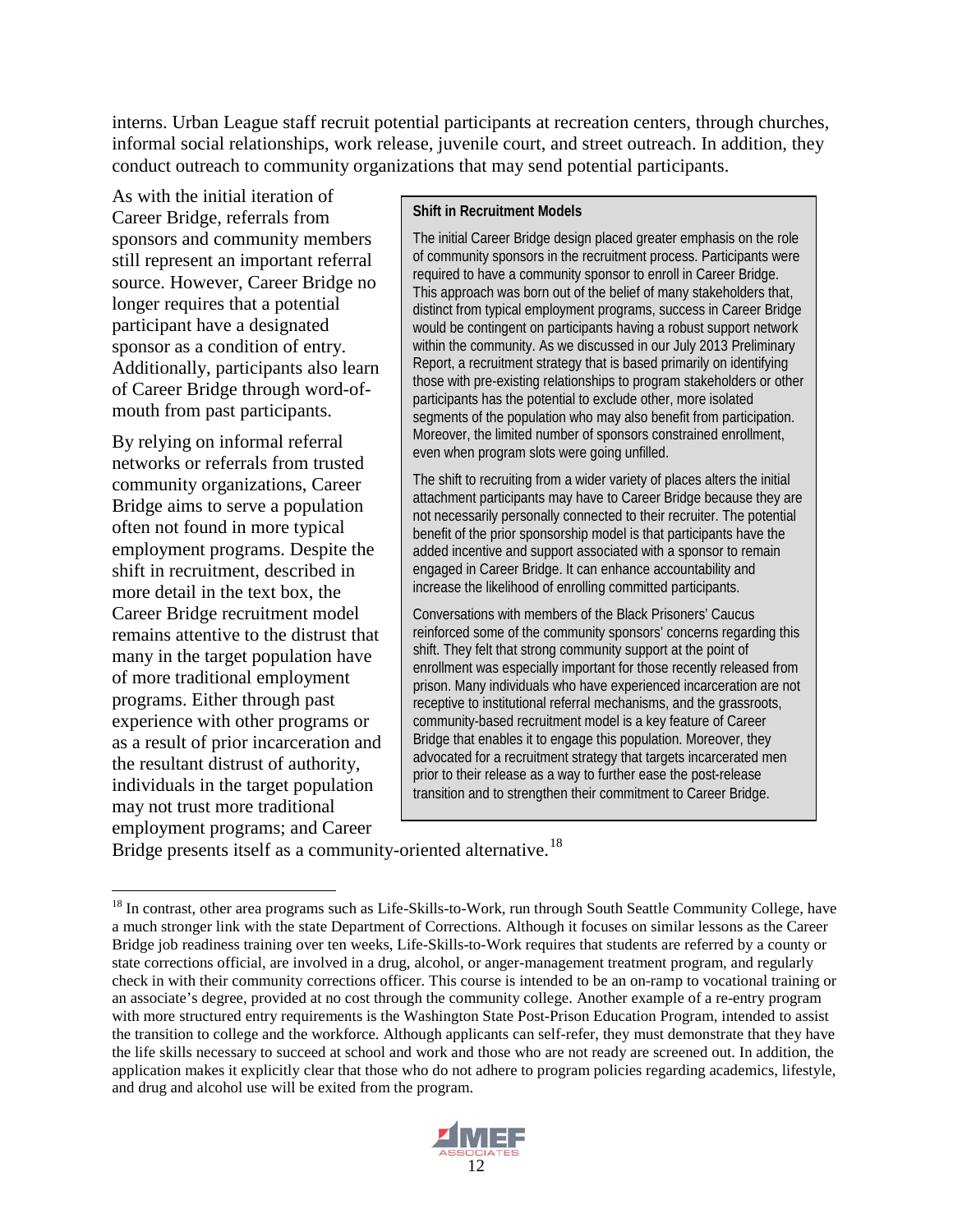interns. Urban League staff recruit potential participants at recreation centers, through churches, informal social relationships, work release, juvenile court, and street outreach. In addition, they conduct outreach to community organizations that may send potential participants.

As with the initial iteration of Career Bridge, referrals from sponsors and community members still represent an important referral source. However, Career Bridge no longer requires that a potential participant have a designated sponsor as a condition of entry. Additionally, participants also learn of Career Bridge through word-ofmouth from past participants.

By relying on informal referral networks or referrals from trusted community organizations, Career Bridge aims to serve a population often not found in more typical employment programs. Despite the shift in recruitment, described in more detail in the text box, the Career Bridge recruitment model remains attentive to the distrust that many in the target population have of more traditional employment programs. Either through past experience with other programs or as a result of prior incarceration and the resultant distrust of authority, individuals in the target population may not trust more traditional employment programs; and Career

#### **Shift in Recruitment Models**

The initial Career Bridge design placed greater emphasis on the role of community sponsors in the recruitment process. Participants were required to have a community sponsor to enroll in Career Bridge. This approach was born out of the belief of many stakeholders that, distinct from typical employment programs, success in Career Bridge would be contingent on participants having a robust support network within the community. As we discussed in our July 2013 Preliminary Report, a recruitment strategy that is based primarily on identifying those with pre-existing relationships to program stakeholders or other participants has the potential to exclude other, more isolated segments of the population who may also benefit from participation. Moreover, the limited number of sponsors constrained enrollment, even when program slots were going unfilled.

The shift to recruiting from a wider variety of places alters the initial attachment participants may have to Career Bridge because they are not necessarily personally connected to their recruiter. The potential benefit of the prior sponsorship model is that participants have the added incentive and support associated with a sponsor to remain engaged in Career Bridge. It can enhance accountability and increase the likelihood of enrolling committed participants.

Conversations with members of the Black Prisoners' Caucus reinforced some of the community sponsors' concerns regarding this shift. They felt that strong community support at the point of enrollment was especially important for those recently released from prison. Many individuals who have experienced incarceration are not receptive to institutional referral mechanisms, and the grassroots, community-based recruitment model is a key feature of Career Bridge that enables it to engage this population. Moreover, they advocated for a recruitment strategy that targets incarcerated men prior to their release as a way to further ease the post-release transition and to strengthen their commitment to Career Bridge.

Bridge presents itself as a community-oriented alternative.<sup>[18](#page-23-0)</sup>

<span id="page-23-0"></span><sup>&</sup>lt;sup>18</sup> In contrast, other area programs such as Life-Skills-to-Work, run through South Seattle Community College, have a much stronger link with the state Department of Corrections. Although it focuses on similar lessons as the Career Bridge job readiness training over ten weeks, Life-Skills-to-Work requires that students are referred by a county or state corrections official, are involved in a drug, alcohol, or anger-management treatment program, and regularly check in with their community corrections officer. This course is intended to be an on-ramp to vocational training or an associate's degree, provided at no cost through the community college. Another example of a re-entry program with more structured entry requirements is the Washington State Post-Prison Education Program, intended to assist the transition to college and the workforce. Although applicants can self-refer, they must demonstrate that they have the life skills necessary to succeed at school and work and those who are not ready are screened out. In addition, the application makes it explicitly clear that those who do not adhere to program policies regarding academics, lifestyle, and drug and alcohol use will be exited from the program.

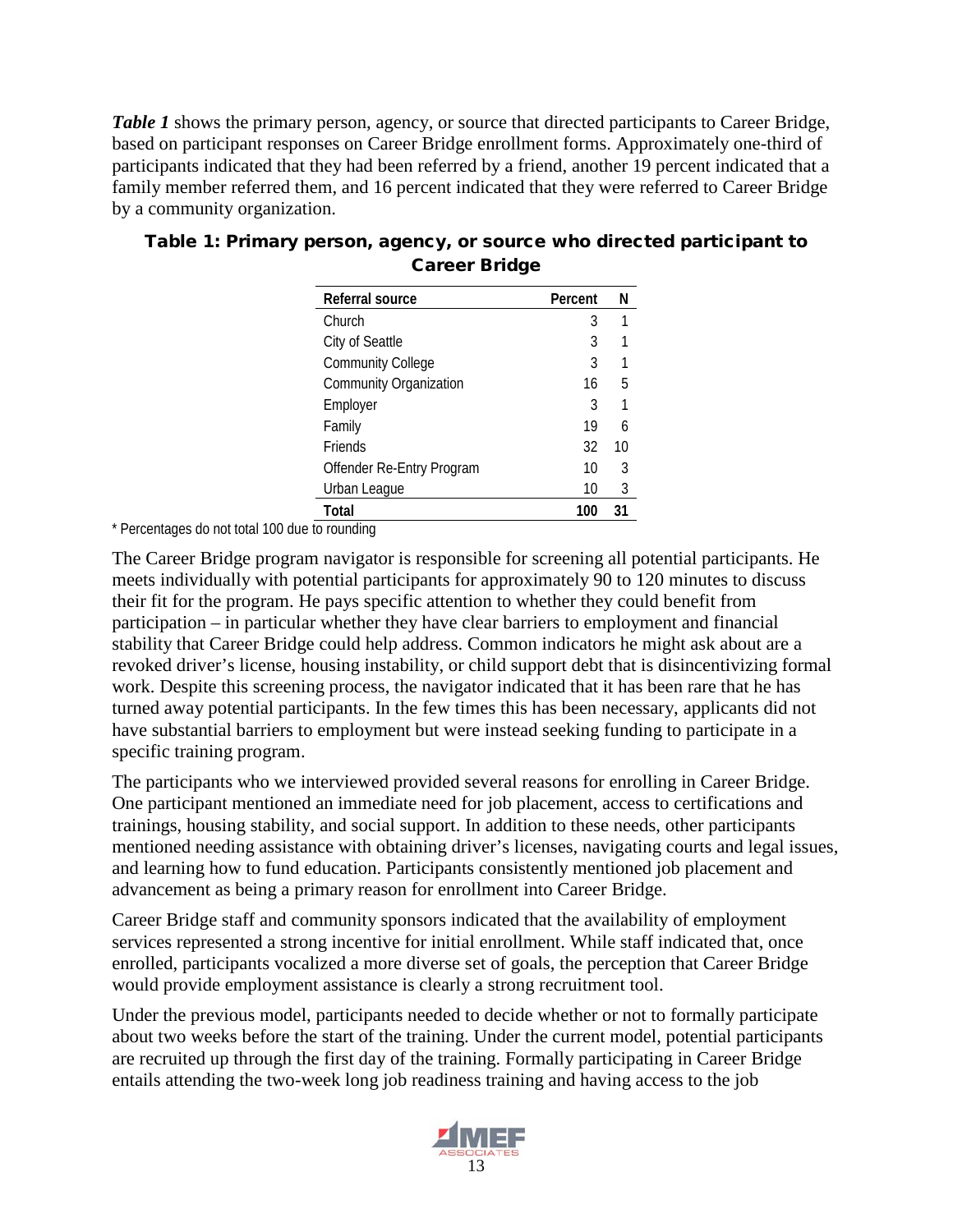*Table 1* shows the primary person, agency, or source that directed participants to Career Bridge, based on participant responses on Career Bridge enrollment forms. Approximately one-third of participants indicated that they had been referred by a friend, another 19 percent indicated that a family member referred them, and 16 percent indicated that they were referred to Career Bridge by a community organization.

| Referral source               | Percent | N  |
|-------------------------------|---------|----|
| Church                        | 3       | 1  |
| City of Seattle               | 3       | 1  |
| <b>Community College</b>      | 3       | 1  |
| <b>Community Organization</b> | 16      | 5  |
| Employer                      | 3       | 1  |
| Family                        | 19      | 6  |
| <b>Friends</b>                | 32      | 10 |
| Offender Re-Entry Program     | 10      | 3  |
| Urban League                  | 10      | 3  |
| Total                         | 100     | 31 |

### Table 1: Primary person, agency, or source who directed participant to Career Bridge

\* Percentages do not total 100 due to rounding

The Career Bridge program navigator is responsible for screening all potential participants. He meets individually with potential participants for approximately 90 to 120 minutes to discuss their fit for the program. He pays specific attention to whether they could benefit from participation – in particular whether they have clear barriers to employment and financial stability that Career Bridge could help address. Common indicators he might ask about are a revoked driver's license, housing instability, or child support debt that is disincentivizing formal work. Despite this screening process, the navigator indicated that it has been rare that he has turned away potential participants. In the few times this has been necessary, applicants did not have substantial barriers to employment but were instead seeking funding to participate in a specific training program.

The participants who we interviewed provided several reasons for enrolling in Career Bridge. One participant mentioned an immediate need for job placement, access to certifications and trainings, housing stability, and social support. In addition to these needs, other participants mentioned needing assistance with obtaining driver's licenses, navigating courts and legal issues, and learning how to fund education. Participants consistently mentioned job placement and advancement as being a primary reason for enrollment into Career Bridge.

Career Bridge staff and community sponsors indicated that the availability of employment services represented a strong incentive for initial enrollment. While staff indicated that, once enrolled, participants vocalized a more diverse set of goals, the perception that Career Bridge would provide employment assistance is clearly a strong recruitment tool.

Under the previous model, participants needed to decide whether or not to formally participate about two weeks before the start of the training. Under the current model, potential participants are recruited up through the first day of the training. Formally participating in Career Bridge entails attending the two-week long job readiness training and having access to the job

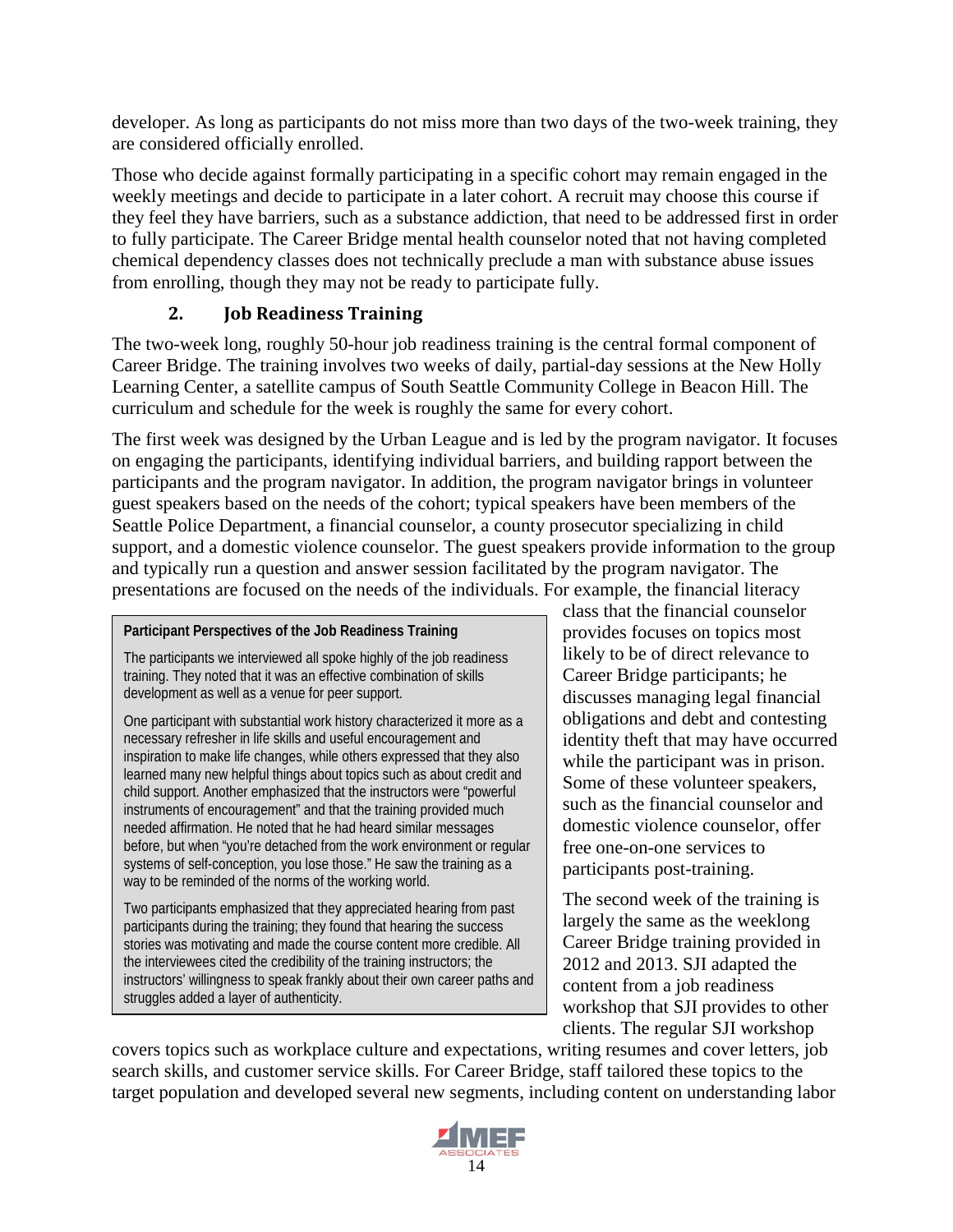developer. As long as participants do not miss more than two days of the two-week training, they are considered officially enrolled.

Those who decide against formally participating in a specific cohort may remain engaged in the weekly meetings and decide to participate in a later cohort. A recruit may choose this course if they feel they have barriers, such as a substance addiction, that need to be addressed first in order to fully participate. The Career Bridge mental health counselor noted that not having completed chemical dependency classes does not technically preclude a man with substance abuse issues from enrolling, though they may not be ready to participate fully.

### **2. Job Readiness Training**

<span id="page-25-0"></span>The two-week long, roughly 50-hour job readiness training is the central formal component of Career Bridge. The training involves two weeks of daily, partial-day sessions at the New Holly Learning Center, a satellite campus of South Seattle Community College in Beacon Hill. The curriculum and schedule for the week is roughly the same for every cohort.

The first week was designed by the Urban League and is led by the program navigator. It focuses on engaging the participants, identifying individual barriers, and building rapport between the participants and the program navigator. In addition, the program navigator brings in volunteer guest speakers based on the needs of the cohort; typical speakers have been members of the Seattle Police Department, a financial counselor, a county prosecutor specializing in child support, and a domestic violence counselor. The guest speakers provide information to the group and typically run a question and answer session facilitated by the program navigator. The presentations are focused on the needs of the individuals. For example, the financial literacy

#### **Participant Perspectives of the Job Readiness Training**

The participants we interviewed all spoke highly of the job readiness training. They noted that it was an effective combination of skills development as well as a venue for peer support.

One participant with substantial work history characterized it more as a necessary refresher in life skills and useful encouragement and inspiration to make life changes, while others expressed that they also learned many new helpful things about topics such as about credit and child support. Another emphasized that the instructors were "powerful instruments of encouragement" and that the training provided much needed affirmation. He noted that he had heard similar messages before, but when "you're detached from the work environment or regular systems of self-conception, you lose those." He saw the training as a way to be reminded of the norms of the working world.

Two participants emphasized that they appreciated hearing from past participants during the training; they found that hearing the success stories was motivating and made the course content more credible. All the interviewees cited the credibility of the training instructors; the instructors' willingness to speak frankly about their own career paths and struggles added a layer of authenticity.

class that the financial counselor provides focuses on topics most likely to be of direct relevance to Career Bridge participants; he discusses managing legal financial obligations and debt and contesting identity theft that may have occurred while the participant was in prison. Some of these volunteer speakers, such as the financial counselor and domestic violence counselor, offer free one-on-one services to participants post-training.

The second week of the training is largely the same as the weeklong Career Bridge training provided in 2012 and 2013. SJI adapted the content from a job readiness workshop that SJI provides to other clients. The regular SJI workshop

covers topics such as workplace culture and expectations, writing resumes and cover letters, job search skills, and customer service skills. For Career Bridge, staff tailored these topics to the target population and developed several new segments, including content on understanding labor

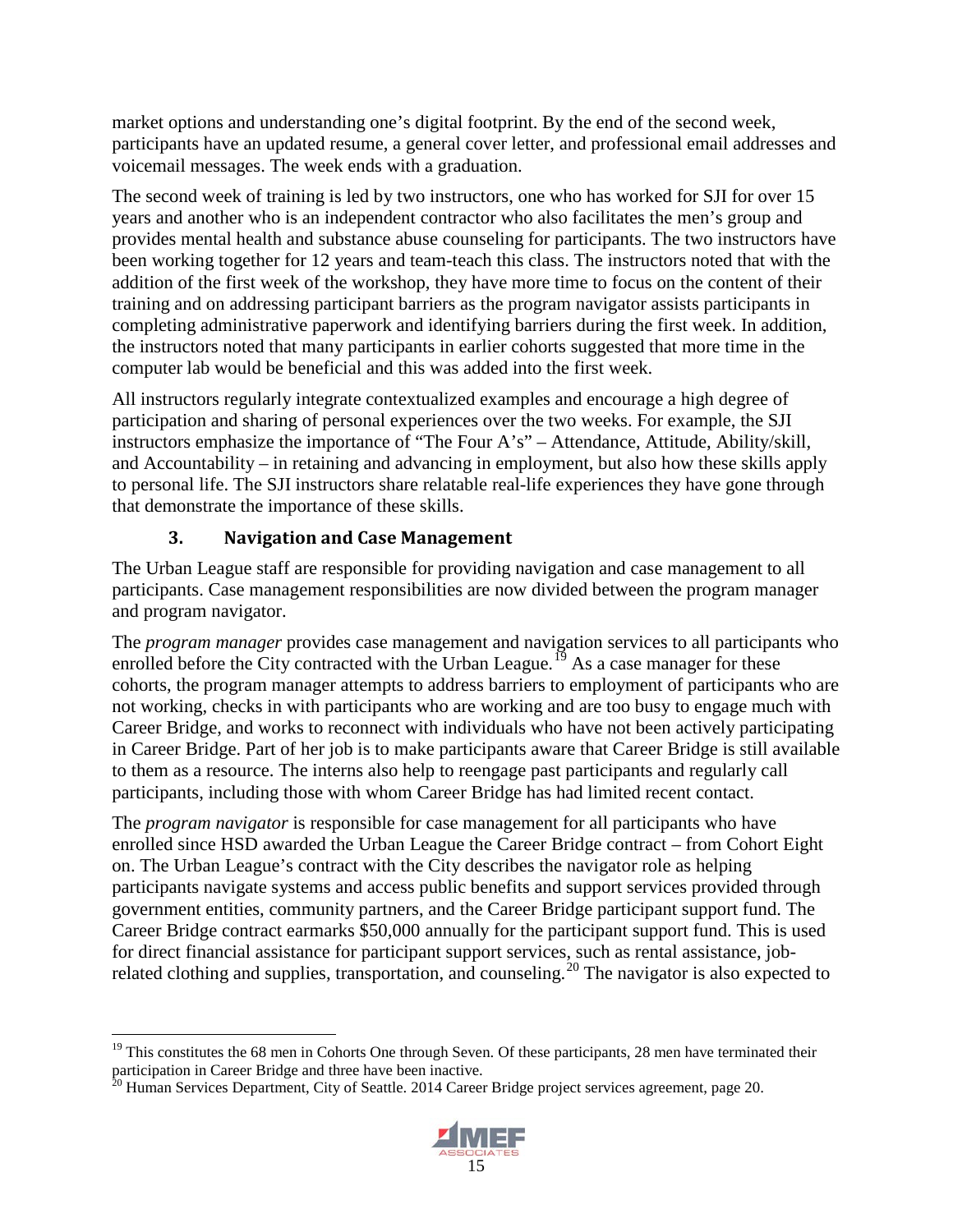market options and understanding one's digital footprint. By the end of the second week, participants have an updated resume, a general cover letter, and professional email addresses and voicemail messages. The week ends with a graduation.

The second week of training is led by two instructors, one who has worked for SJI for over 15 years and another who is an independent contractor who also facilitates the men's group and provides mental health and substance abuse counseling for participants. The two instructors have been working together for 12 years and team-teach this class. The instructors noted that with the addition of the first week of the workshop, they have more time to focus on the content of their training and on addressing participant barriers as the program navigator assists participants in completing administrative paperwork and identifying barriers during the first week. In addition, the instructors noted that many participants in earlier cohorts suggested that more time in the computer lab would be beneficial and this was added into the first week.

All instructors regularly integrate contextualized examples and encourage a high degree of participation and sharing of personal experiences over the two weeks. For example, the SJI instructors emphasize the importance of "The Four A's" – Attendance, Attitude, Ability/skill, and Accountability – in retaining and advancing in employment, but also how these skills apply to personal life. The SJI instructors share relatable real-life experiences they have gone through that demonstrate the importance of these skills.

### **3. Navigation and Case Management**

<span id="page-26-0"></span>The Urban League staff are responsible for providing navigation and case management to all participants. Case management responsibilities are now divided between the program manager and program navigator.

The *program manager* provides case management and navigation services to all participants who enrolled before the City contracted with the Urban League.<sup>[19](#page-26-1)</sup> As a case manager for these cohorts, the program manager attempts to address barriers to employment of participants who are not working, checks in with participants who are working and are too busy to engage much with Career Bridge, and works to reconnect with individuals who have not been actively participating in Career Bridge. Part of her job is to make participants aware that Career Bridge is still available to them as a resource. The interns also help to reengage past participants and regularly call participants, including those with whom Career Bridge has had limited recent contact.

The *program navigator* is responsible for case management for all participants who have enrolled since HSD awarded the Urban League the Career Bridge contract – from Cohort Eight on. The Urban League's contract with the City describes the navigator role as helping participants navigate systems and access public benefits and support services provided through government entities, community partners, and the Career Bridge participant support fund. The Career Bridge contract earmarks \$50,000 annually for the participant support fund. This is used for direct financial assistance for participant support services, such as rental assistance, job-related clothing and supplies, transportation, and counseling.<sup>[20](#page-26-2)</sup> The navigator is also expected to

<span id="page-26-2"></span><sup>&</sup>lt;sup>20</sup> Human Services Department, City of Seattle. 2014 Career Bridge project services agreement, page 20.



<span id="page-26-1"></span> $19$  This constitutes the 68 men in Cohorts One through Seven. Of these participants, 28 men have terminated their participation in Career Bridge and three have been inactive.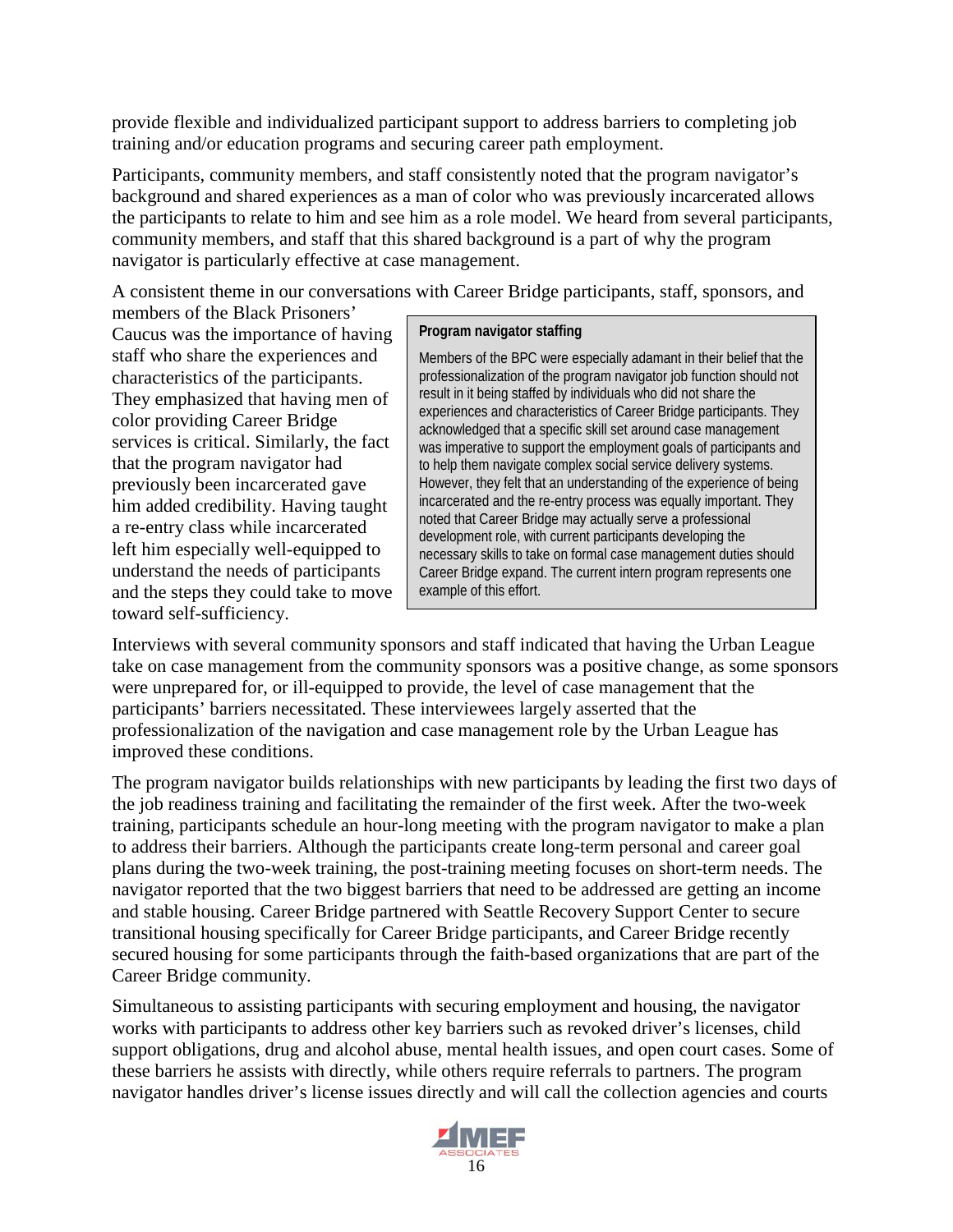provide flexible and individualized participant support to address barriers to completing job training and/or education programs and securing career path employment.

Participants, community members, and staff consistently noted that the program navigator's background and shared experiences as a man of color who was previously incarcerated allows the participants to relate to him and see him as a role model. We heard from several participants, community members, and staff that this shared background is a part of why the program navigator is particularly effective at case management.

A consistent theme in our conversations with Career Bridge participants, staff, sponsors, and

members of the Black Prisoners' Caucus was the importance of having staff who share the experiences and characteristics of the participants. They emphasized that having men of color providing Career Bridge services is critical. Similarly, the fact that the program navigator had previously been incarcerated gave him added credibility. Having taught a re-entry class while incarcerated left him especially well-equipped to understand the needs of participants and the steps they could take to move toward self-sufficiency.

#### **Program navigator staffing**

Members of the BPC were especially adamant in their belief that the professionalization of the program navigator job function should not result in it being staffed by individuals who did not share the experiences and characteristics of Career Bridge participants. They acknowledged that a specific skill set around case management was imperative to support the employment goals of participants and to help them navigate complex social service delivery systems. However, they felt that an understanding of the experience of being incarcerated and the re-entry process was equally important. They noted that Career Bridge may actually serve a professional development role, with current participants developing the necessary skills to take on formal case management duties should Career Bridge expand. The current intern program represents one example of this effort.

Interviews with several community sponsors and staff indicated that having the Urban League take on case management from the community sponsors was a positive change, as some sponsors were unprepared for, or ill-equipped to provide, the level of case management that the participants' barriers necessitated. These interviewees largely asserted that the professionalization of the navigation and case management role by the Urban League has improved these conditions.

The program navigator builds relationships with new participants by leading the first two days of the job readiness training and facilitating the remainder of the first week. After the two-week training, participants schedule an hour-long meeting with the program navigator to make a plan to address their barriers. Although the participants create long-term personal and career goal plans during the two-week training, the post-training meeting focuses on short-term needs. The navigator reported that the two biggest barriers that need to be addressed are getting an income and stable housing. Career Bridge partnered with Seattle Recovery Support Center to secure transitional housing specifically for Career Bridge participants, and Career Bridge recently secured housing for some participants through the faith-based organizations that are part of the Career Bridge community.

Simultaneous to assisting participants with securing employment and housing, the navigator works with participants to address other key barriers such as revoked driver's licenses, child support obligations, drug and alcohol abuse, mental health issues, and open court cases. Some of these barriers he assists with directly, while others require referrals to partners. The program navigator handles driver's license issues directly and will call the collection agencies and courts

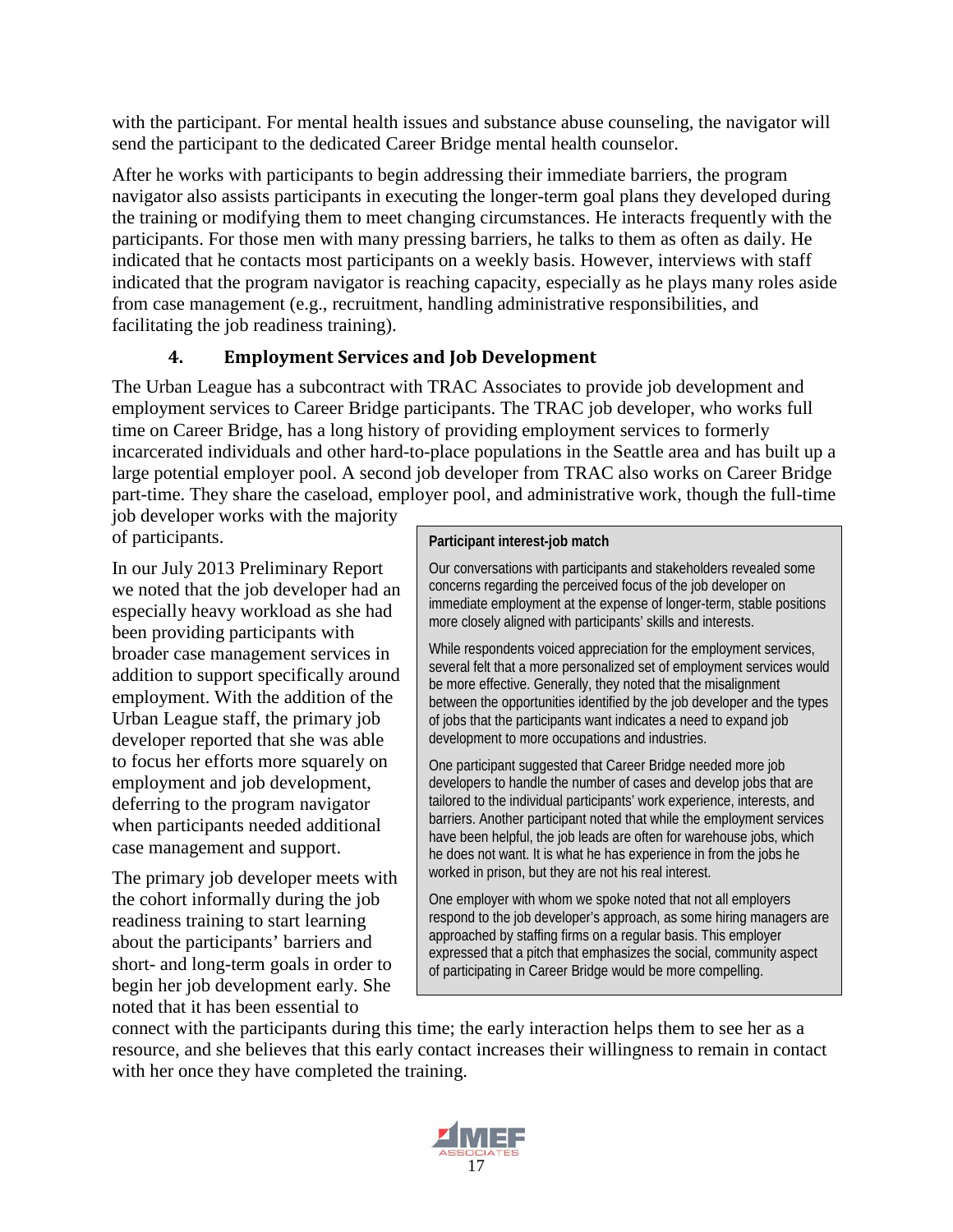with the participant. For mental health issues and substance abuse counseling, the navigator will send the participant to the dedicated Career Bridge mental health counselor.

After he works with participants to begin addressing their immediate barriers, the program navigator also assists participants in executing the longer-term goal plans they developed during the training or modifying them to meet changing circumstances. He interacts frequently with the participants. For those men with many pressing barriers, he talks to them as often as daily. He indicated that he contacts most participants on a weekly basis. However, interviews with staff indicated that the program navigator is reaching capacity, especially as he plays many roles aside from case management (e.g., recruitment, handling administrative responsibilities, and facilitating the job readiness training).

### **4. Employment Services and Job Development**

<span id="page-28-0"></span>The Urban League has a subcontract with TRAC Associates to provide job development and employment services to Career Bridge participants. The TRAC job developer, who works full time on Career Bridge, has a long history of providing employment services to formerly incarcerated individuals and other hard-to-place populations in the Seattle area and has built up a large potential employer pool. A second job developer from TRAC also works on Career Bridge part-time. They share the caseload, employer pool, and administrative work, though the full-time

job developer works with the majority of participants.

In our July 2013 Preliminary Report we noted that the job developer had an especially heavy workload as she had been providing participants with broader case management services in addition to support specifically around employment. With the addition of the Urban League staff, the primary job developer reported that she was able to focus her efforts more squarely on employment and job development, deferring to the program navigator when participants needed additional case management and support.

The primary job developer meets with the cohort informally during the job readiness training to start learning about the participants' barriers and short- and long-term goals in order to begin her job development early. She noted that it has been essential to

#### **Participant interest-job match**

Our conversations with participants and stakeholders revealed some concerns regarding the perceived focus of the job developer on immediate employment at the expense of longer-term, stable positions more closely aligned with participants' skills and interests.

While respondents voiced appreciation for the employment services, several felt that a more personalized set of employment services would be more effective. Generally, they noted that the misalignment between the opportunities identified by the job developer and the types of jobs that the participants want indicates a need to expand job development to more occupations and industries.

One participant suggested that Career Bridge needed more job developers to handle the number of cases and develop jobs that are tailored to the individual participants' work experience, interests, and barriers. Another participant noted that while the employment services have been helpful, the job leads are often for warehouse jobs, which he does not want. It is what he has experience in from the jobs he worked in prison, but they are not his real interest.

One employer with whom we spoke noted that not all employers respond to the job developer's approach, as some hiring managers are approached by staffing firms on a regular basis. This employer expressed that a pitch that emphasizes the social, community aspect of participating in Career Bridge would be more compelling.

connect with the participants during this time; the early interaction helps them to see her as a resource, and she believes that this early contact increases their willingness to remain in contact with her once they have completed the training.

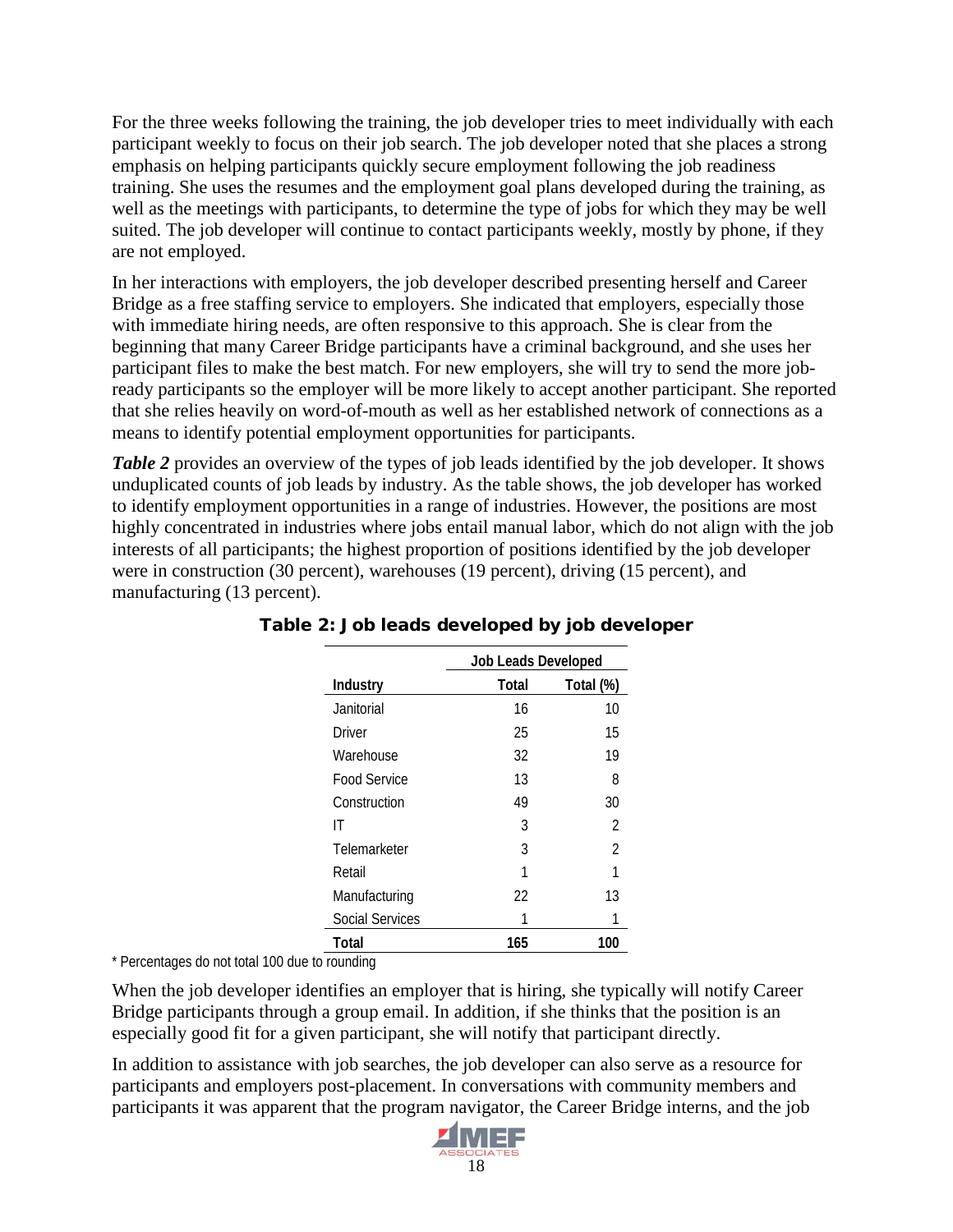For the three weeks following the training, the job developer tries to meet individually with each participant weekly to focus on their job search. The job developer noted that she places a strong emphasis on helping participants quickly secure employment following the job readiness training. She uses the resumes and the employment goal plans developed during the training, as well as the meetings with participants, to determine the type of jobs for which they may be well suited. The job developer will continue to contact participants weekly, mostly by phone, if they are not employed.

In her interactions with employers, the job developer described presenting herself and Career Bridge as a free staffing service to employers. She indicated that employers, especially those with immediate hiring needs, are often responsive to this approach. She is clear from the beginning that many Career Bridge participants have a criminal background, and she uses her participant files to make the best match. For new employers, she will try to send the more jobready participants so the employer will be more likely to accept another participant. She reported that she relies heavily on word-of-mouth as well as her established network of connections as a means to identify potential employment opportunities for participants.

*Table 2* provides an overview of the types of job leads identified by the job developer. It shows unduplicated counts of job leads by industry. As the table shows, the job developer has worked to identify employment opportunities in a range of industries. However, the positions are most highly concentrated in industries where jobs entail manual labor, which do not align with the job interests of all participants; the highest proportion of positions identified by the job developer were in construction (30 percent), warehouses (19 percent), driving (15 percent), and manufacturing (13 percent).

|                 | <b>Job Leads Developed</b> |           |  |
|-----------------|----------------------------|-----------|--|
| Industry        | Total                      | Total (%) |  |
| Janitorial      | 16                         | 10        |  |
| Driver          | 25                         | 15        |  |
| Warehouse       | 32                         | 19        |  |
| Food Service    | 13                         | 8         |  |
| Construction    | 49                         | 30        |  |
| IT              | 3                          | 2         |  |
| Telemarketer    | 3                          | 2         |  |
| Retail          |                            | 1         |  |
| Manufacturing   | 22                         | 13        |  |
| Social Services |                            |           |  |
| Total           | 165                        | 100       |  |

Table 2: Job leads developed by job developer

\* Percentages do not total 100 due to rounding

When the job developer identifies an employer that is hiring, she typically will notify Career Bridge participants through a group email. In addition, if she thinks that the position is an especially good fit for a given participant, she will notify that participant directly.

In addition to assistance with job searches, the job developer can also serve as a resource for participants and employers post-placement. In conversations with community members and participants it was apparent that the program navigator, the Career Bridge interns, and the job

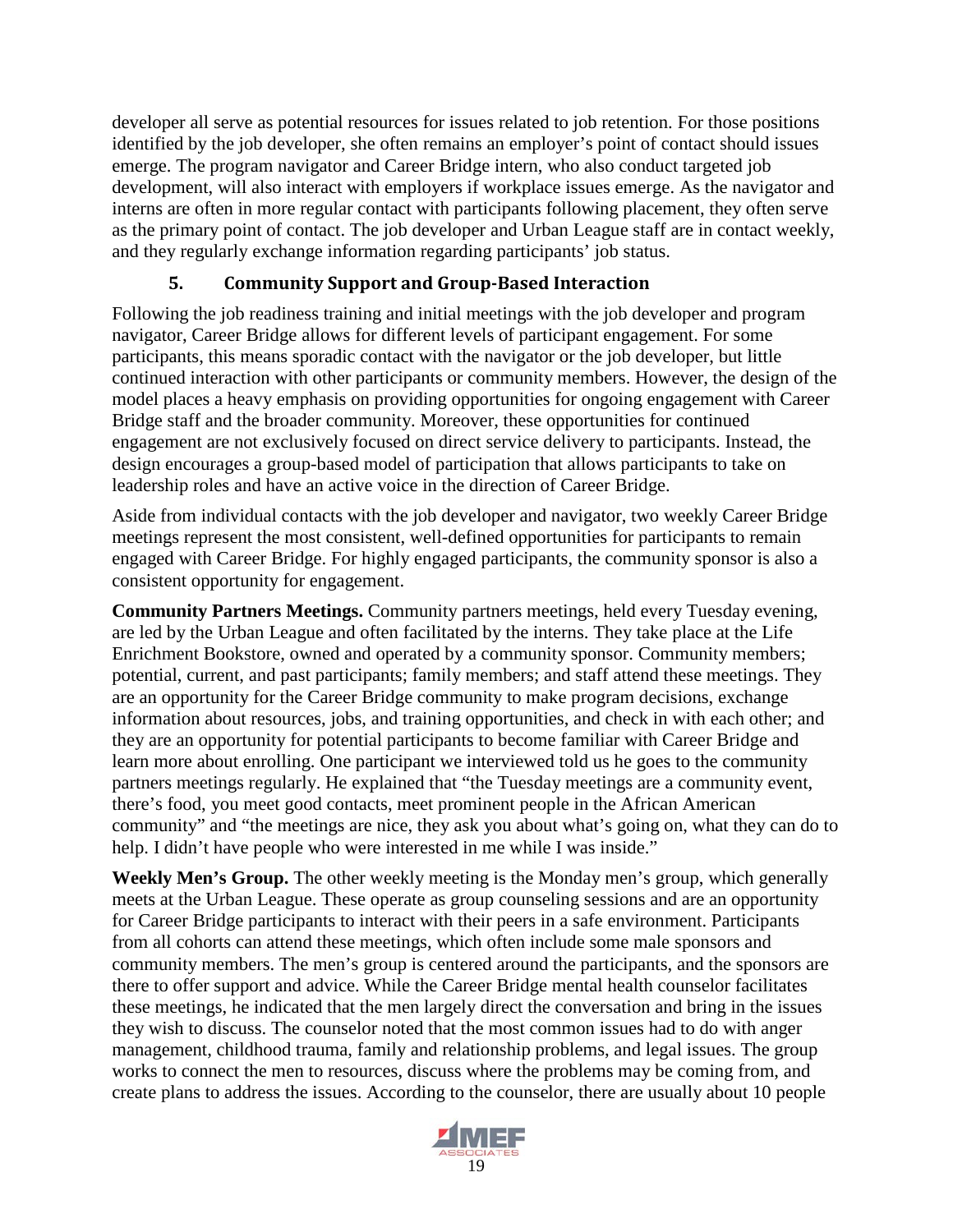developer all serve as potential resources for issues related to job retention. For those positions identified by the job developer, she often remains an employer's point of contact should issues emerge. The program navigator and Career Bridge intern, who also conduct targeted job development, will also interact with employers if workplace issues emerge. As the navigator and interns are often in more regular contact with participants following placement, they often serve as the primary point of contact. The job developer and Urban League staff are in contact weekly, and they regularly exchange information regarding participants' job status.

### **5. Community Support and Group-Based Interaction**

<span id="page-30-0"></span>Following the job readiness training and initial meetings with the job developer and program navigator, Career Bridge allows for different levels of participant engagement. For some participants, this means sporadic contact with the navigator or the job developer, but little continued interaction with other participants or community members. However, the design of the model places a heavy emphasis on providing opportunities for ongoing engagement with Career Bridge staff and the broader community. Moreover, these opportunities for continued engagement are not exclusively focused on direct service delivery to participants. Instead, the design encourages a group-based model of participation that allows participants to take on leadership roles and have an active voice in the direction of Career Bridge.

Aside from individual contacts with the job developer and navigator, two weekly Career Bridge meetings represent the most consistent, well-defined opportunities for participants to remain engaged with Career Bridge. For highly engaged participants, the community sponsor is also a consistent opportunity for engagement.

**Community Partners Meetings.** Community partners meetings, held every Tuesday evening, are led by the Urban League and often facilitated by the interns. They take place at the Life Enrichment Bookstore, owned and operated by a community sponsor. Community members; potential, current, and past participants; family members; and staff attend these meetings. They are an opportunity for the Career Bridge community to make program decisions, exchange information about resources, jobs, and training opportunities, and check in with each other; and they are an opportunity for potential participants to become familiar with Career Bridge and learn more about enrolling. One participant we interviewed told us he goes to the community partners meetings regularly. He explained that "the Tuesday meetings are a community event, there's food, you meet good contacts, meet prominent people in the African American community" and "the meetings are nice, they ask you about what's going on, what they can do to help. I didn't have people who were interested in me while I was inside."

**Weekly Men's Group.** The other weekly meeting is the Monday men's group, which generally meets at the Urban League. These operate as group counseling sessions and are an opportunity for Career Bridge participants to interact with their peers in a safe environment. Participants from all cohorts can attend these meetings, which often include some male sponsors and community members. The men's group is centered around the participants, and the sponsors are there to offer support and advice. While the Career Bridge mental health counselor facilitates these meetings, he indicated that the men largely direct the conversation and bring in the issues they wish to discuss. The counselor noted that the most common issues had to do with anger management, childhood trauma, family and relationship problems, and legal issues. The group works to connect the men to resources, discuss where the problems may be coming from, and create plans to address the issues. According to the counselor, there are usually about 10 people

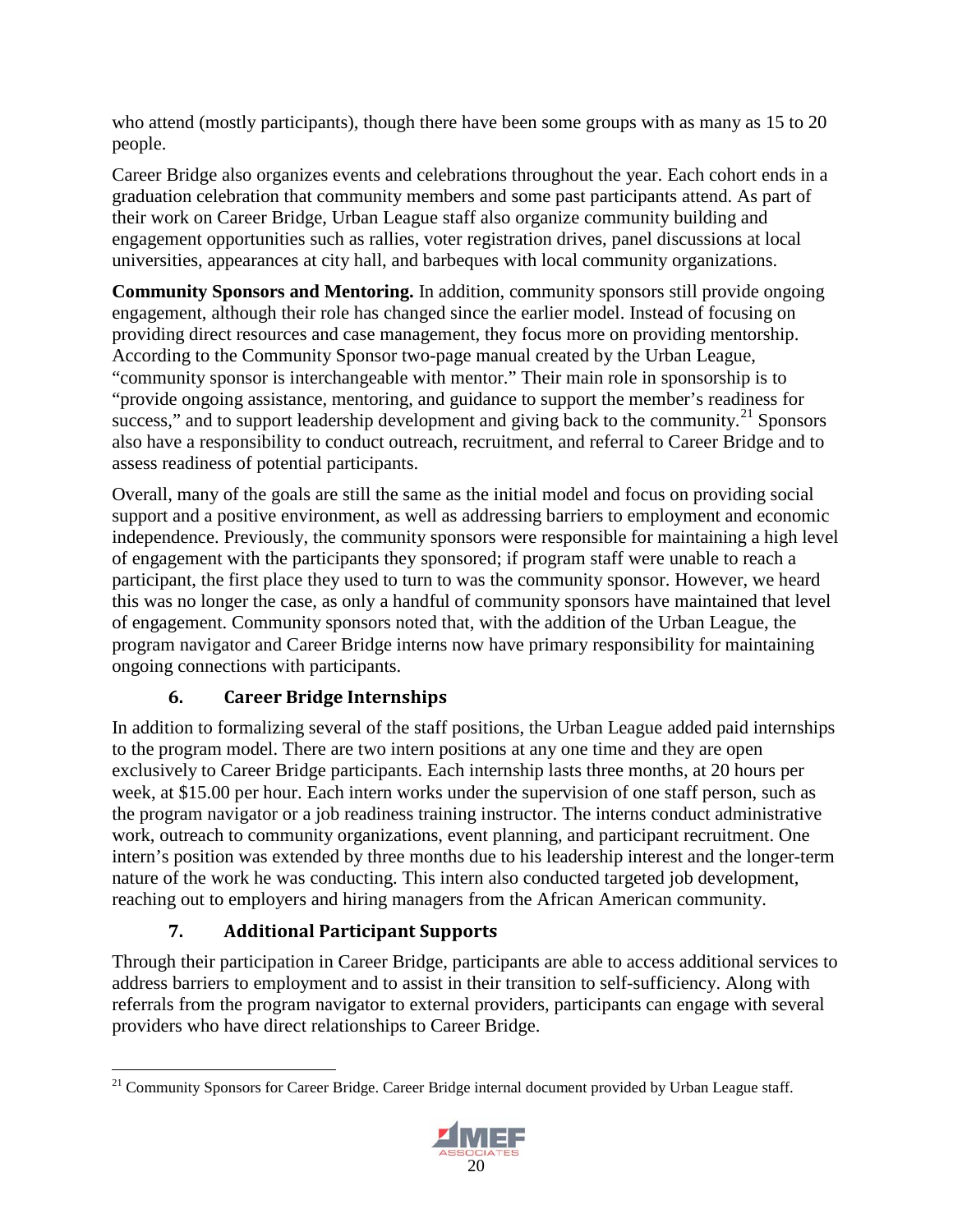who attend (mostly participants), though there have been some groups with as many as 15 to 20 people.

Career Bridge also organizes events and celebrations throughout the year. Each cohort ends in a graduation celebration that community members and some past participants attend. As part of their work on Career Bridge, Urban League staff also organize community building and engagement opportunities such as rallies, voter registration drives, panel discussions at local universities, appearances at city hall, and barbeques with local community organizations.

**Community Sponsors and Mentoring.** In addition, community sponsors still provide ongoing engagement, although their role has changed since the earlier model. Instead of focusing on providing direct resources and case management, they focus more on providing mentorship. According to the Community Sponsor two-page manual created by the Urban League, "community sponsor is interchangeable with mentor." Their main role in sponsorship is to "provide ongoing assistance, mentoring, and guidance to support the member's readiness for success," and to support leadership development and giving back to the community. $^{21}$  $^{21}$  $^{21}$  Sponsors also have a responsibility to conduct outreach, recruitment, and referral to Career Bridge and to assess readiness of potential participants.

Overall, many of the goals are still the same as the initial model and focus on providing social support and a positive environment, as well as addressing barriers to employment and economic independence. Previously, the community sponsors were responsible for maintaining a high level of engagement with the participants they sponsored; if program staff were unable to reach a participant, the first place they used to turn to was the community sponsor. However, we heard this was no longer the case, as only a handful of community sponsors have maintained that level of engagement. Community sponsors noted that, with the addition of the Urban League, the program navigator and Career Bridge interns now have primary responsibility for maintaining ongoing connections with participants.

### **6. Career Bridge Internships**

<span id="page-31-0"></span>In addition to formalizing several of the staff positions, the Urban League added paid internships to the program model. There are two intern positions at any one time and they are open exclusively to Career Bridge participants. Each internship lasts three months, at 20 hours per week, at \$15.00 per hour. Each intern works under the supervision of one staff person, such as the program navigator or a job readiness training instructor. The interns conduct administrative work, outreach to community organizations, event planning, and participant recruitment. One intern's position was extended by three months due to his leadership interest and the longer-term nature of the work he was conducting. This intern also conducted targeted job development, reaching out to employers and hiring managers from the African American community.

### **7. Additional Participant Supports**

<span id="page-31-1"></span>Through their participation in Career Bridge, participants are able to access additional services to address barriers to employment and to assist in their transition to self-sufficiency. Along with referrals from the program navigator to external providers, participants can engage with several providers who have direct relationships to Career Bridge.

<span id="page-31-2"></span><sup>&</sup>lt;sup>21</sup> Community Sponsors for Career Bridge. Career Bridge internal document provided by Urban League staff.

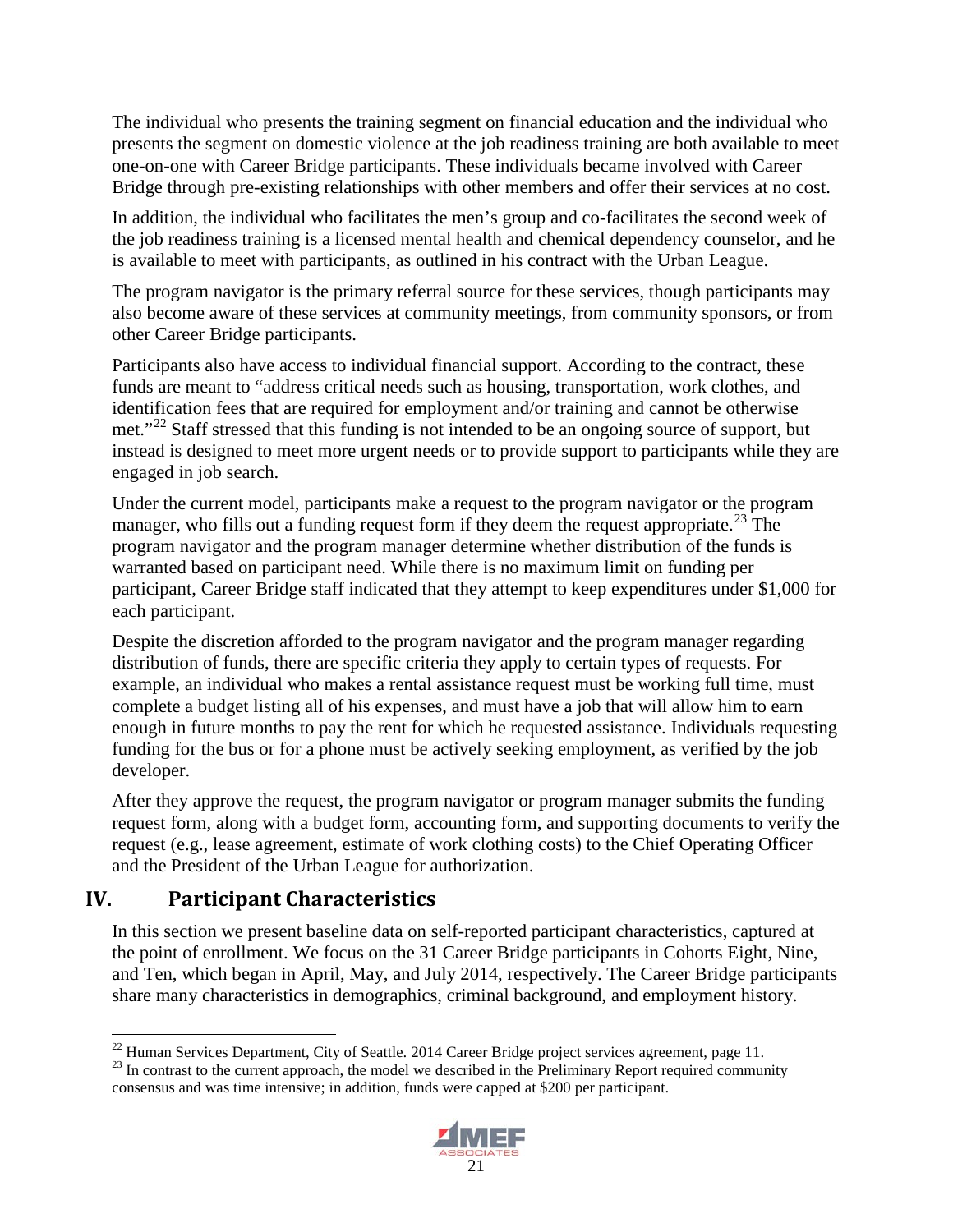The individual who presents the training segment on financial education and the individual who presents the segment on domestic violence at the job readiness training are both available to meet one-on-one with Career Bridge participants. These individuals became involved with Career Bridge through pre-existing relationships with other members and offer their services at no cost.

In addition, the individual who facilitates the men's group and co-facilitates the second week of the job readiness training is a licensed mental health and chemical dependency counselor, and he is available to meet with participants, as outlined in his contract with the Urban League.

The program navigator is the primary referral source for these services, though participants may also become aware of these services at community meetings, from community sponsors, or from other Career Bridge participants.

Participants also have access to individual financial support. According to the contract, these funds are meant to "address critical needs such as housing, transportation, work clothes, and identification fees that are required for employment and/or training and cannot be otherwise met."<sup>[22](#page-32-1)</sup> Staff stressed that this funding is not intended to be an ongoing source of support, but instead is designed to meet more urgent needs or to provide support to participants while they are engaged in job search.

Under the current model, participants make a request to the program navigator or the program manager, who fills out a funding request form if they deem the request appropriate.<sup>[23](#page-32-2)</sup> The program navigator and the program manager determine whether distribution of the funds is warranted based on participant need. While there is no maximum limit on funding per participant, Career Bridge staff indicated that they attempt to keep expenditures under \$1,000 for each participant.

Despite the discretion afforded to the program navigator and the program manager regarding distribution of funds, there are specific criteria they apply to certain types of requests. For example, an individual who makes a rental assistance request must be working full time, must complete a budget listing all of his expenses, and must have a job that will allow him to earn enough in future months to pay the rent for which he requested assistance. Individuals requesting funding for the bus or for a phone must be actively seeking employment, as verified by the job developer.

After they approve the request, the program navigator or program manager submits the funding request form, along with a budget form, accounting form, and supporting documents to verify the request (e.g., lease agreement, estimate of work clothing costs) to the Chief Operating Officer and the President of the Urban League for authorization.

## <span id="page-32-0"></span>**IV. Participant Characteristics**

In this section we present baseline data on self-reported participant characteristics, captured at the point of enrollment. We focus on the 31 Career Bridge participants in Cohorts Eight, Nine, and Ten, which began in April, May, and July 2014, respectively. The Career Bridge participants share many characteristics in demographics, criminal background, and employment history.

<span id="page-32-2"></span>consensus and was time intensive; in addition, funds were capped at \$200 per participant.



<span id="page-32-1"></span><sup>&</sup>lt;sup>22</sup> Human Services Department, City of Seattle. 2014 Career Bridge project services agreement, page 11.<br><sup>23</sup> In contrast to the current approach, the model we described in the Preliminary Report required community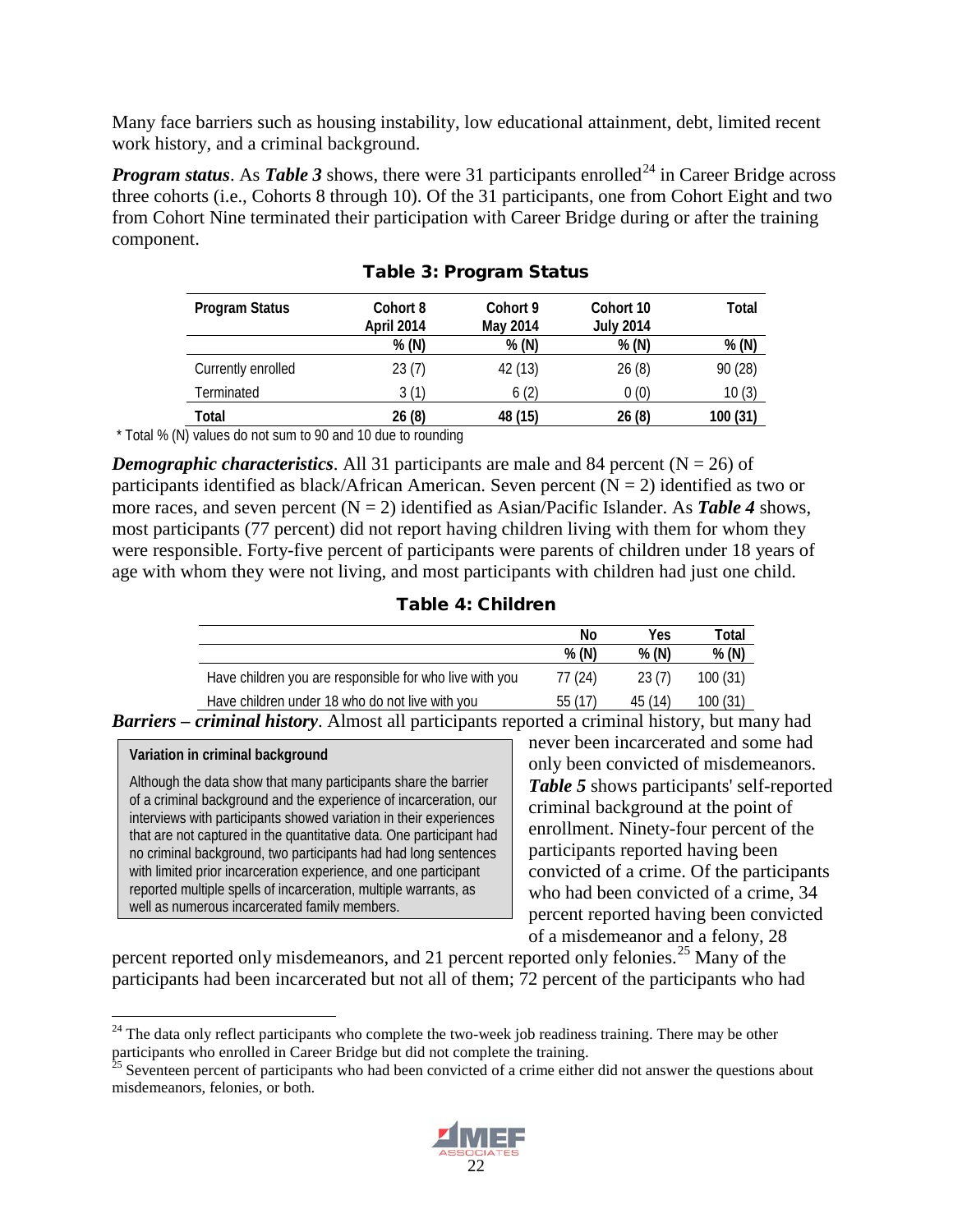Many face barriers such as housing instability, low educational attainment, debt, limited recent work history, and a criminal background.

*Program status.* As *Table 3* shows, there were 31 participants enrolled<sup>[24](#page-33-0)</sup> in Career Bridge across three cohorts (i.e., Cohorts 8 through 10). Of the 31 participants, one from Cohort Eight and two from Cohort Nine terminated their participation with Career Bridge during or after the training component.

| Program Status     | Cohort 8<br>April 2014 | Cohort 9<br>May 2014 | Cohort 10<br><b>July 2014</b> | Total    |
|--------------------|------------------------|----------------------|-------------------------------|----------|
|                    | % (N)                  | % (N)                | % (N)                         | % (N)    |
| Currently enrolled | 23(7)                  | 42 (13)              | 26(8)                         | 90 (28)  |
| Terminated         | 3(1)                   | 6(2)                 | 0(0)                          | 10(3)    |
| Total              | 26(8)                  | 48 (15)              | 26(8)                         | 100 (31) |

Table 3: Program Status

\* Total % (N) values do not sum to 90 and 10 due to rounding

*Demographic characteristics.* All 31 participants are male and 84 percent ( $N = 26$ ) of participants identified as black/African American. Seven percent  $(N = 2)$  identified as two or more races, and seven percent  $(N = 2)$  identified as Asian/Pacific Islander. As **Table 4** shows, most participants (77 percent) did not report having children living with them for whom they were responsible. Forty-five percent of participants were parents of children under 18 years of age with whom they were not living, and most participants with children had just one child.

#### Table 4: Children

|                                                         | No      | Yes     | Total   |
|---------------------------------------------------------|---------|---------|---------|
|                                                         | % (N)   | % (N)   | % (N)   |
| Have children you are responsible for who live with you | 77 (24) | 23(7)   | 100(31) |
| Have children under 18 who do not live with you         | 55(17)  | 45 (14) | 100(31) |

*Barriers – criminal history*. Almost all participants reported a criminal history, but many had

## **Variation in criminal background**

Although the data show that many participants share the barrier of a criminal background and the experience of incarceration, our interviews with participants showed variation in their experiences that are not captured in the quantitative data. One participant had no criminal background, two participants had had long sentences with limited prior incarceration experience, and one participant reported multiple spells of incarceration, multiple warrants, as well as numerous incarcerated family members.

never been incarcerated and some had only been convicted of misdemeanors. *Table 5* shows participants' self-reported criminal background at the point of enrollment. Ninety-four percent of the participants reported having been convicted of a crime. Of the participants who had been convicted of a crime, 34 percent reported having been convicted of a misdemeanor and a felony, 28

percent reported only misdemeanors, and 21 percent reported only felonies.<sup>[25](#page-33-1)</sup> Many of the participants had been incarcerated but not all of them; 72 percent of the participants who had

<span id="page-33-1"></span><sup>&</sup>lt;sup>25</sup> Seventeen percent of participants who had been convicted of a crime either did not answer the questions about misdemeanors, felonies, or both.



<span id="page-33-0"></span> $24$  The data only reflect participants who complete the two-week job readiness training. There may be other participants who enrolled in Career Bridge but did not complete the training.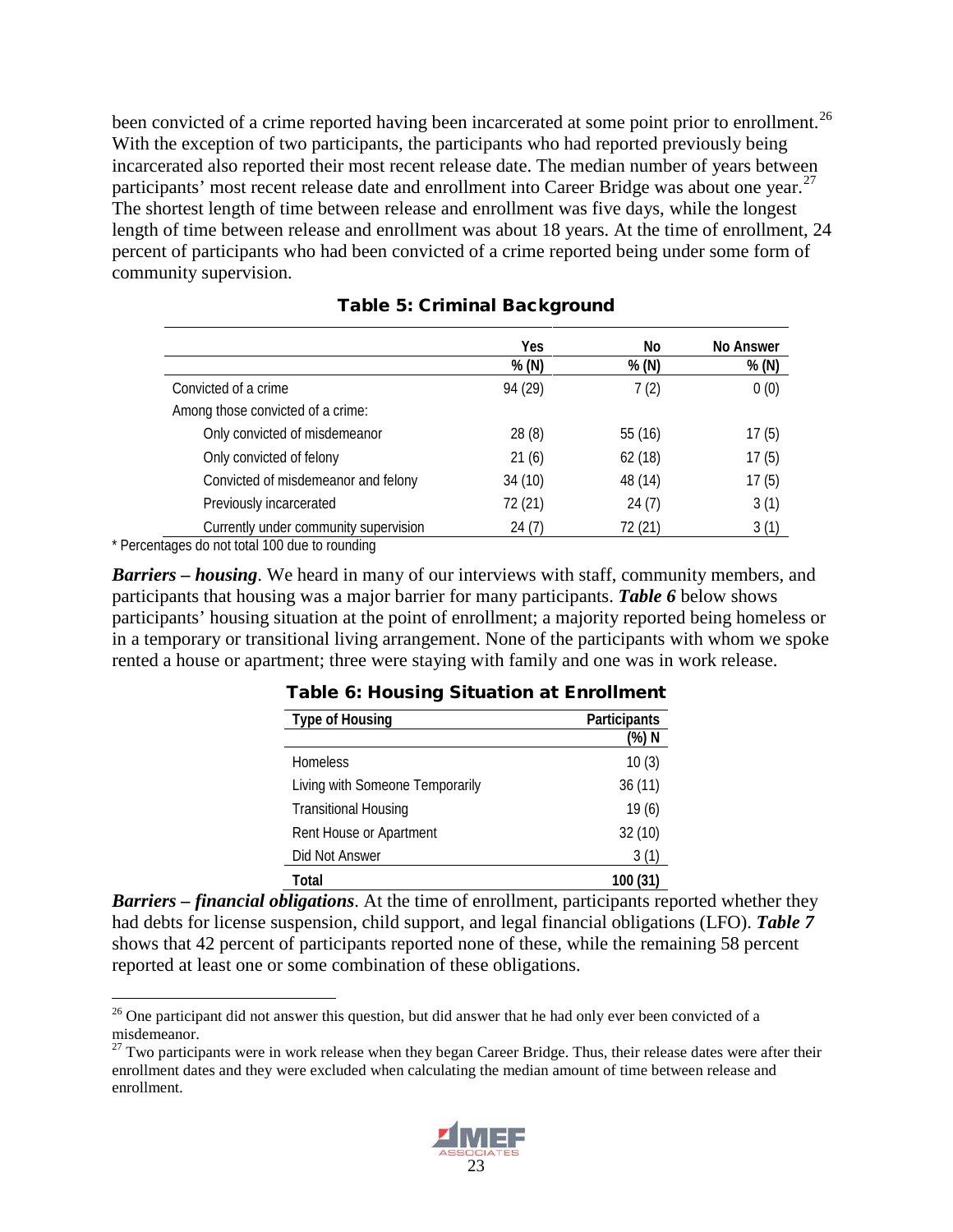been convicted of a crime reported having been incarcerated at some point prior to enrollment.<sup>[26](#page-34-0)</sup> With the exception of two participants, the participants who had reported previously being incarcerated also reported their most recent release date. The median number of years between participants' most recent release date and enrollment into Career Bridge was about one year.  $2^7$ The shortest length of time between release and enrollment was five days, while the longest length of time between release and enrollment was about 18 years. At the time of enrollment, 24 percent of participants who had been convicted of a crime reported being under some form of community supervision.

|                                       | Yes     | No      | No Answer |
|---------------------------------------|---------|---------|-----------|
|                                       | % (N)   | % (N)   | % (N)     |
| Convicted of a crime                  | 94 (29) | 7(2)    | 0(0)      |
| Among those convicted of a crime:     |         |         |           |
| Only convicted of misdemeanor         | 28(8)   | 55(16)  | 17(5)     |
| Only convicted of felony              | 21(6)   | 62(18)  | 17(5)     |
| Convicted of misdemeanor and felony   | 34 (10) | 48 (14) | 17(5)     |
| Previously incarcerated               | 72 (21) | 24(7)   | 3(1)      |
| Currently under community supervision | 24(7)   | 72 (21) | 3(1)      |

#### Table 5: Criminal Background

\* Percentages do not total 100 due to rounding

*Barriers – housing*. We heard in many of our interviews with staff, community members, and participants that housing was a major barrier for many participants. *Table 6* below shows participants' housing situation at the point of enrollment; a majority reported being homeless or in a temporary or transitional living arrangement. None of the participants with whom we spoke rented a house or apartment; three were staying with family and one was in work release.

| <b>Type of Housing</b>          | Participants |
|---------------------------------|--------------|
|                                 | (%) N        |
| <b>Homeless</b>                 | 10(3)        |
| Living with Someone Temporarily | 36(11)       |
| <b>Transitional Housing</b>     | 19(6)        |
| Rent House or Apartment         | 32(10)       |
| Did Not Answer                  | 3(1)         |
| Total                           | 100 (31)     |

#### Table 6: Housing Situation at Enrollment

*Barriers – financial obligations*. At the time of enrollment, participants reported whether they had debts for license suspension, child support, and legal financial obligations (LFO). *Table 7*  shows that 42 percent of participants reported none of these, while the remaining 58 percent reported at least one or some combination of these obligations.

<span id="page-34-1"></span> $27$  Two participants were in work release when they began Career Bridge. Thus, their release dates were after their enrollment dates and they were excluded when calculating the median amount of time between release and enrollment.



<span id="page-34-0"></span> $26$  One participant did not answer this question, but did answer that he had only ever been convicted of a misdemeanor.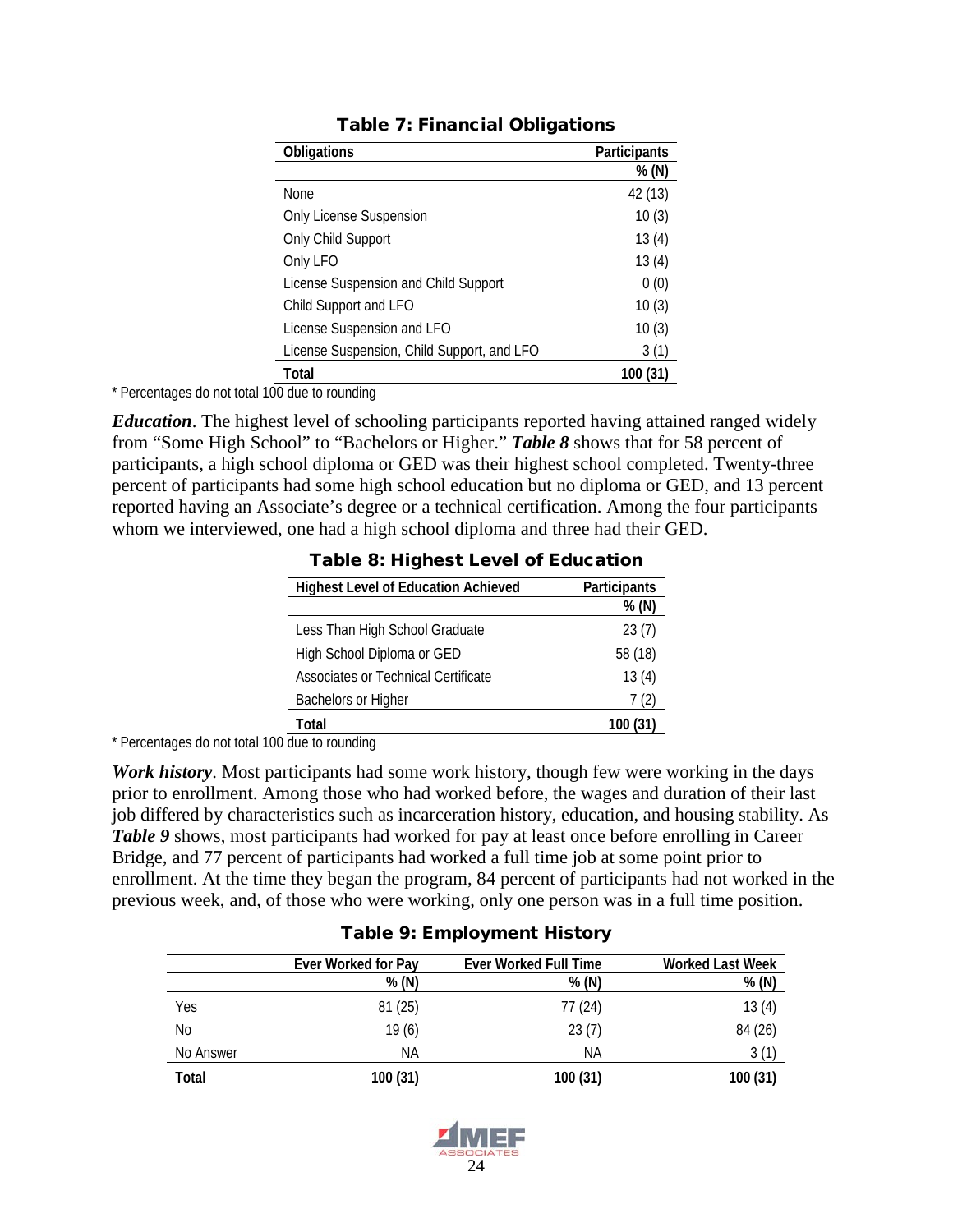| <b>Obligations</b>                         | Participants |
|--------------------------------------------|--------------|
|                                            | % (N)        |
| <b>None</b>                                | 42 (13)      |
| <b>Only License Suspension</b>             | 10(3)        |
| Only Child Support                         | 13(4)        |
| Only LFO                                   | 13(4)        |
| License Suspension and Child Support       | 0(0)         |
| Child Support and LFO                      | 10(3)        |
| License Suspension and LFO                 | 10(3)        |
| License Suspension, Child Support, and LFO | 3(1)         |
| Total                                      | 100 (31)     |

#### Table 7: Financial Obligations

\* Percentages do not total 100 due to rounding

*Education*. The highest level of schooling participants reported having attained ranged widely from "Some High School" to "Bachelors or Higher." *Table 8* shows that for 58 percent of participants, a high school diploma or GED was their highest school completed. Twenty-three percent of participants had some high school education but no diploma or GED, and 13 percent reported having an Associate's degree or a technical certification. Among the four participants whom we interviewed, one had a high school diploma and three had their GED.

| <b>Highest Level of Education Achieved</b> | Participants |
|--------------------------------------------|--------------|
|                                            | % (N)        |
| Less Than High School Graduate             | 23(7)        |
| High School Diploma or GED                 | 58 (18)      |
| Associates or Technical Certificate        | 13(4)        |
| Bachelors or Higher                        | 7(2)         |
| Total                                      | 100          |

#### Table 8: Highest Level of Education

\* Percentages do not total 100 due to rounding

*Work history*. Most participants had some work history, though few were working in the days prior to enrollment. Among those who had worked before, the wages and duration of their last job differed by characteristics such as incarceration history, education, and housing stability. As **Table 9** shows, most participants had worked for pay at least once before enrolling in Career Bridge, and 77 percent of participants had worked a full time job at some point prior to enrollment. At the time they began the program, 84 percent of participants had not worked in the previous week, and, of those who were working, only one person was in a full time position.

|           | Ever Worked for Pay | <b>Ever Worked Full Time</b> | <b>Worked Last Week</b> |
|-----------|---------------------|------------------------------|-------------------------|
|           | % (N)               | % (N)                        | % (N)                   |
| Yes       | 81(25)              | 77 (24)                      | 13(4)                   |
| No        | 19(6)               | 23(7)                        | 84 (26)                 |
| No Answer | ΝA                  | ΝA                           | 3(1)                    |
| Total     | 100 (31)            | 100 (31)                     | 100 (31)                |

#### Table 9: Employment History

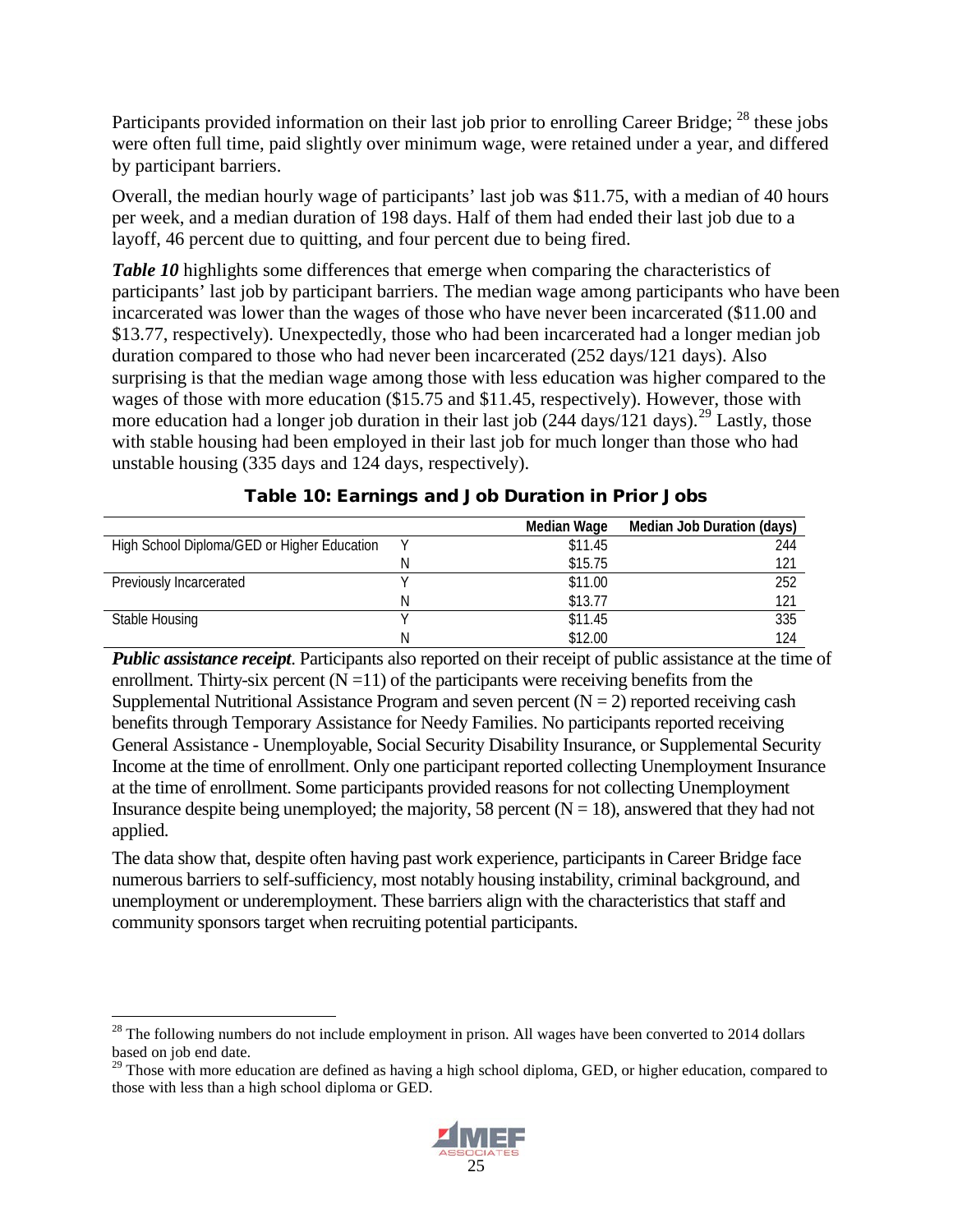Participants provided information on their last job prior to enrolling Career Bridge; <sup>[28](#page-36-0)</sup> these jobs were often full time, paid slightly over minimum wage, were retained under a year, and differed by participant barriers.

Overall, the median hourly wage of participants' last job was \$11.75, with a median of 40 hours per week, and a median duration of 198 days. Half of them had ended their last job due to a layoff, 46 percent due to quitting, and four percent due to being fired.

*Table 10* highlights some differences that emerge when comparing the characteristics of participants' last job by participant barriers. The median wage among participants who have been incarcerated was lower than the wages of those who have never been incarcerated (\$11.00 and \$13.77, respectively). Unexpectedly, those who had been incarcerated had a longer median job duration compared to those who had never been incarcerated (252 days/121 days). Also surprising is that the median wage among those with less education was higher compared to the wages of those with more education (\$15.75 and \$11.45, respectively). However, those with more education had a longer job duration in their last job  $(244 \text{ days}/121 \text{ days})$ .<sup>[29](#page-36-1)</sup> Lastly, those with stable housing had been employed in their last job for much longer than those who had unstable housing (335 days and 124 days, respectively).

|                                             |   | Median Wage | Median Job Duration (days) |
|---------------------------------------------|---|-------------|----------------------------|
| High School Diploma/GED or Higher Education |   | \$11.45     | 244                        |
|                                             |   | \$15.75     | 121                        |
| Previously Incarcerated                     |   | \$11.00     | 252                        |
|                                             |   | \$13.77     | 121                        |
| Stable Housing                              |   | \$11.45     | 335                        |
|                                             | N | \$12.00     | 124                        |

*Public assistance receipt*. Participants also reported on their receipt of public assistance at the time of enrollment. Thirty-six percent  $(N = 11)$  of the participants were receiving benefits from the Supplemental Nutritional Assistance Program and seven percent  $(N = 2)$  reported receiving cash benefits through Temporary Assistance for Needy Families. No participants reported receiving General Assistance - Unemployable, Social Security Disability Insurance, or Supplemental Security Income at the time of enrollment. Only one participant reported collecting Unemployment Insurance at the time of enrollment. Some participants provided reasons for not collecting Unemployment Insurance despite being unemployed; the majority, 58 percent  $(N = 18)$ , answered that they had not applied.

The data show that, despite often having past work experience, participants in Career Bridge face numerous barriers to self-sufficiency, most notably housing instability, criminal background, and unemployment or underemployment. These barriers align with the characteristics that staff and community sponsors target when recruiting potential participants.

<span id="page-36-1"></span><sup>&</sup>lt;sup>29</sup> Those with more education are defined as having a high school diploma, GED, or higher education, compared to those with less than a high school diploma or GED.



<span id="page-36-0"></span> $^{28}$  The following numbers do not include employment in prison. All wages have been converted to 2014 dollars based on job end date.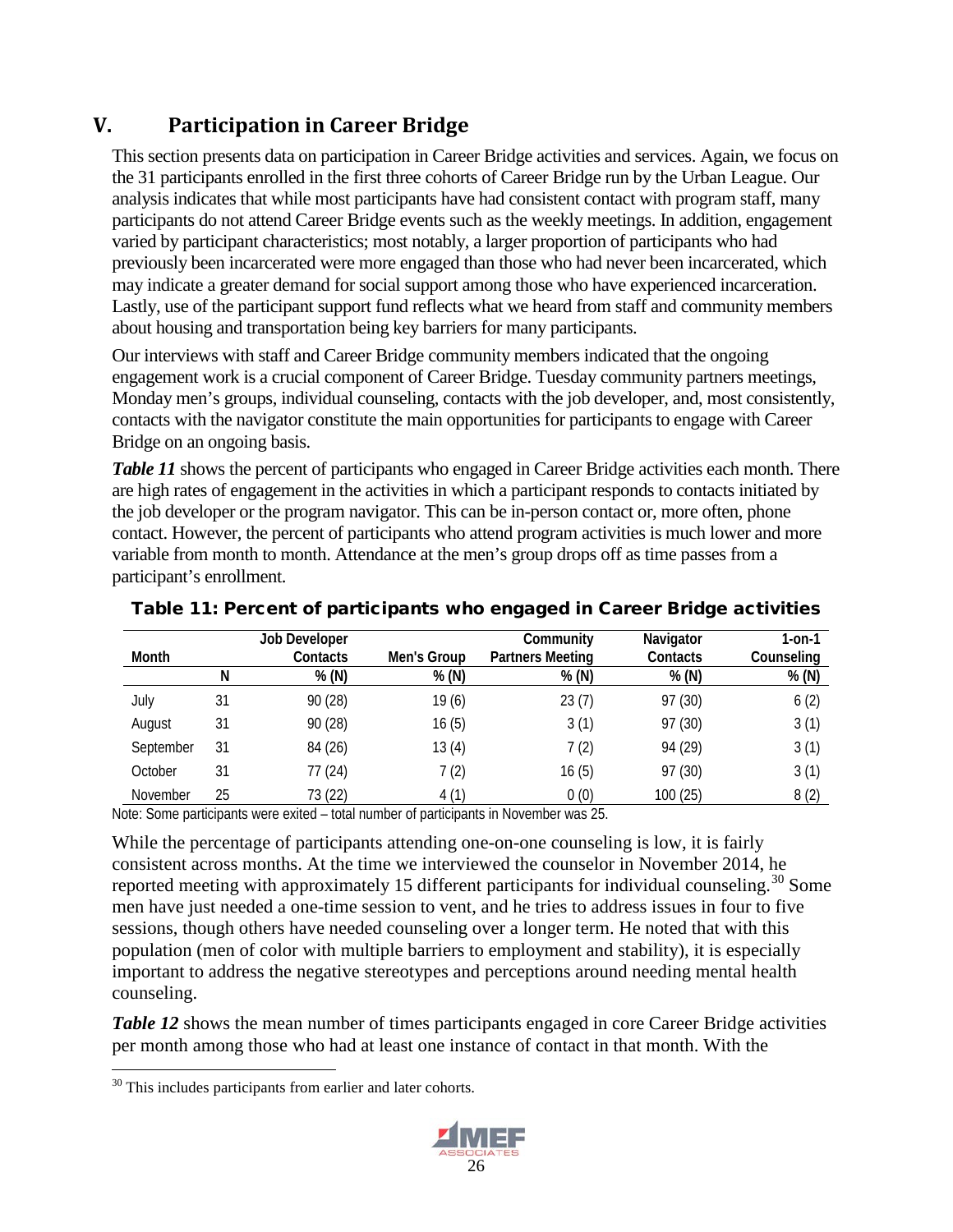## <span id="page-37-0"></span>**V. Participation in Career Bridge**

This section presents data on participation in Career Bridge activities and services. Again, we focus on the 31 participants enrolled in the first three cohorts of Career Bridge run by the Urban League. Our analysis indicates that while most participants have had consistent contact with program staff, many participants do not attend Career Bridge events such as the weekly meetings. In addition, engagement varied by participant characteristics; most notably, a larger proportion of participants who had previously been incarcerated were more engaged than those who had never been incarcerated, which may indicate a greater demand for social support among those who have experienced incarceration. Lastly, use of the participant support fund reflects what we heard from staff and community members about housing and transportation being key barriers for many participants.

Our interviews with staff and Career Bridge community members indicated that the ongoing engagement work is a crucial component of Career Bridge. Tuesday community partners meetings, Monday men's groups, individual counseling, contacts with the job developer, and, most consistently, contacts with the navigator constitute the main opportunities for participants to engage with Career Bridge on an ongoing basis.

*Table 11* shows the percent of participants who engaged in Career Bridge activities each month. There are high rates of engagement in the activities in which a participant responds to contacts initiated by the job developer or the program navigator. This can be in-person contact or, more often, phone contact. However, the percent of participants who attend program activities is much lower and more variable from month to month. Attendance at the men's group drops off as time passes from a participant's enrollment.

|           |    | Job Developer |             | Community               | Navigator | 1-on-1     |
|-----------|----|---------------|-------------|-------------------------|-----------|------------|
| Month     |    | Contacts      | Men's Group | <b>Partners Meeting</b> | Contacts  | Counseling |
|           | N  | % (N)         | % (N)       | % (N)                   | % (N)     | % (N)      |
| July      | 31 | 90 (28)       | 19(6)       | 23(7)                   | 97 (30)   | 6(2)       |
| August    | 31 | 90 (28)       | 16(5)       | 3(1)                    | 97 (30)   | 3(1)       |
| September | 31 | 84 (26)       | 13(4)       | 7(2)                    | 94 (29)   | 3(1)       |
| October   | 31 | 77(24)        | 7(2)        | 16(5)                   | 97 (30)   | 3(1)       |
| November  | 25 | 73 (22)       | 4(1)        | 0(0)                    | 100 (25)  | 8(2)       |

Table 11: Percent of participants who engaged in Career Bridge activities

Note: Some participants were exited – total number of participants in November was 25.

While the percentage of participants attending one-on-one counseling is low, it is fairly consistent across months. At the time we interviewed the counselor in November 2014, he reported meeting with approximately 15 different participants for individual counseling.<sup>[30](#page-37-1)</sup> Some men have just needed a one-time session to vent, and he tries to address issues in four to five sessions, though others have needed counseling over a longer term. He noted that with this population (men of color with multiple barriers to employment and stability), it is especially important to address the negative stereotypes and perceptions around needing mental health counseling.

**Table 12** shows the mean number of times participants engaged in core Career Bridge activities per month among those who had at least one instance of contact in that month. With the

<span id="page-37-1"></span> $30$  This includes participants from earlier and later cohorts.

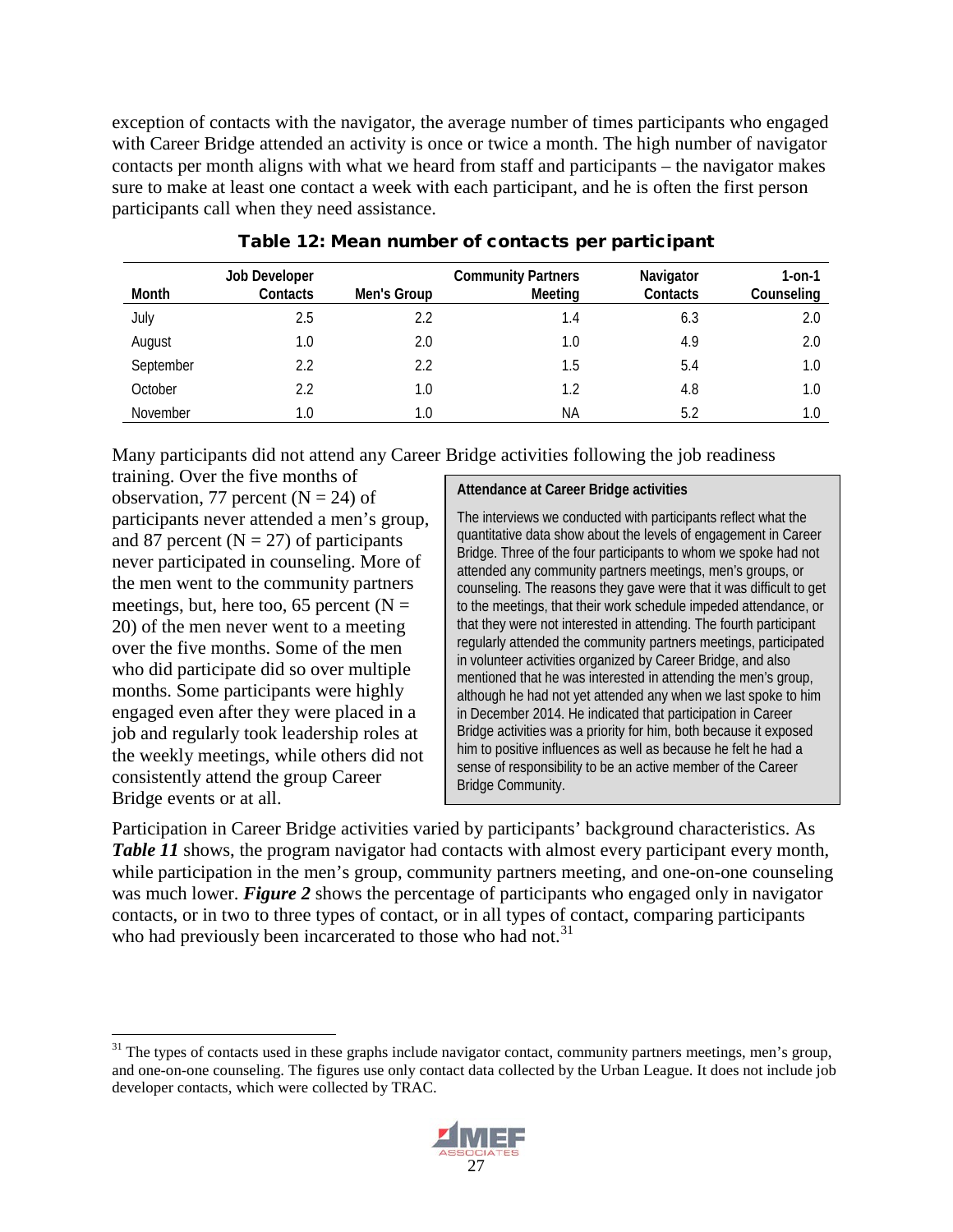exception of contacts with the navigator, the average number of times participants who engaged with Career Bridge attended an activity is once or twice a month. The high number of navigator contacts per month aligns with what we heard from staff and participants – the navigator makes sure to make at least one contact a week with each participant, and he is often the first person participants call when they need assistance.

| Month     | Job Developer<br>Contacts | Men's Group | <b>Community Partners</b><br>Meeting | Navigator<br>Contacts | $1-0n-1$<br>Counseling |
|-----------|---------------------------|-------------|--------------------------------------|-----------------------|------------------------|
| July      | 2.5                       | 2.2         | 1.4                                  | 6.3                   | 2.0                    |
| August    | 1.0                       | 2.0         | 1.0                                  | 4.9                   | 2.0                    |
| September | 2.2                       | 2.2         | 1.5                                  | 5.4                   | 1.0                    |
| October   | 2.2                       | 1.0         | 1.2                                  | 4.8                   | 1.0                    |
| November  | 1.0                       | 1.0         | ΝA                                   | 5.2                   | 1.0                    |

#### Table 12: Mean number of contacts per participant

Many participants did not attend any Career Bridge activities following the job readiness

training. Over the five months of observation, 77 percent  $(N = 24)$  of participants never attended a men's group, and 87 percent ( $N = 27$ ) of participants never participated in counseling. More of the men went to the community partners meetings, but, here too, 65 percent ( $N =$ 20) of the men never went to a meeting over the five months. Some of the men who did participate did so over multiple months. Some participants were highly engaged even after they were placed in a job and regularly took leadership roles at the weekly meetings, while others did not consistently attend the group Career Bridge events or at all.

#### **Attendance at Career Bridge activities**

The interviews we conducted with participants reflect what the quantitative data show about the levels of engagement in Career Bridge. Three of the four participants to whom we spoke had not attended any community partners meetings, men's groups, or counseling. The reasons they gave were that it was difficult to get to the meetings, that their work schedule impeded attendance, or that they were not interested in attending. The fourth participant regularly attended the community partners meetings, participated in volunteer activities organized by Career Bridge, and also mentioned that he was interested in attending the men's group, although he had not yet attended any when we last spoke to him in December 2014. He indicated that participation in Career Bridge activities was a priority for him, both because it exposed him to positive influences as well as because he felt he had a sense of responsibility to be an active member of the Career Bridge Community.

Participation in Career Bridge activities varied by participants' background characteristics. As *Table 11* shows, the program navigator had contacts with almost every participant every month, while participation in the men's group, community partners meeting, and one-on-one counseling was much lower. **Figure 2** shows the percentage of participants who engaged only in navigator contacts, or in two to three types of contact, or in all types of contact, comparing participants who had previously been incarcerated to those who had not.<sup>[31](#page-38-0)</sup>

<span id="page-38-0"></span> $31$  The types of contacts used in these graphs include navigator contact, community partners meetings, men's group, and one-on-one counseling. The figures use only contact data collected by the Urban League. It does not include job developer contacts, which were collected by TRAC.

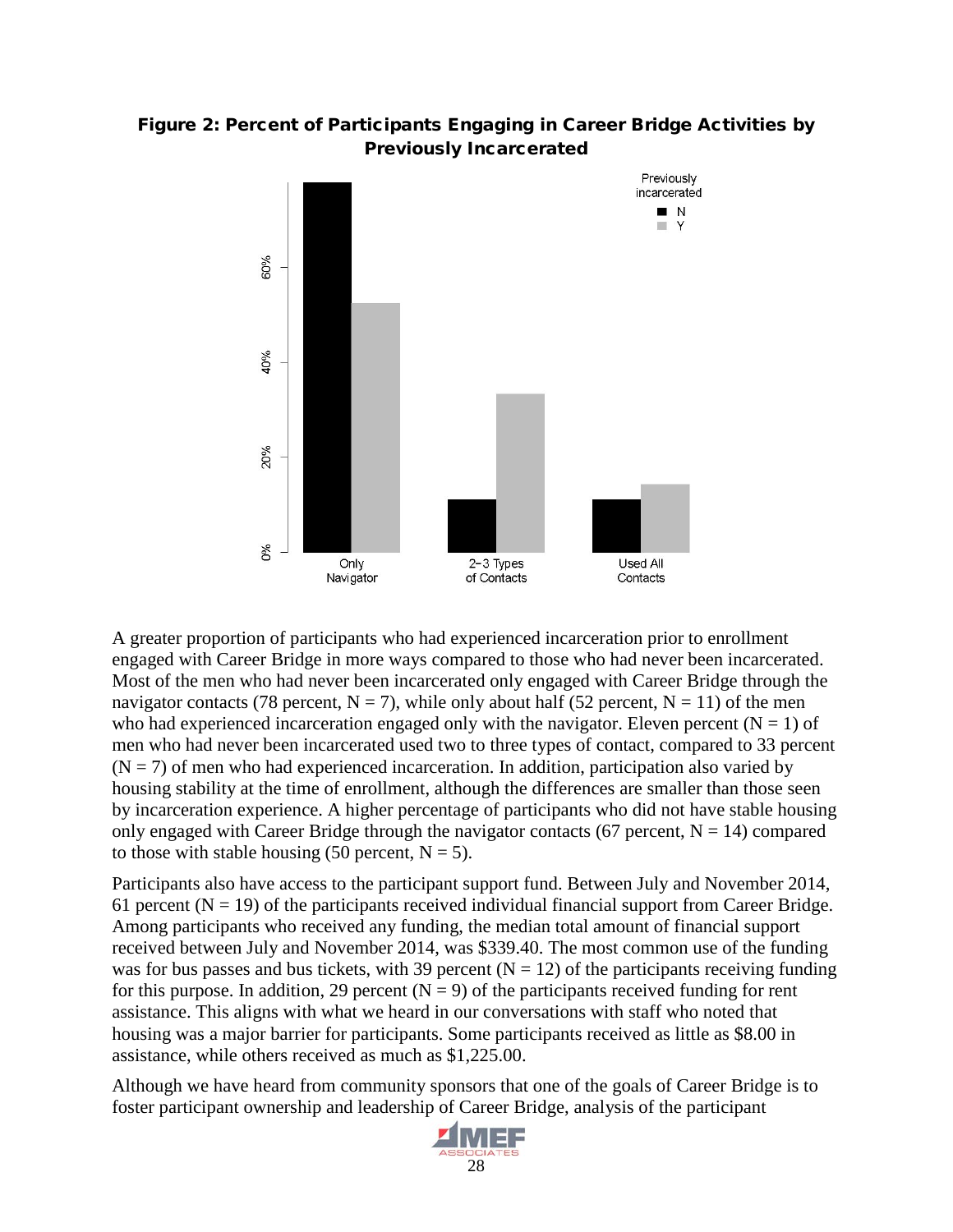



A greater proportion of participants who had experienced incarceration prior to enrollment engaged with Career Bridge in more ways compared to those who had never been incarcerated. Most of the men who had never been incarcerated only engaged with Career Bridge through the navigator contacts (78 percent,  $N = 7$ ), while only about half (52 percent,  $N = 11$ ) of the men who had experienced incarceration engaged only with the navigator. Eleven percent ( $N = 1$ ) of men who had never been incarcerated used two to three types of contact, compared to 33 percent  $(N = 7)$  of men who had experienced incarceration. In addition, participation also varied by housing stability at the time of enrollment, although the differences are smaller than those seen by incarceration experience. A higher percentage of participants who did not have stable housing only engaged with Career Bridge through the navigator contacts (67 percent,  $N = 14$ ) compared to those with stable housing (50 percent,  $N = 5$ ).

Participants also have access to the participant support fund. Between July and November 2014, 61 percent ( $N = 19$ ) of the participants received individual financial support from Career Bridge. Among participants who received any funding, the median total amount of financial support received between July and November 2014, was \$339.40. The most common use of the funding was for bus passes and bus tickets, with 39 percent  $(N = 12)$  of the participants receiving funding for this purpose. In addition, 29 percent  $(N = 9)$  of the participants received funding for rent assistance. This aligns with what we heard in our conversations with staff who noted that housing was a major barrier for participants. Some participants received as little as \$8.00 in assistance, while others received as much as \$1,225.00.

Although we have heard from community sponsors that one of the goals of Career Bridge is to foster participant ownership and leadership of Career Bridge, analysis of the participant

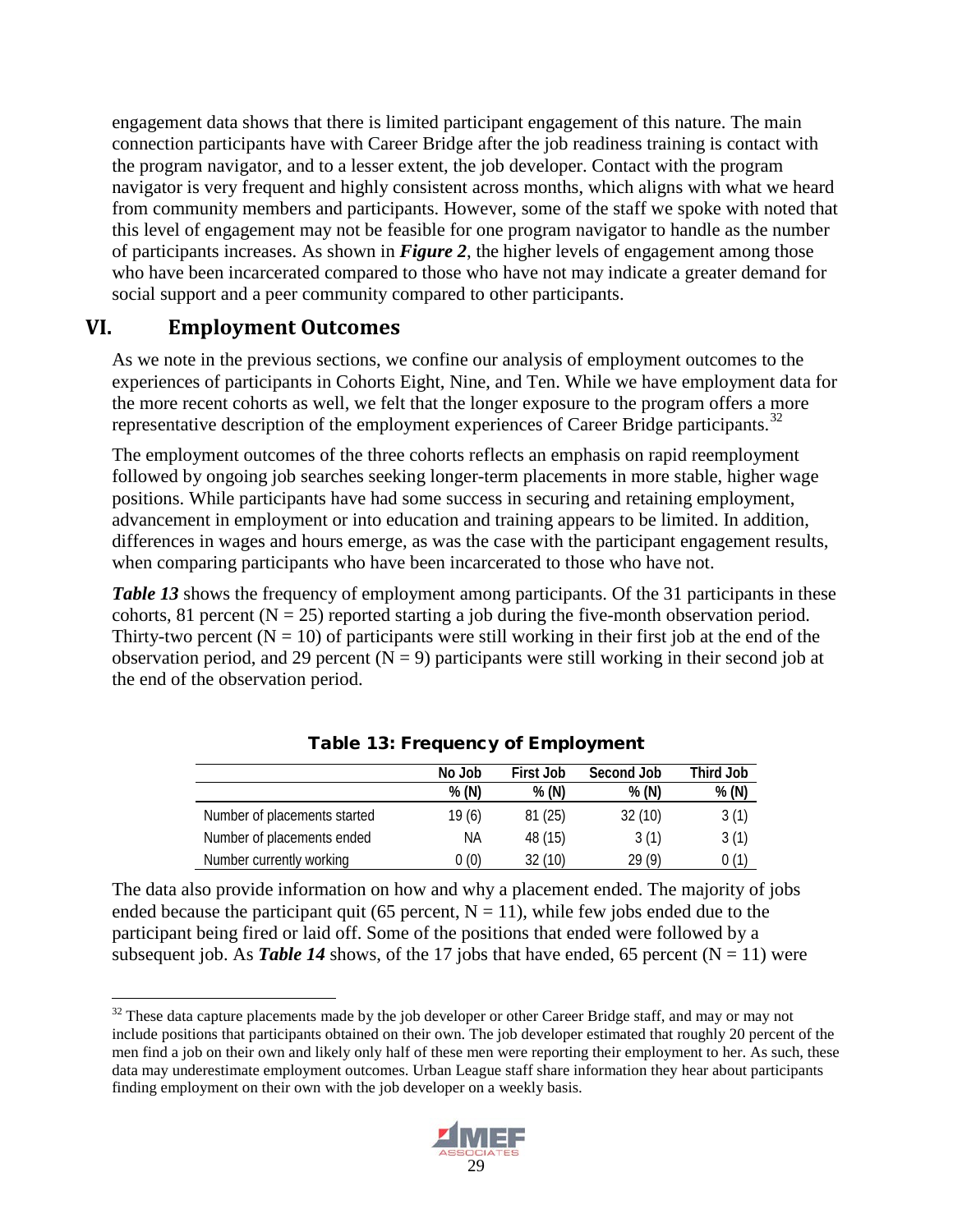engagement data shows that there is limited participant engagement of this nature. The main connection participants have with Career Bridge after the job readiness training is contact with the program navigator, and to a lesser extent, the job developer. Contact with the program navigator is very frequent and highly consistent across months, which aligns with what we heard from community members and participants. However, some of the staff we spoke with noted that this level of engagement may not be feasible for one program navigator to handle as the number of participants increases. As shown in *Figure 2*, the higher levels of engagement among those who have been incarcerated compared to those who have not may indicate a greater demand for social support and a peer community compared to other participants.

### <span id="page-40-0"></span>**VI. Employment Outcomes**

As we note in the previous sections, we confine our analysis of employment outcomes to the experiences of participants in Cohorts Eight, Nine, and Ten. While we have employment data for the more recent cohorts as well, we felt that the longer exposure to the program offers a more representative description of the employment experiences of Career Bridge participants.<sup>[32](#page-40-1)</sup>

The employment outcomes of the three cohorts reflects an emphasis on rapid reemployment followed by ongoing job searches seeking longer-term placements in more stable, higher wage positions. While participants have had some success in securing and retaining employment, advancement in employment or into education and training appears to be limited. In addition, differences in wages and hours emerge, as was the case with the participant engagement results, when comparing participants who have been incarcerated to those who have not.

*Table 13* shows the frequency of employment among participants. Of the 31 participants in these cohorts, 81 percent  $(N = 25)$  reported starting a job during the five-month observation period. Thirty-two percent  $(N = 10)$  of participants were still working in their first job at the end of the observation period, and 29 percent  $(N = 9)$  participants were still working in their second job at the end of the observation period.

|                              | No Job | First Job | Second Job | Third Job |
|------------------------------|--------|-----------|------------|-----------|
|                              | % (N)  | % (N)     | % (N)      | % (N)     |
| Number of placements started | 19 (6) | 81(25)    | 32(10)     | 3(1)      |
| Number of placements ended   | ΝA     | 48 (15)   | 3(1)       | 3(1)      |
| Number currently working     | 0(0)   | 32 (10)   | 29(9)      | 0(1)      |

Table 13: Frequency of Employment

The data also provide information on how and why a placement ended. The majority of jobs ended because the participant quit (65 percent,  $N = 11$ ), while few jobs ended due to the participant being fired or laid off. Some of the positions that ended were followed by a subsequent job. As **Table 14** shows, of the 17 jobs that have ended, 65 percent  $(N = 11)$  were

<span id="page-40-1"></span><sup>&</sup>lt;sup>32</sup> These data capture placements made by the job developer or other Career Bridge staff, and may or may not include positions that participants obtained on their own. The job developer estimated that roughly 20 percent of the men find a job on their own and likely only half of these men were reporting their employment to her. As such, these data may underestimate employment outcomes. Urban League staff share information they hear about participants finding employment on their own with the job developer on a weekly basis.

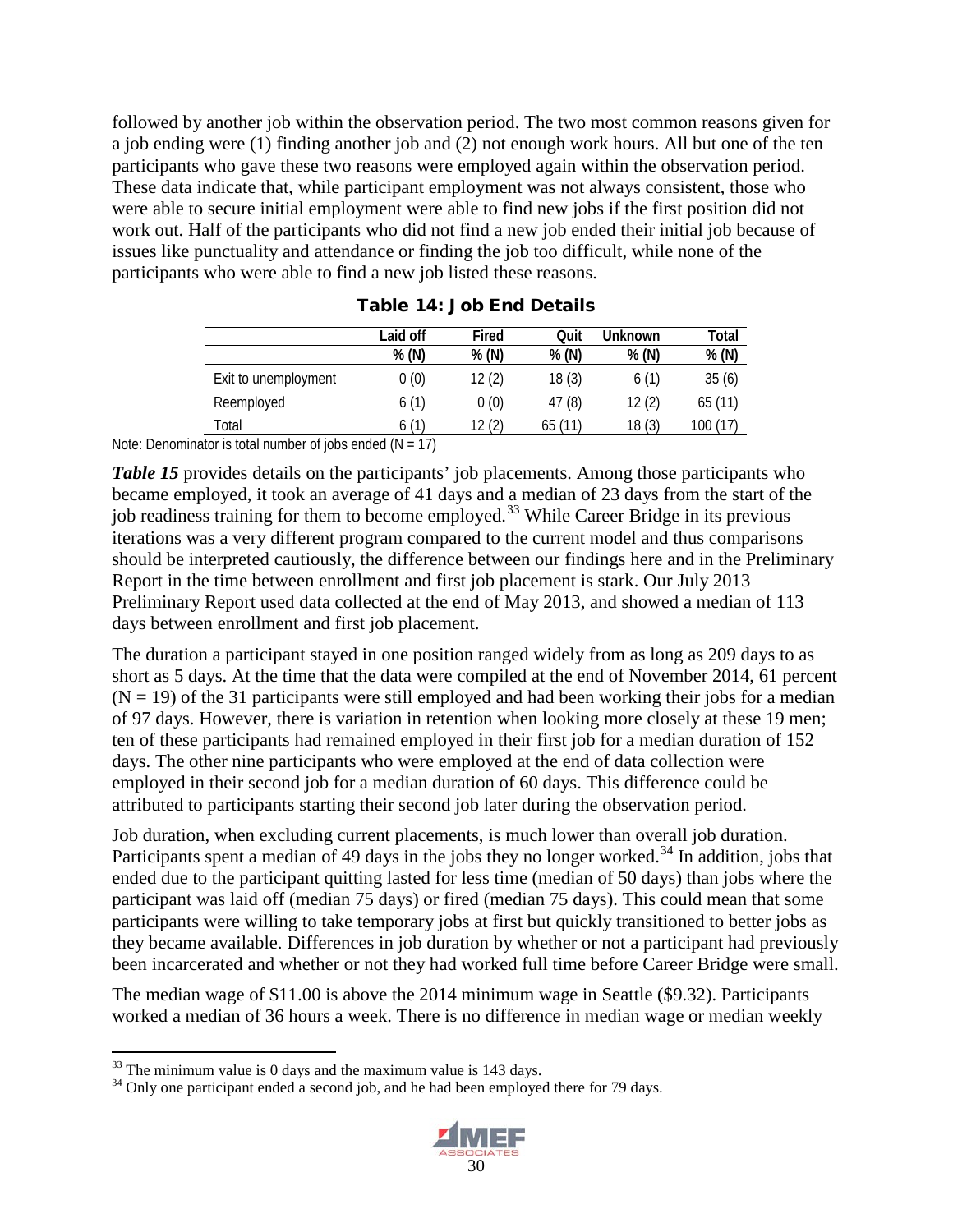followed by another job within the observation period. The two most common reasons given for a job ending were (1) finding another job and (2) not enough work hours. All but one of the ten participants who gave these two reasons were employed again within the observation period. These data indicate that, while participant employment was not always consistent, those who were able to secure initial employment were able to find new jobs if the first position did not work out. Half of the participants who did not find a new job ended their initial job because of issues like punctuality and attendance or finding the job too difficult, while none of the participants who were able to find a new job listed these reasons.

|                      | Laid off | Fired | Quit   | Unknown | Total    |
|----------------------|----------|-------|--------|---------|----------|
|                      | % (N)    | % (N) | % (N)  | % (N)   | % (N)    |
| Exit to unemployment | 0(0)     | 12(2) | 18(3)  | 6(1)    | 35(6)    |
| Reemployed           | 6(1)     | 0(0)  | 47(8)  | 12(2)   | 65(11)   |
| Total                | 6(1)     | 12(2) | 65(11) | 18(3)   | 100 (17) |

|  |  |  |  |  | <b>Table 14: Job End Details</b> |
|--|--|--|--|--|----------------------------------|
|--|--|--|--|--|----------------------------------|

Note: Denominator is total number of jobs ended  $(N = 17)$ 

*Table 15* provides details on the participants' job placements. Among those participants who became employed, it took an average of 41 days and a median of 23 days from the start of the job readiness training for them to become employed.<sup>[33](#page-41-0)</sup> While Career Bridge in its previous iterations was a very different program compared to the current model and thus comparisons should be interpreted cautiously, the difference between our findings here and in the Preliminary Report in the time between enrollment and first job placement is stark. Our July 2013 Preliminary Report used data collected at the end of May 2013, and showed a median of 113 days between enrollment and first job placement.

The duration a participant stayed in one position ranged widely from as long as 209 days to as short as 5 days. At the time that the data were compiled at the end of November 2014, 61 percent  $(N = 19)$  of the 31 participants were still employed and had been working their jobs for a median of 97 days. However, there is variation in retention when looking more closely at these 19 men; ten of these participants had remained employed in their first job for a median duration of 152 days. The other nine participants who were employed at the end of data collection were employed in their second job for a median duration of 60 days. This difference could be attributed to participants starting their second job later during the observation period.

Job duration, when excluding current placements, is much lower than overall job duration. Participants spent a median of 49 days in the jobs they no longer worked.<sup>[34](#page-41-1)</sup> In addition, jobs that ended due to the participant quitting lasted for less time (median of 50 days) than jobs where the participant was laid off (median 75 days) or fired (median 75 days). This could mean that some participants were willing to take temporary jobs at first but quickly transitioned to better jobs as they became available. Differences in job duration by whether or not a participant had previously been incarcerated and whether or not they had worked full time before Career Bridge were small.

The median wage of \$11.00 is above the 2014 minimum wage in Seattle (\$9.32). Participants worked a median of 36 hours a week. There is no difference in median wage or median weekly

<span id="page-41-1"></span><span id="page-41-0"></span><sup>&</sup>lt;sup>33</sup> The minimum value is 0 days and the maximum value is 143 days.<br><sup>34</sup> Only one participant ended a second job, and he had been employed there for 79 days.

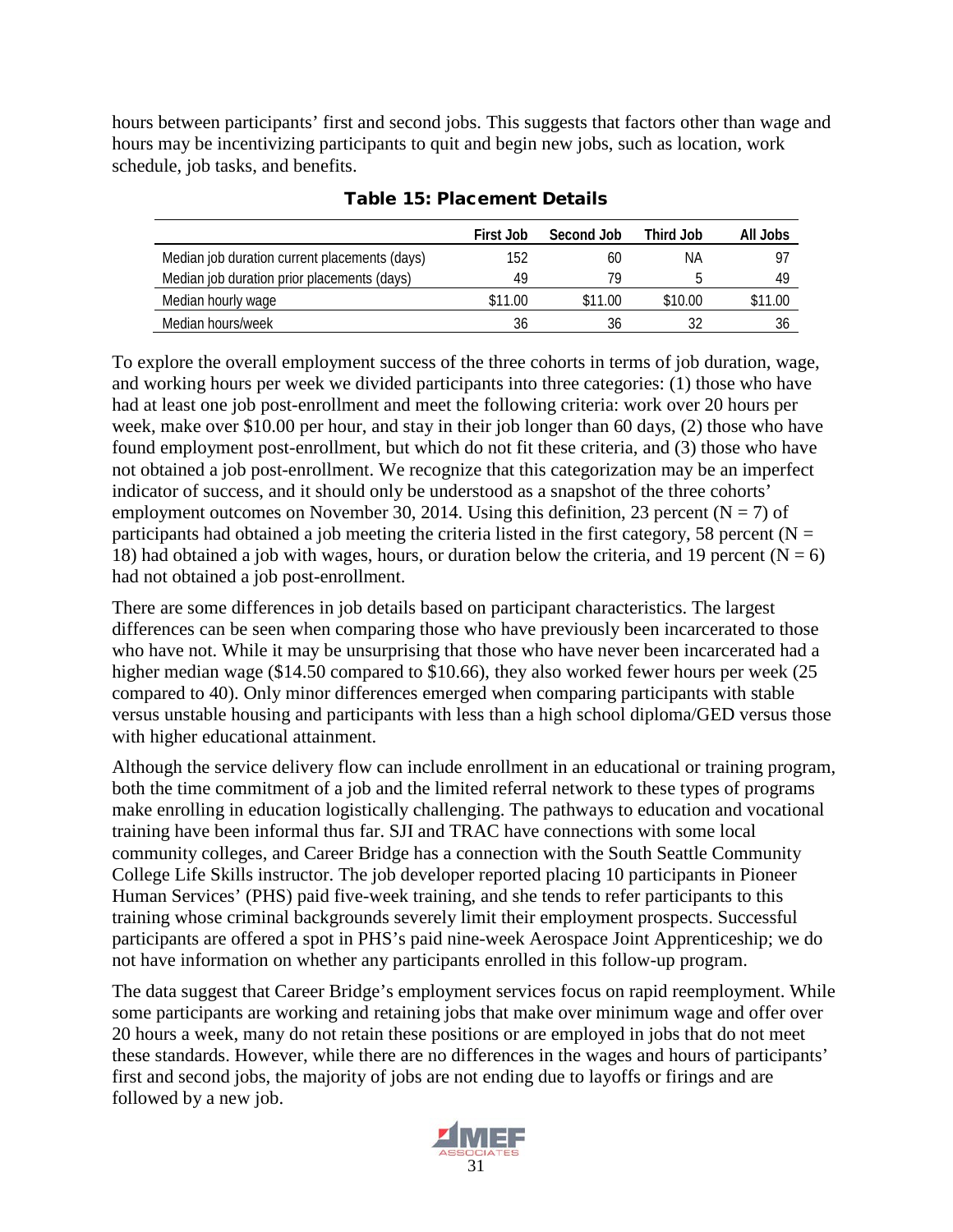hours between participants' first and second jobs. This suggests that factors other than wage and hours may be incentivizing participants to quit and begin new jobs, such as location, work schedule, job tasks, and benefits.

|                                               | First Job | Second Job | Third Job | All Jobs |
|-----------------------------------------------|-----------|------------|-----------|----------|
| Median job duration current placements (days) | 152       | 60         | ΝA        |          |
| Median job duration prior placements (days)   | 49        | 79         |           | 49       |
| Median hourly wage                            | \$11.00   | \$11.00    | \$10.00   | \$11.00  |
| Median hours/week                             | 36        | 36         |           |          |

#### Table 15: Placement Details

To explore the overall employment success of the three cohorts in terms of job duration, wage, and working hours per week we divided participants into three categories: (1) those who have had at least one job post-enrollment and meet the following criteria: work over 20 hours per week, make over \$10.00 per hour, and stay in their job longer than 60 days, (2) those who have found employment post-enrollment, but which do not fit these criteria, and (3) those who have not obtained a job post-enrollment. We recognize that this categorization may be an imperfect indicator of success, and it should only be understood as a snapshot of the three cohorts' employment outcomes on November 30, 2014. Using this definition, 23 percent ( $N = 7$ ) of participants had obtained a job meeting the criteria listed in the first category, 58 percent ( $N =$ 18) had obtained a job with wages, hours, or duration below the criteria, and 19 percent ( $N = 6$ ) had not obtained a job post-enrollment.

There are some differences in job details based on participant characteristics. The largest differences can be seen when comparing those who have previously been incarcerated to those who have not. While it may be unsurprising that those who have never been incarcerated had a higher median wage (\$14.50 compared to \$10.66), they also worked fewer hours per week (25 compared to 40). Only minor differences emerged when comparing participants with stable versus unstable housing and participants with less than a high school diploma/GED versus those with higher educational attainment.

Although the service delivery flow can include enrollment in an educational or training program, both the time commitment of a job and the limited referral network to these types of programs make enrolling in education logistically challenging. The pathways to education and vocational training have been informal thus far. SJI and TRAC have connections with some local community colleges, and Career Bridge has a connection with the South Seattle Community College Life Skills instructor. The job developer reported placing 10 participants in Pioneer Human Services' (PHS) paid five-week training, and she tends to refer participants to this training whose criminal backgrounds severely limit their employment prospects. Successful participants are offered a spot in PHS's paid nine-week Aerospace Joint Apprenticeship; we do not have information on whether any participants enrolled in this follow-up program.

The data suggest that Career Bridge's employment services focus on rapid reemployment. While some participants are working and retaining jobs that make over minimum wage and offer over 20 hours a week, many do not retain these positions or are employed in jobs that do not meet these standards. However, while there are no differences in the wages and hours of participants' first and second jobs, the majority of jobs are not ending due to layoffs or firings and are followed by a new job.

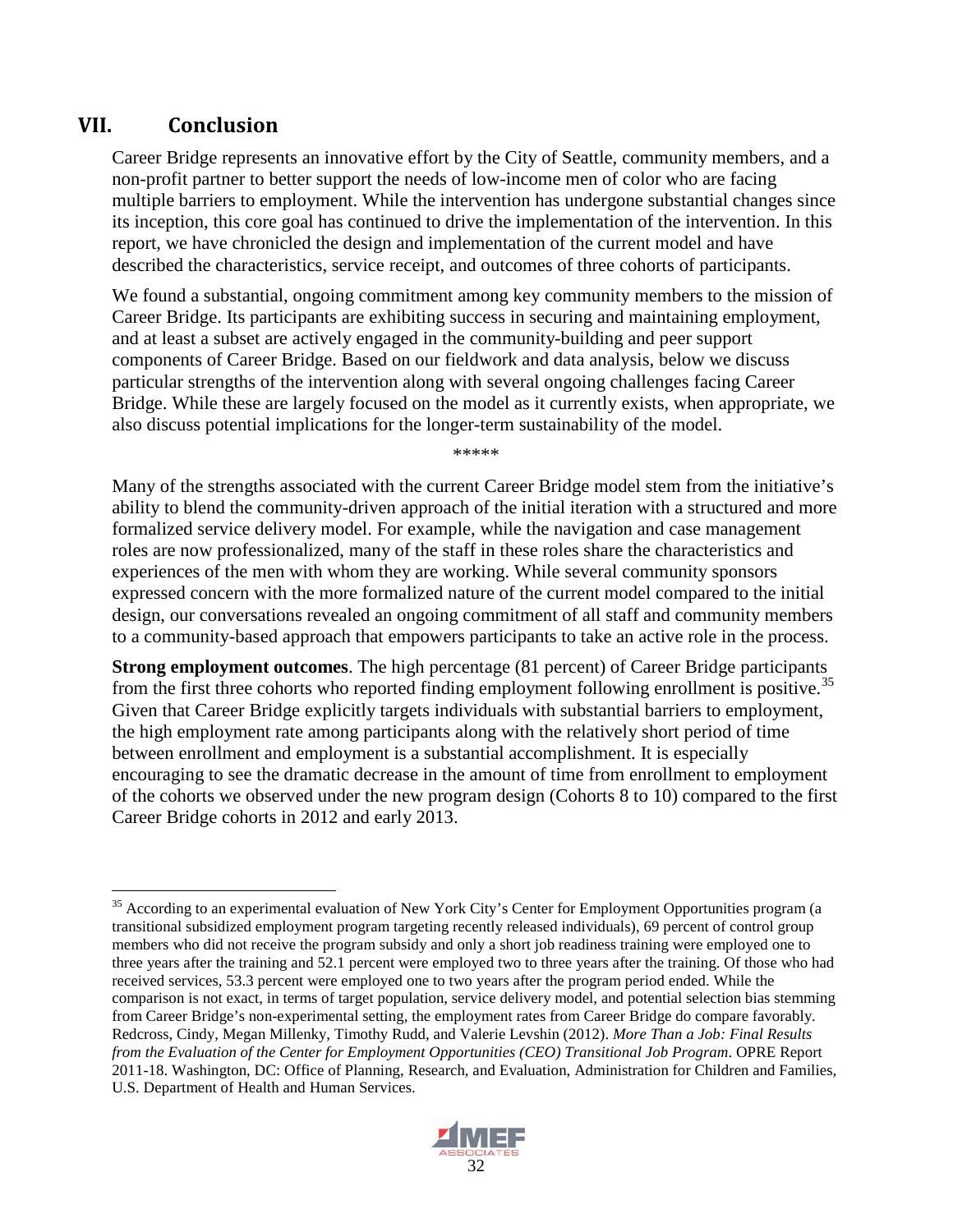### <span id="page-43-0"></span>**VII. Conclusion**

Career Bridge represents an innovative effort by the City of Seattle, community members, and a non-profit partner to better support the needs of low-income men of color who are facing multiple barriers to employment. While the intervention has undergone substantial changes since its inception, this core goal has continued to drive the implementation of the intervention. In this report, we have chronicled the design and implementation of the current model and have described the characteristics, service receipt, and outcomes of three cohorts of participants.

We found a substantial, ongoing commitment among key community members to the mission of Career Bridge. Its participants are exhibiting success in securing and maintaining employment, and at least a subset are actively engaged in the community-building and peer support components of Career Bridge. Based on our fieldwork and data analysis, below we discuss particular strengths of the intervention along with several ongoing challenges facing Career Bridge. While these are largely focused on the model as it currently exists, when appropriate, we also discuss potential implications for the longer-term sustainability of the model.

\*\*\*\*\*

Many of the strengths associated with the current Career Bridge model stem from the initiative's ability to blend the community-driven approach of the initial iteration with a structured and more formalized service delivery model. For example, while the navigation and case management roles are now professionalized, many of the staff in these roles share the characteristics and experiences of the men with whom they are working. While several community sponsors expressed concern with the more formalized nature of the current model compared to the initial design, our conversations revealed an ongoing commitment of all staff and community members to a community-based approach that empowers participants to take an active role in the process.

**Strong employment outcomes**. The high percentage (81 percent) of Career Bridge participants from the first three cohorts who reported finding employment following enrollment is positive.<sup>[35](#page-43-1)</sup> Given that Career Bridge explicitly targets individuals with substantial barriers to employment, the high employment rate among participants along with the relatively short period of time between enrollment and employment is a substantial accomplishment. It is especially encouraging to see the dramatic decrease in the amount of time from enrollment to employment of the cohorts we observed under the new program design (Cohorts 8 to 10) compared to the first Career Bridge cohorts in 2012 and early 2013.

<span id="page-43-1"></span><sup>&</sup>lt;sup>35</sup> According to an experimental evaluation of New York City's Center for Employment Opportunities program (a transitional subsidized employment program targeting recently released individuals), 69 percent of control group members who did not receive the program subsidy and only a short job readiness training were employed one to three years after the training and 52.1 percent were employed two to three years after the training. Of those who had received services, 53.3 percent were employed one to two years after the program period ended. While the comparison is not exact, in terms of target population, service delivery model, and potential selection bias stemming from Career Bridge's non-experimental setting, the employment rates from Career Bridge do compare favorably. Redcross, Cindy, Megan Millenky, Timothy Rudd, and Valerie Levshin (2012). *More Than a Job: Final Results from the Evaluation of the Center for Employment Opportunities (CEO) Transitional Job Program*. OPRE Report 2011-18. Washington, DC: Office of Planning, Research, and Evaluation, Administration for Children and Families, U.S. Department of Health and Human Services.

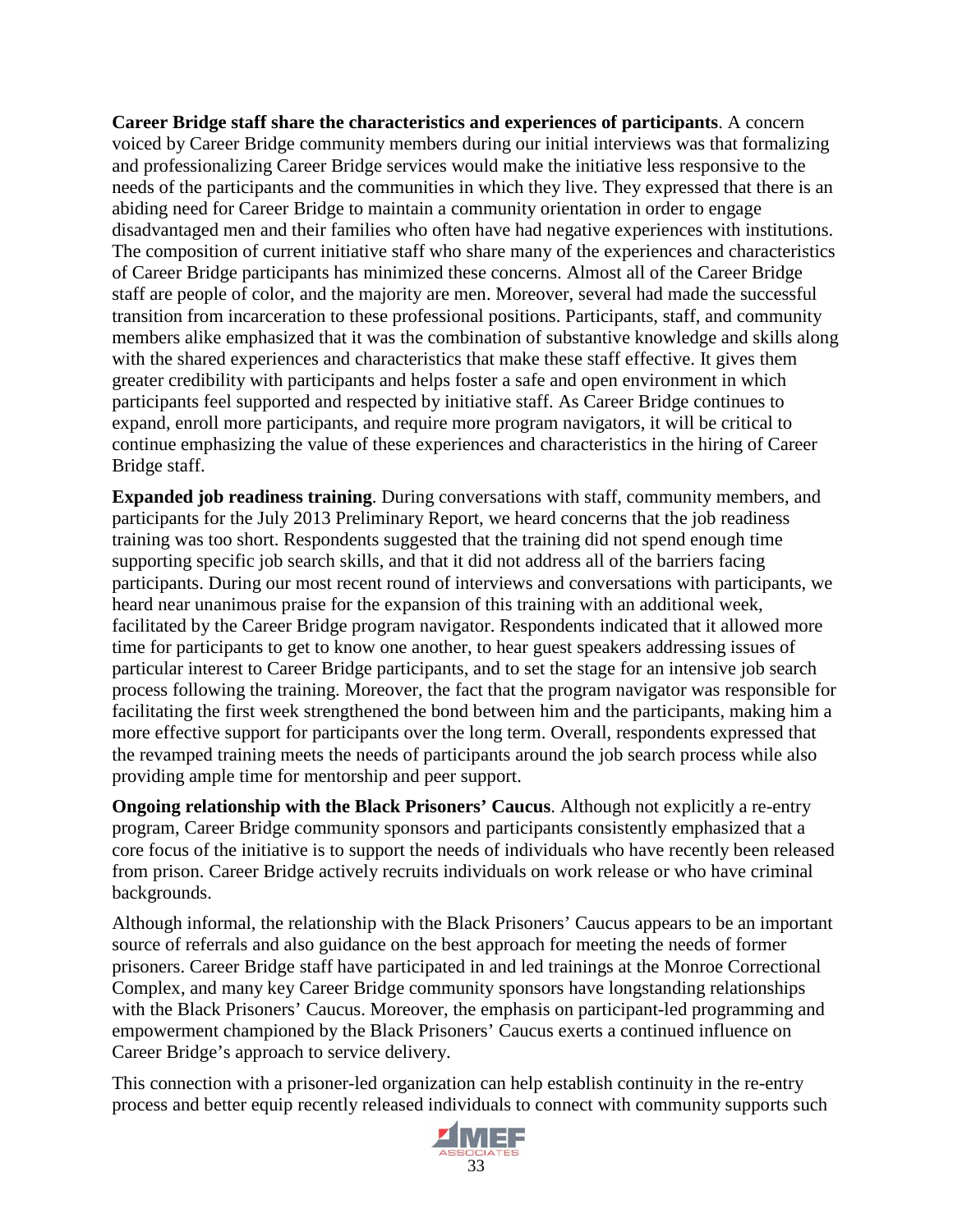**Career Bridge staff share the characteristics and experiences of participants**. A concern voiced by Career Bridge community members during our initial interviews was that formalizing and professionalizing Career Bridge services would make the initiative less responsive to the needs of the participants and the communities in which they live. They expressed that there is an abiding need for Career Bridge to maintain a community orientation in order to engage disadvantaged men and their families who often have had negative experiences with institutions. The composition of current initiative staff who share many of the experiences and characteristics of Career Bridge participants has minimized these concerns. Almost all of the Career Bridge staff are people of color, and the majority are men. Moreover, several had made the successful transition from incarceration to these professional positions. Participants, staff, and community members alike emphasized that it was the combination of substantive knowledge and skills along with the shared experiences and characteristics that make these staff effective. It gives them greater credibility with participants and helps foster a safe and open environment in which participants feel supported and respected by initiative staff. As Career Bridge continues to expand, enroll more participants, and require more program navigators, it will be critical to continue emphasizing the value of these experiences and characteristics in the hiring of Career Bridge staff.

**Expanded job readiness training**. During conversations with staff, community members, and participants for the July 2013 Preliminary Report, we heard concerns that the job readiness training was too short. Respondents suggested that the training did not spend enough time supporting specific job search skills, and that it did not address all of the barriers facing participants. During our most recent round of interviews and conversations with participants, we heard near unanimous praise for the expansion of this training with an additional week, facilitated by the Career Bridge program navigator. Respondents indicated that it allowed more time for participants to get to know one another, to hear guest speakers addressing issues of particular interest to Career Bridge participants, and to set the stage for an intensive job search process following the training. Moreover, the fact that the program navigator was responsible for facilitating the first week strengthened the bond between him and the participants, making him a more effective support for participants over the long term. Overall, respondents expressed that the revamped training meets the needs of participants around the job search process while also providing ample time for mentorship and peer support.

**Ongoing relationship with the Black Prisoners' Caucus**. Although not explicitly a re-entry program, Career Bridge community sponsors and participants consistently emphasized that a core focus of the initiative is to support the needs of individuals who have recently been released from prison. Career Bridge actively recruits individuals on work release or who have criminal backgrounds.

Although informal, the relationship with the Black Prisoners' Caucus appears to be an important source of referrals and also guidance on the best approach for meeting the needs of former prisoners. Career Bridge staff have participated in and led trainings at the Monroe Correctional Complex, and many key Career Bridge community sponsors have longstanding relationships with the Black Prisoners' Caucus. Moreover, the emphasis on participant-led programming and empowerment championed by the Black Prisoners' Caucus exerts a continued influence on Career Bridge's approach to service delivery.

This connection with a prisoner-led organization can help establish continuity in the re-entry process and better equip recently released individuals to connect with community supports such

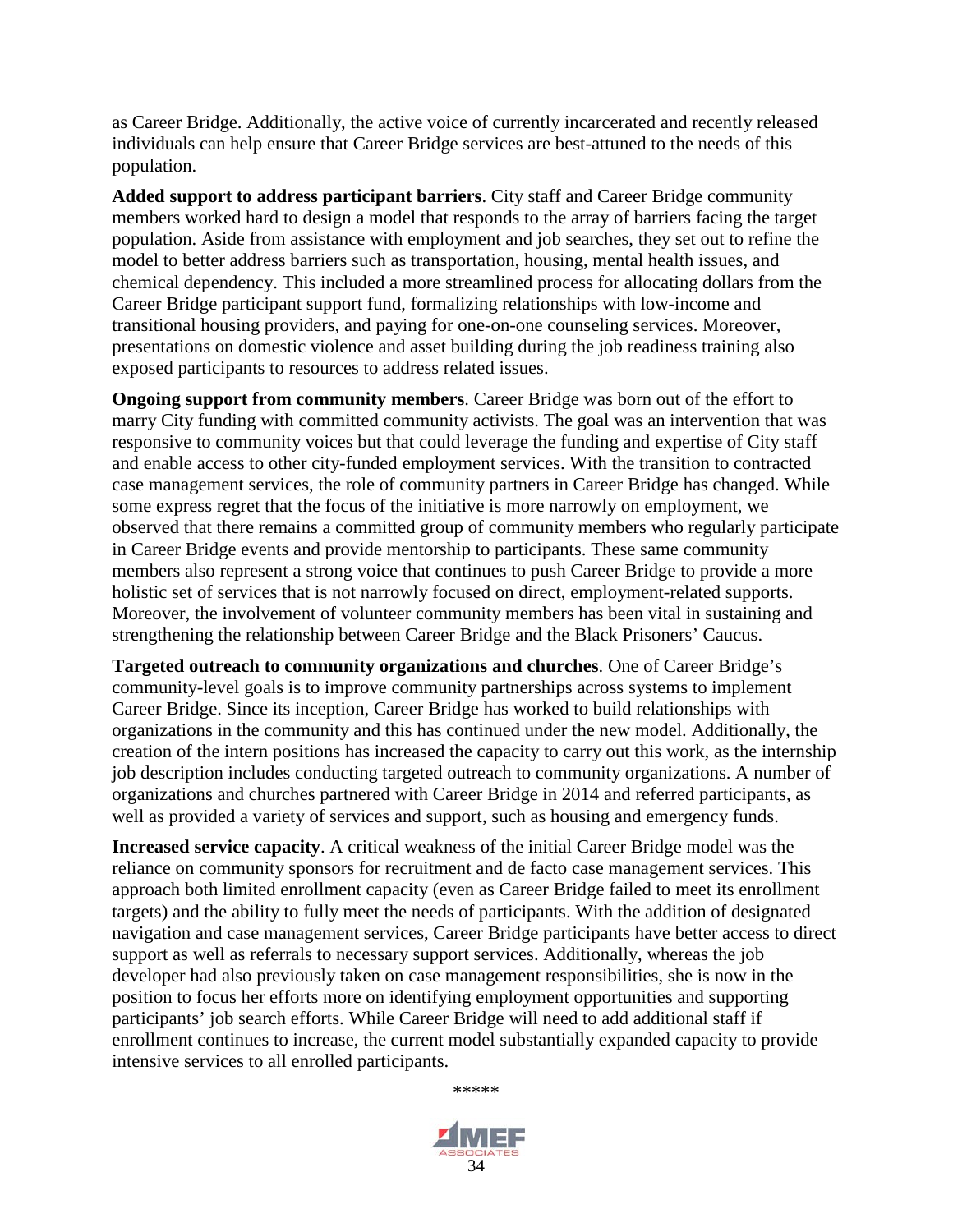as Career Bridge. Additionally, the active voice of currently incarcerated and recently released individuals can help ensure that Career Bridge services are best-attuned to the needs of this population.

**Added support to address participant barriers**. City staff and Career Bridge community members worked hard to design a model that responds to the array of barriers facing the target population. Aside from assistance with employment and job searches, they set out to refine the model to better address barriers such as transportation, housing, mental health issues, and chemical dependency. This included a more streamlined process for allocating dollars from the Career Bridge participant support fund, formalizing relationships with low-income and transitional housing providers, and paying for one-on-one counseling services. Moreover, presentations on domestic violence and asset building during the job readiness training also exposed participants to resources to address related issues.

**Ongoing support from community members**. Career Bridge was born out of the effort to marry City funding with committed community activists. The goal was an intervention that was responsive to community voices but that could leverage the funding and expertise of City staff and enable access to other city-funded employment services. With the transition to contracted case management services, the role of community partners in Career Bridge has changed. While some express regret that the focus of the initiative is more narrowly on employment, we observed that there remains a committed group of community members who regularly participate in Career Bridge events and provide mentorship to participants. These same community members also represent a strong voice that continues to push Career Bridge to provide a more holistic set of services that is not narrowly focused on direct, employment-related supports. Moreover, the involvement of volunteer community members has been vital in sustaining and strengthening the relationship between Career Bridge and the Black Prisoners' Caucus.

**Targeted outreach to community organizations and churches**. One of Career Bridge's community-level goals is to improve community partnerships across systems to implement Career Bridge. Since its inception, Career Bridge has worked to build relationships with organizations in the community and this has continued under the new model. Additionally, the creation of the intern positions has increased the capacity to carry out this work, as the internship job description includes conducting targeted outreach to community organizations. A number of organizations and churches partnered with Career Bridge in 2014 and referred participants, as well as provided a variety of services and support, such as housing and emergency funds.

**Increased service capacity**. A critical weakness of the initial Career Bridge model was the reliance on community sponsors for recruitment and de facto case management services. This approach both limited enrollment capacity (even as Career Bridge failed to meet its enrollment targets) and the ability to fully meet the needs of participants. With the addition of designated navigation and case management services, Career Bridge participants have better access to direct support as well as referrals to necessary support services. Additionally, whereas the job developer had also previously taken on case management responsibilities, she is now in the position to focus her efforts more on identifying employment opportunities and supporting participants' job search efforts. While Career Bridge will need to add additional staff if enrollment continues to increase, the current model substantially expanded capacity to provide intensive services to all enrolled participants.

\*\*\*\*\*

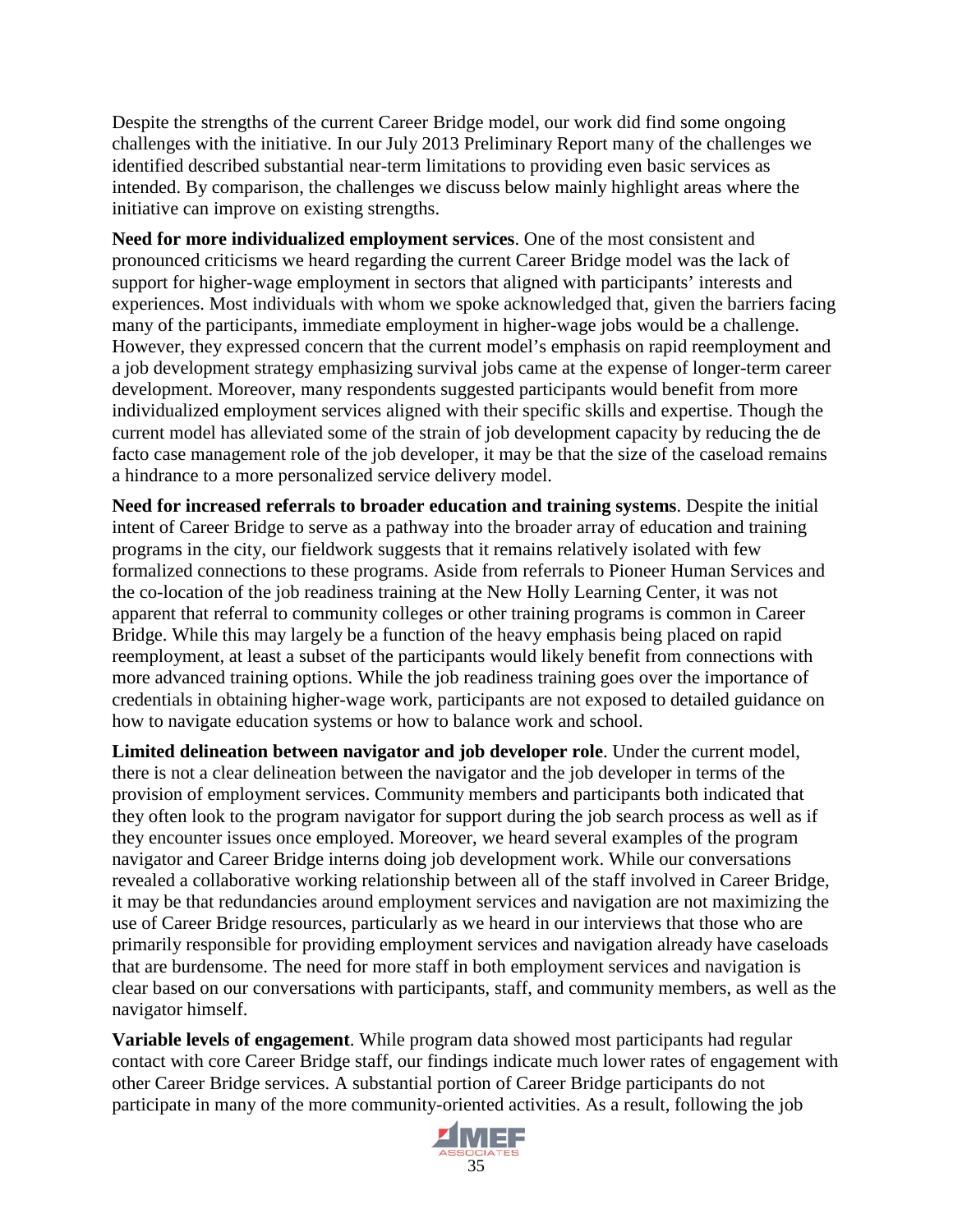Despite the strengths of the current Career Bridge model, our work did find some ongoing challenges with the initiative. In our July 2013 Preliminary Report many of the challenges we identified described substantial near-term limitations to providing even basic services as intended. By comparison, the challenges we discuss below mainly highlight areas where the initiative can improve on existing strengths.

**Need for more individualized employment services**. One of the most consistent and pronounced criticisms we heard regarding the current Career Bridge model was the lack of support for higher-wage employment in sectors that aligned with participants' interests and experiences. Most individuals with whom we spoke acknowledged that, given the barriers facing many of the participants, immediate employment in higher-wage jobs would be a challenge. However, they expressed concern that the current model's emphasis on rapid reemployment and a job development strategy emphasizing survival jobs came at the expense of longer-term career development. Moreover, many respondents suggested participants would benefit from more individualized employment services aligned with their specific skills and expertise. Though the current model has alleviated some of the strain of job development capacity by reducing the de facto case management role of the job developer, it may be that the size of the caseload remains a hindrance to a more personalized service delivery model.

**Need for increased referrals to broader education and training systems**. Despite the initial intent of Career Bridge to serve as a pathway into the broader array of education and training programs in the city, our fieldwork suggests that it remains relatively isolated with few formalized connections to these programs. Aside from referrals to Pioneer Human Services and the co-location of the job readiness training at the New Holly Learning Center, it was not apparent that referral to community colleges or other training programs is common in Career Bridge. While this may largely be a function of the heavy emphasis being placed on rapid reemployment, at least a subset of the participants would likely benefit from connections with more advanced training options. While the job readiness training goes over the importance of credentials in obtaining higher-wage work, participants are not exposed to detailed guidance on how to navigate education systems or how to balance work and school.

**Limited delineation between navigator and job developer role**. Under the current model, there is not a clear delineation between the navigator and the job developer in terms of the provision of employment services. Community members and participants both indicated that they often look to the program navigator for support during the job search process as well as if they encounter issues once employed. Moreover, we heard several examples of the program navigator and Career Bridge interns doing job development work. While our conversations revealed a collaborative working relationship between all of the staff involved in Career Bridge, it may be that redundancies around employment services and navigation are not maximizing the use of Career Bridge resources, particularly as we heard in our interviews that those who are primarily responsible for providing employment services and navigation already have caseloads that are burdensome. The need for more staff in both employment services and navigation is clear based on our conversations with participants, staff, and community members, as well as the navigator himself.

**Variable levels of engagement**. While program data showed most participants had regular contact with core Career Bridge staff, our findings indicate much lower rates of engagement with other Career Bridge services. A substantial portion of Career Bridge participants do not participate in many of the more community-oriented activities. As a result, following the job

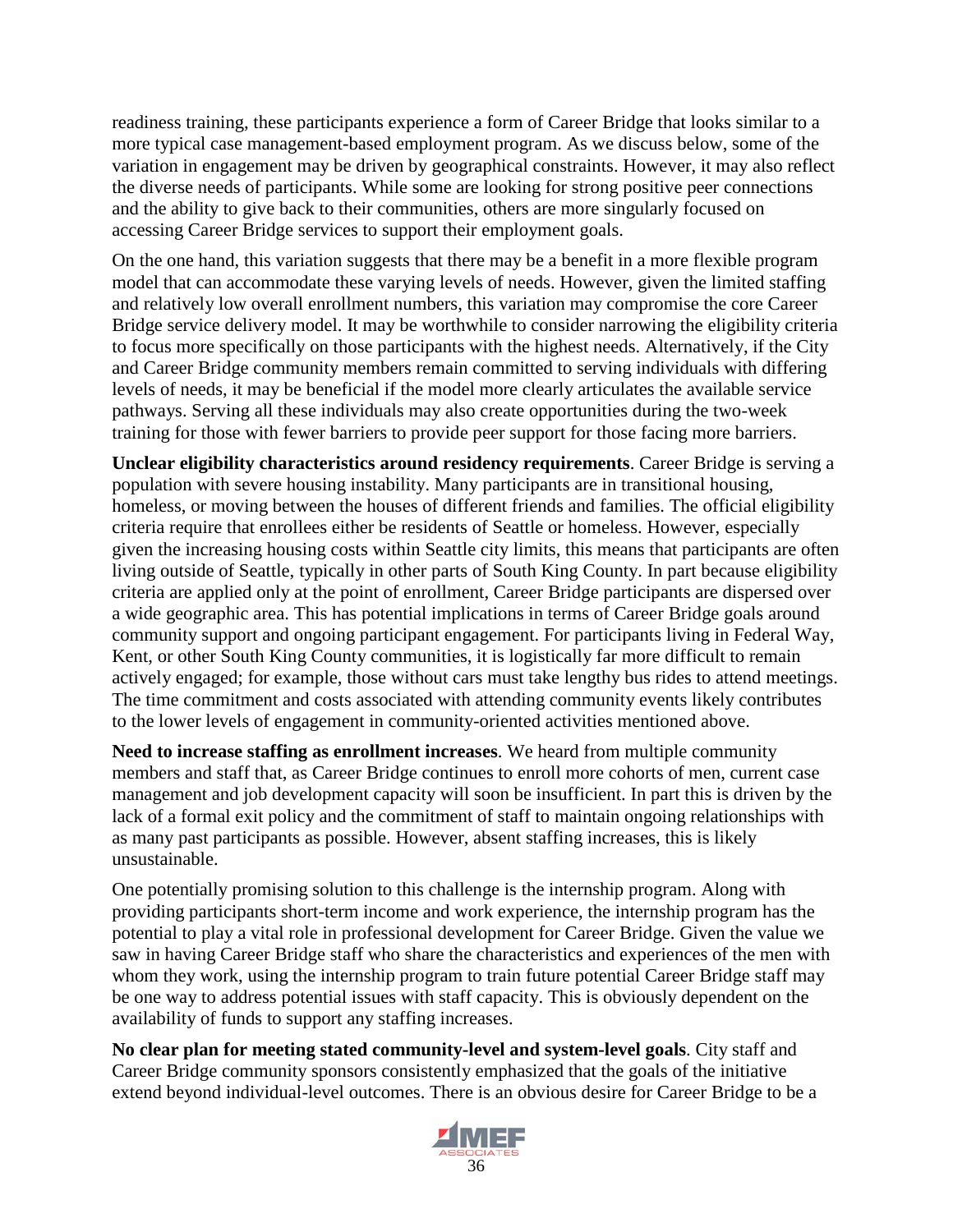readiness training, these participants experience a form of Career Bridge that looks similar to a more typical case management-based employment program. As we discuss below, some of the variation in engagement may be driven by geographical constraints. However, it may also reflect the diverse needs of participants. While some are looking for strong positive peer connections and the ability to give back to their communities, others are more singularly focused on accessing Career Bridge services to support their employment goals.

On the one hand, this variation suggests that there may be a benefit in a more flexible program model that can accommodate these varying levels of needs. However, given the limited staffing and relatively low overall enrollment numbers, this variation may compromise the core Career Bridge service delivery model. It may be worthwhile to consider narrowing the eligibility criteria to focus more specifically on those participants with the highest needs. Alternatively, if the City and Career Bridge community members remain committed to serving individuals with differing levels of needs, it may be beneficial if the model more clearly articulates the available service pathways. Serving all these individuals may also create opportunities during the two-week training for those with fewer barriers to provide peer support for those facing more barriers.

**Unclear eligibility characteristics around residency requirements**. Career Bridge is serving a population with severe housing instability. Many participants are in transitional housing, homeless, or moving between the houses of different friends and families. The official eligibility criteria require that enrollees either be residents of Seattle or homeless. However, especially given the increasing housing costs within Seattle city limits, this means that participants are often living outside of Seattle, typically in other parts of South King County. In part because eligibility criteria are applied only at the point of enrollment, Career Bridge participants are dispersed over a wide geographic area. This has potential implications in terms of Career Bridge goals around community support and ongoing participant engagement. For participants living in Federal Way, Kent, or other South King County communities, it is logistically far more difficult to remain actively engaged; for example, those without cars must take lengthy bus rides to attend meetings. The time commitment and costs associated with attending community events likely contributes to the lower levels of engagement in community-oriented activities mentioned above.

**Need to increase staffing as enrollment increases**. We heard from multiple community members and staff that, as Career Bridge continues to enroll more cohorts of men, current case management and job development capacity will soon be insufficient. In part this is driven by the lack of a formal exit policy and the commitment of staff to maintain ongoing relationships with as many past participants as possible. However, absent staffing increases, this is likely unsustainable.

One potentially promising solution to this challenge is the internship program. Along with providing participants short-term income and work experience, the internship program has the potential to play a vital role in professional development for Career Bridge. Given the value we saw in having Career Bridge staff who share the characteristics and experiences of the men with whom they work, using the internship program to train future potential Career Bridge staff may be one way to address potential issues with staff capacity. This is obviously dependent on the availability of funds to support any staffing increases.

**No clear plan for meeting stated community-level and system-level goals**. City staff and Career Bridge community sponsors consistently emphasized that the goals of the initiative extend beyond individual-level outcomes. There is an obvious desire for Career Bridge to be a

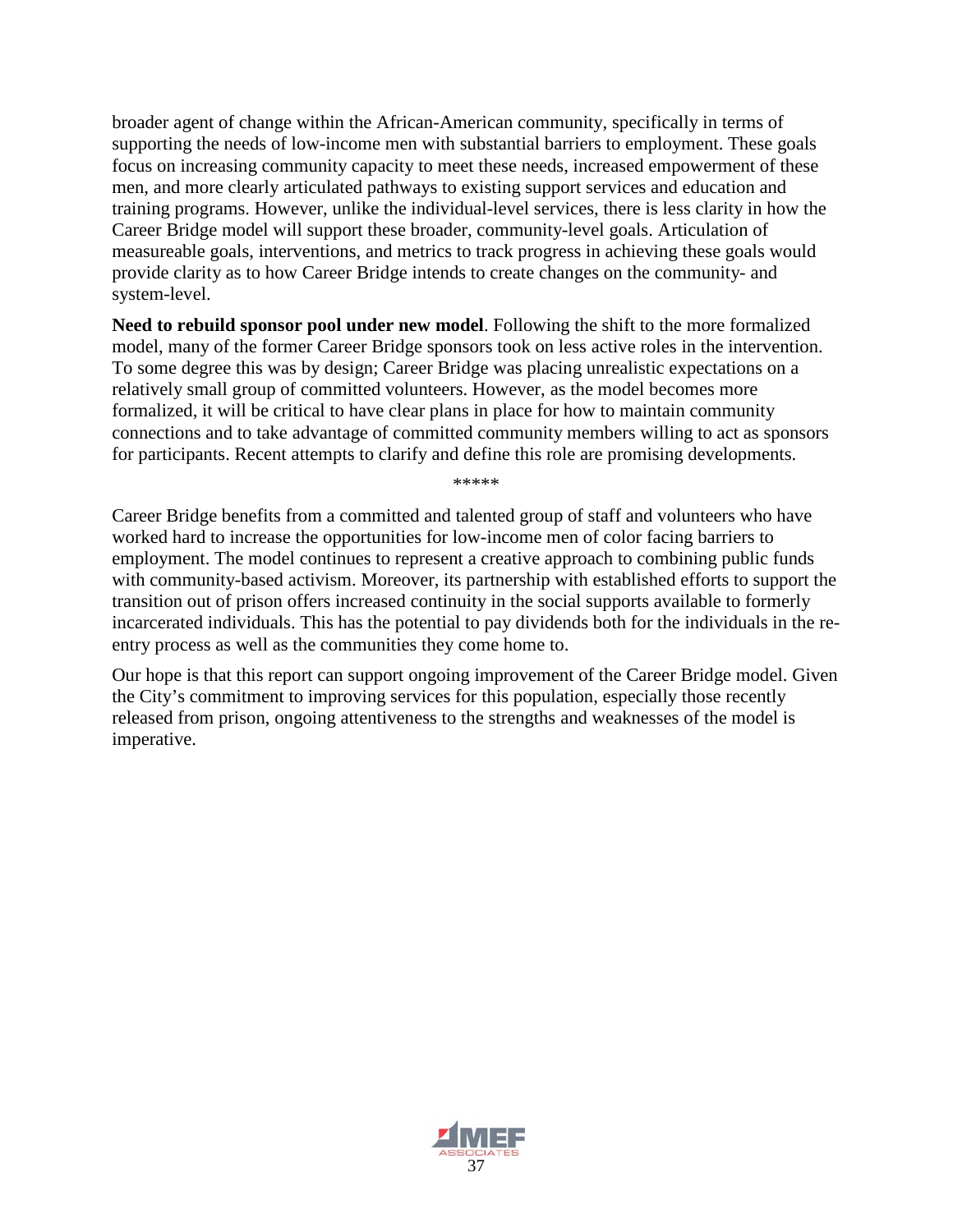broader agent of change within the African-American community, specifically in terms of supporting the needs of low-income men with substantial barriers to employment. These goals focus on increasing community capacity to meet these needs, increased empowerment of these men, and more clearly articulated pathways to existing support services and education and training programs. However, unlike the individual-level services, there is less clarity in how the Career Bridge model will support these broader, community-level goals. Articulation of measureable goals, interventions, and metrics to track progress in achieving these goals would provide clarity as to how Career Bridge intends to create changes on the community- and system-level.

**Need to rebuild sponsor pool under new model**. Following the shift to the more formalized model, many of the former Career Bridge sponsors took on less active roles in the intervention. To some degree this was by design; Career Bridge was placing unrealistic expectations on a relatively small group of committed volunteers. However, as the model becomes more formalized, it will be critical to have clear plans in place for how to maintain community connections and to take advantage of committed community members willing to act as sponsors for participants. Recent attempts to clarify and define this role are promising developments.

\*\*\*\*\*

Career Bridge benefits from a committed and talented group of staff and volunteers who have worked hard to increase the opportunities for low-income men of color facing barriers to employment. The model continues to represent a creative approach to combining public funds with community-based activism. Moreover, its partnership with established efforts to support the transition out of prison offers increased continuity in the social supports available to formerly incarcerated individuals. This has the potential to pay dividends both for the individuals in the reentry process as well as the communities they come home to.

Our hope is that this report can support ongoing improvement of the Career Bridge model. Given the City's commitment to improving services for this population, especially those recently released from prison, ongoing attentiveness to the strengths and weaknesses of the model is imperative.

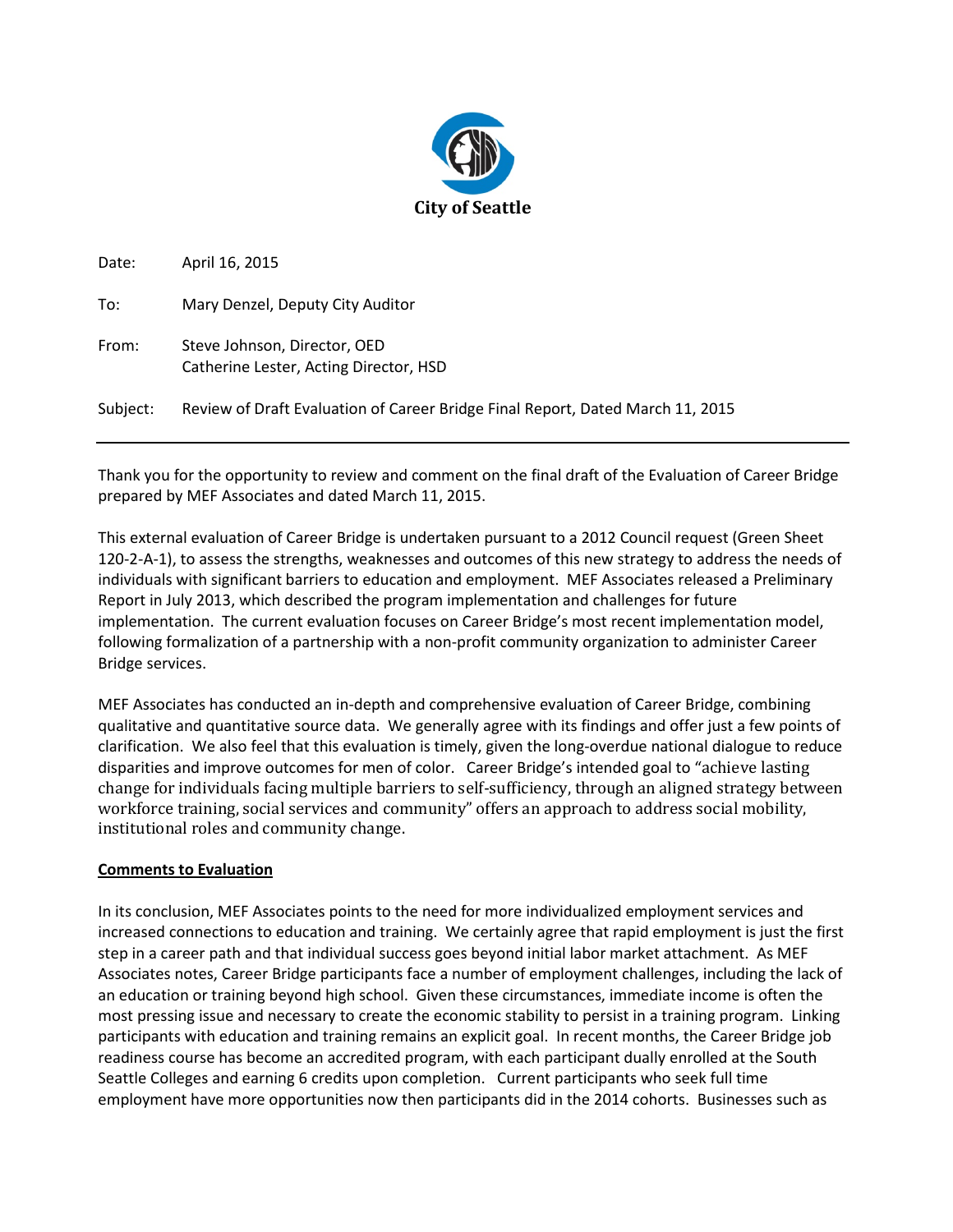

| Date:    | April 16, 2015                                                                 |
|----------|--------------------------------------------------------------------------------|
| To:      | Mary Denzel, Deputy City Auditor                                               |
| From:    | Steve Johnson, Director, OED<br>Catherine Lester, Acting Director, HSD         |
| Subject: | Review of Draft Evaluation of Career Bridge Final Report, Dated March 11, 2015 |

Thank you for the opportunity to review and comment on the final draft of the Evaluation of Career Bridge prepared by MEF Associates and dated March 11, 2015.

This external evaluation of Career Bridge is undertaken pursuant to a 2012 Council request (Green Sheet 120-2-A-1), to assess the strengths, weaknesses and outcomes of this new strategy to address the needs of individuals with significant barriers to education and employment. MEF Associates released a Preliminary Report in July 2013, which described the program implementation and challenges for future implementation. The current evaluation focuses on Career Bridge's most recent implementation model, following formalization of a partnership with a non-profit community organization to administer Career Bridge services.

MEF Associates has conducted an in-depth and comprehensive evaluation of Career Bridge, combining qualitative and quantitative source data. We generally agree with its findings and offer just a few points of clarification. We also feel that this evaluation is timely, given the long-overdue national dialogue to reduce disparities and improve outcomes for men of color. Career Bridge's intended goal to "achieve lasting change for individuals facing multiple barriers to self-sufficiency, through an aligned strategy between workforce training, social services and community" offers an approach to address social mobility, institutional roles and community change.

#### **Comments to Evaluation**

In its conclusion, MEF Associates points to the need for more individualized employment services and increased connections to education and training. We certainly agree that rapid employment is just the first step in a career path and that individual success goes beyond initial labor market attachment. As MEF Associates notes, Career Bridge participants face a number of employment challenges, including the lack of an education or training beyond high school. Given these circumstances, immediate income is often the most pressing issue and necessary to create the economic stability to persist in a training program. Linking participants with education and training remains an explicit goal. In recent months, the Career Bridge job readiness course has become an accredited program, with each participant dually enrolled at the South Seattle Colleges and earning 6 credits upon completion. Current participants who seek full time employment have more opportunities now then participants did in the 2014 cohorts. Businesses such as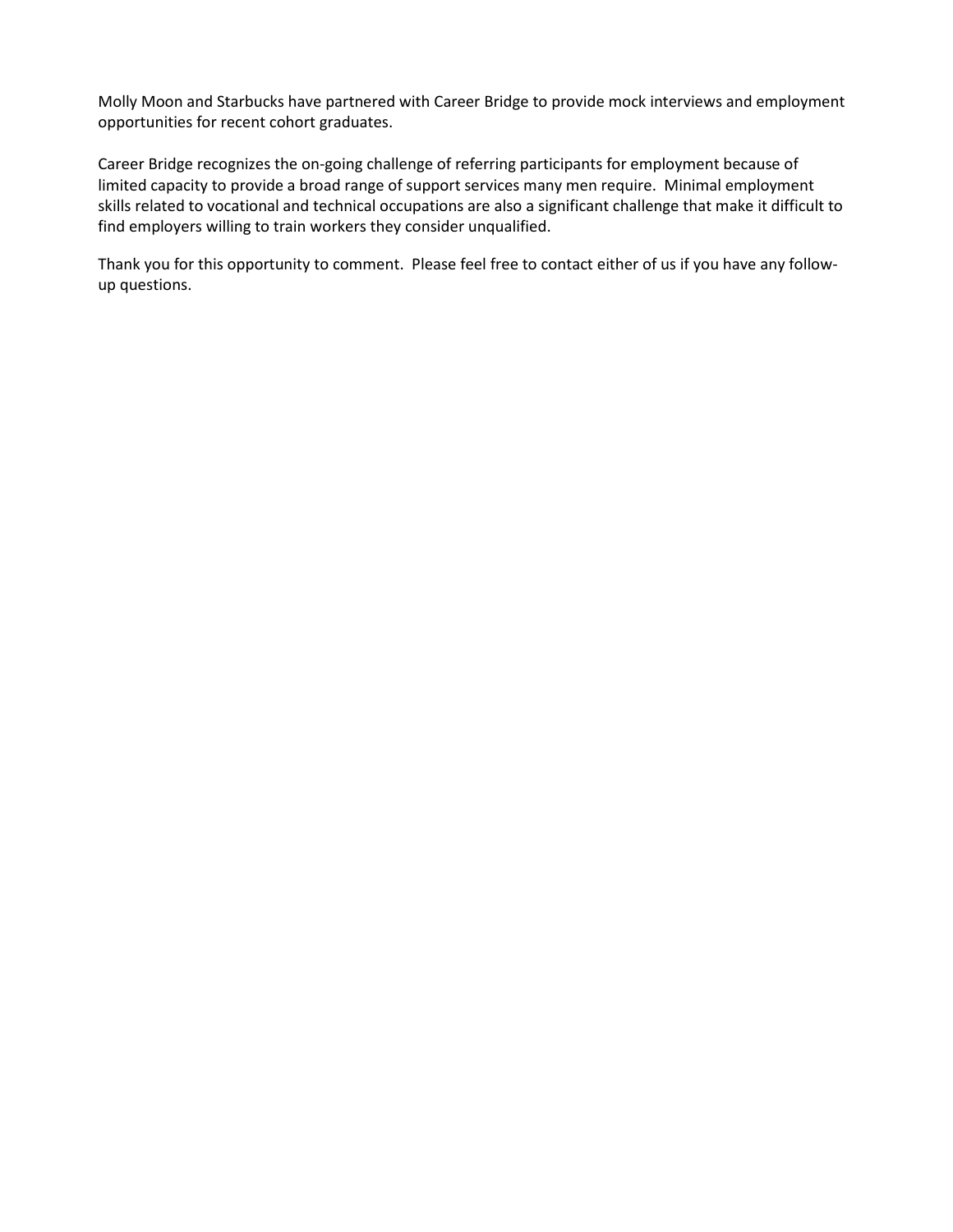Molly Moon and Starbucks have partnered with Career Bridge to provide mock interviews and employment opportunities for recent cohort graduates.

Career Bridge recognizes the on-going challenge of referring participants for employment because of limited capacity to provide a broad range of support services many men require. Minimal employment skills related to vocational and technical occupations are also a significant challenge that make it difficult to find employers willing to train workers they consider unqualified.

Thank you for this opportunity to comment. Please feel free to contact either of us if you have any followup questions.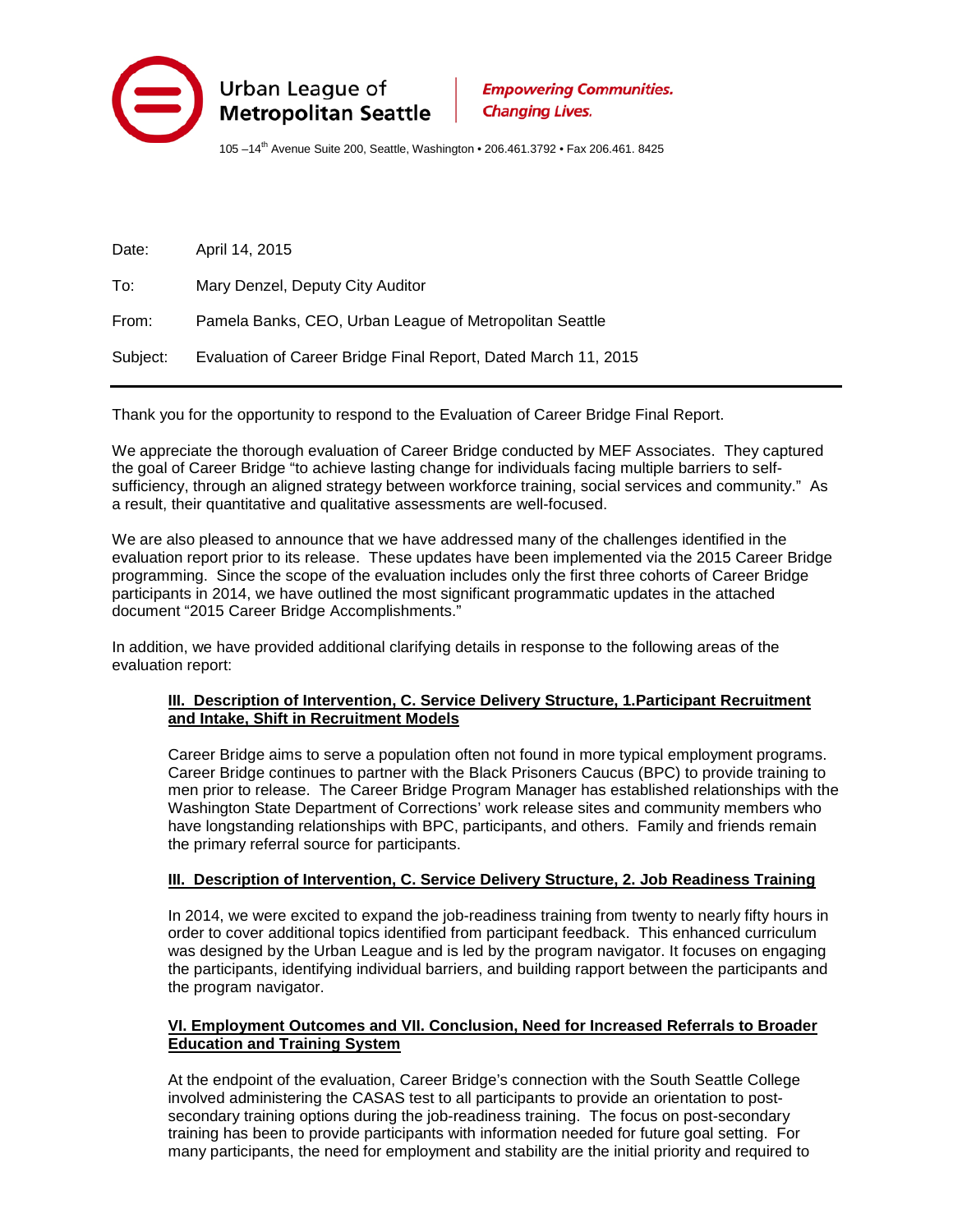

105 -14<sup>th</sup> Avenue Suite 200, Seattle, Washington • 206.461.3792 • Fax 206.461. 8425

Date: April 14, 2015 To: Mary Denzel, Deputy City Auditor From: Pamela Banks, CEO, Urban League of Metropolitan Seattle Subject: Evaluation of Career Bridge Final Report, Dated March 11, 2015

Thank you for the opportunity to respond to the Evaluation of Career Bridge Final Report.

We appreciate the thorough evaluation of Career Bridge conducted by MEF Associates. They captured the goal of Career Bridge "to achieve lasting change for individuals facing multiple barriers to selfsufficiency, through an aligned strategy between workforce training, social services and community." As a result, their quantitative and qualitative assessments are well-focused.

We are also pleased to announce that we have addressed many of the challenges identified in the evaluation report prior to its release. These updates have been implemented via the 2015 Career Bridge programming. Since the scope of the evaluation includes only the first three cohorts of Career Bridge participants in 2014, we have outlined the most significant programmatic updates in the attached document "2015 Career Bridge Accomplishments."

In addition, we have provided additional clarifying details in response to the following areas of the evaluation report:

#### **III. Description of Intervention, C. Service Delivery Structure, 1. Participant Recruitment and Intake, Shift in Recruitment Models**

Career Bridge aims to serve a population often not found in more typical employment programs. Career Bridge continues to partner with the Black Prisoners Caucus (BPC) to provide training to men prior to release. The Career Bridge Program Manager has established relationships with the Washington State Department of Corrections' work release sites and community members who have longstanding relationships with BPC, participants, and others. Family and friends remain the primary referral source for participants.

#### **III. Description of Intervention, C. Service Delivery Structure, 2. Job Readiness Training**

In 2014, we were excited to expand the job-readiness training from twenty to nearly fifty hours in order to cover additional topics identified from participant feedback. This enhanced curriculum was designed by the Urban League and is led by the program navigator. It focuses on engaging the participants, identifying individual barriers, and building rapport between the participants and the program navigator.

#### **VI. Employment Outcomes and VII. Conclusion, Need for Increased Referrals to Broader Education and Training System**

At the endpoint of the evaluation, Career Bridge's connection with the South Seattle College involved administering the CASAS test to all participants to provide an orientation to postsecondary training options during the job-readiness training. The focus on post-secondary training has been to provide participants with information needed for future goal setting. For many participants, the need for employment and stability are the initial priority and required to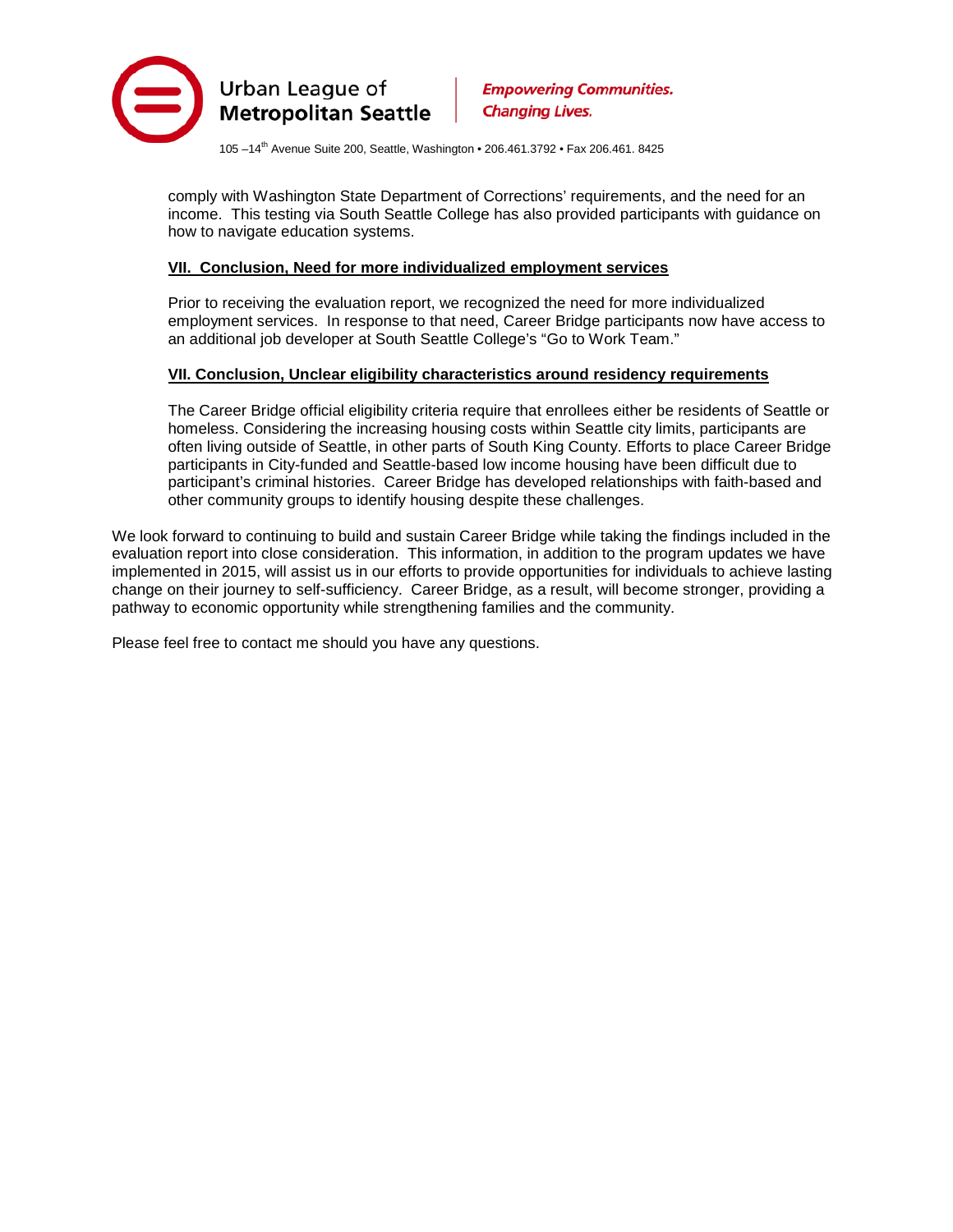

105 –14th Avenue Suite 200, Seattle, Washington • 206.461.3792 • Fax 206.461. 8425

comply with Washington State Department of Corrections' requirements, and the need for an income. This testing via South Seattle College has also provided participants with guidance on how to navigate education systems.

#### **VII. Conclusion, Need for more individualized employment services**

Prior to receiving the evaluation report, we recognized the need for more individualized employment services. In response to that need, Career Bridge participants now have access to an additional job developer at South Seattle College's "Go to Work Team."

#### **VII. Conclusion, Unclear eligibility characteristics around residency requirements**

The Career Bridge official eligibility criteria require that enrollees either be residents of Seattle or homeless. Considering the increasing housing costs within Seattle city limits, participants are often living outside of Seattle, in other parts of South King County. Efforts to place Career Bridge participants in City-funded and Seattle-based low income housing have been difficult due to participant's criminal histories. Career Bridge has developed relationships with faith-based and other community groups to identify housing despite these challenges.

We look forward to continuing to build and sustain Career Bridge while taking the findings included in the evaluation report into close consideration. This information, in addition to the program updates we have implemented in 2015, will assist us in our efforts to provide opportunities for individuals to achieve lasting change on their journey to self-sufficiency. Career Bridge, as a result, will become stronger, providing a pathway to economic opportunity while strengthening families and the community.

Please feel free to contact me should you have any questions.